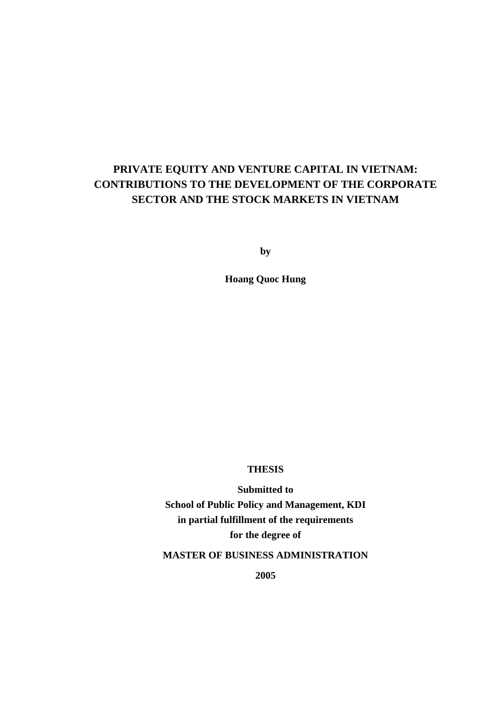# **PRIVATE EQUITY AND VENTURE CAPITAL IN VIETNAM: CONTRIBUTIONS TO THE DEVELOPMENT OF THE CORPORATE SECTOR AND THE STOCK MARKETS IN VIETNAM**

**by** 

**Hoang Quoc Hung** 

## **THESIS**

**Submitted to School of Public Policy and Management, KDI in partial fulfillment of the requirements for the degree of** 

**MASTER OF BUSINESS ADMINISTRATION** 

**2005**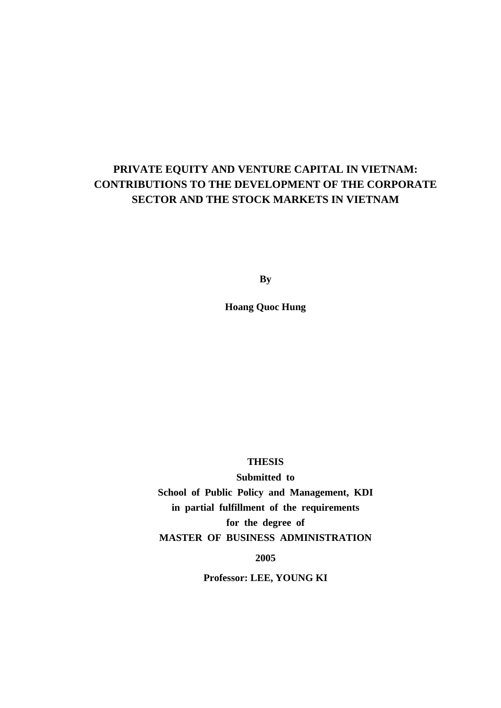# **PRIVATE EQUITY AND VENTURE CAPITAL IN VIETNAM: CONTRIBUTIONS TO THE DEVELOPMENT OF THE CORPORATE SECTOR AND THE STOCK MARKETS IN VIETNAM**

**By** 

**Hoang Quoc Hung** 

## **THESIS**

**Submitted to School of Public Policy and Management, KDI in partial fulfillment of the requirements for the degree of MASTER OF BUSINESS ADMINISTRATION**

**2005** 

**Professor: LEE, YOUNG KI**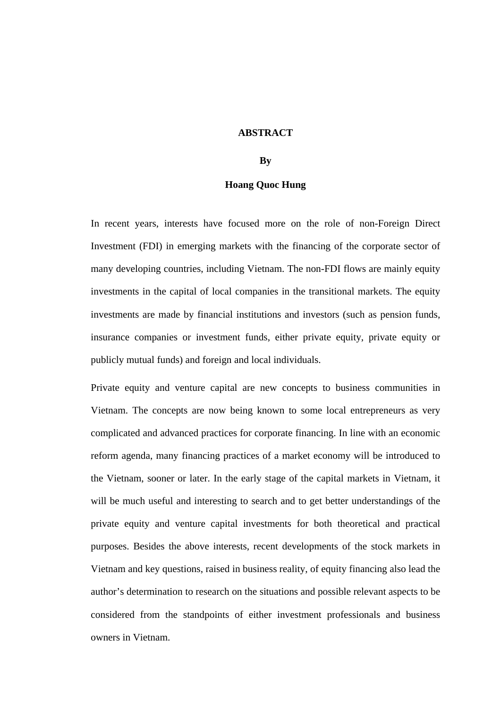### **ABSTRACT**

### **By**

### **Hoang Quoc Hung**

In recent years, interests have focused more on the role of non-Foreign Direct Investment (FDI) in emerging markets with the financing of the corporate sector of many developing countries, including Vietnam. The non-FDI flows are mainly equity investments in the capital of local companies in the transitional markets. The equity investments are made by financial institutions and investors (such as pension funds, insurance companies or investment funds, either private equity, private equity or publicly mutual funds) and foreign and local individuals.

Private equity and venture capital are new concepts to business communities in Vietnam. The concepts are now being known to some local entrepreneurs as very complicated and advanced practices for corporate financing. In line with an economic reform agenda, many financing practices of a market economy will be introduced to the Vietnam, sooner or later. In the early stage of the capital markets in Vietnam, it will be much useful and interesting to search and to get better understandings of the private equity and venture capital investments for both theoretical and practical purposes. Besides the above interests, recent developments of the stock markets in Vietnam and key questions, raised in business reality, of equity financing also lead the author's determination to research on the situations and possible relevant aspects to be considered from the standpoints of either investment professionals and business owners in Vietnam.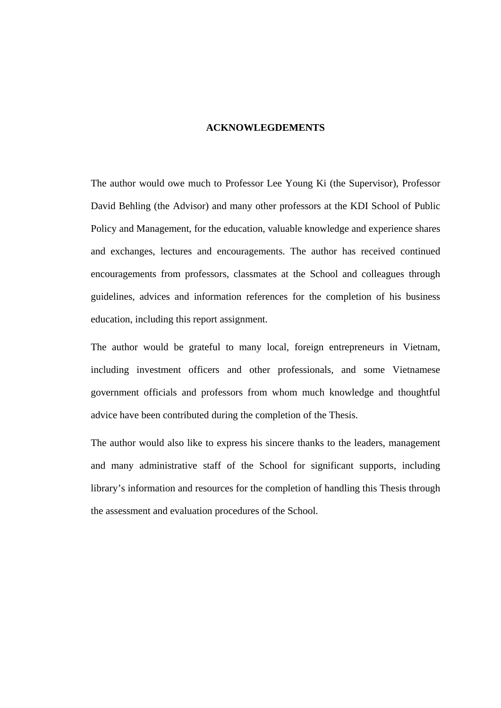### **ACKNOWLEGDEMENTS**

The author would owe much to Professor Lee Young Ki (the Supervisor), Professor David Behling (the Advisor) and many other professors at the KDI School of Public Policy and Management, for the education, valuable knowledge and experience shares and exchanges, lectures and encouragements. The author has received continued encouragements from professors, classmates at the School and colleagues through guidelines, advices and information references for the completion of his business education, including this report assignment.

The author would be grateful to many local, foreign entrepreneurs in Vietnam, including investment officers and other professionals, and some Vietnamese government officials and professors from whom much knowledge and thoughtful advice have been contributed during the completion of the Thesis.

The author would also like to express his sincere thanks to the leaders, management and many administrative staff of the School for significant supports, including library's information and resources for the completion of handling this Thesis through the assessment and evaluation procedures of the School.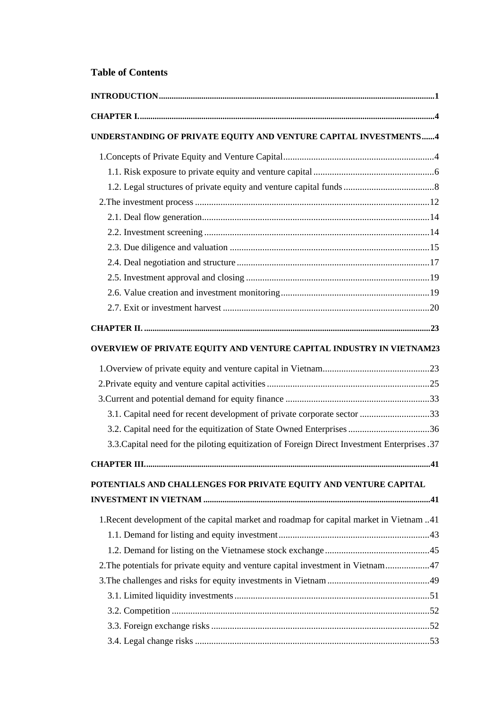## **Table of Contents**

| UNDERSTANDING OF PRIVATE EQUITY AND VENTURE CAPITAL INVESTMENTS4                            |    |
|---------------------------------------------------------------------------------------------|----|
|                                                                                             |    |
|                                                                                             |    |
|                                                                                             |    |
|                                                                                             |    |
|                                                                                             |    |
|                                                                                             |    |
|                                                                                             |    |
|                                                                                             |    |
|                                                                                             |    |
|                                                                                             |    |
|                                                                                             |    |
|                                                                                             |    |
| OVERVIEW OF PRIVATE EQUITY AND VENTURE CAPITAL INDUSTRY IN VIETNAM23                        |    |
|                                                                                             |    |
|                                                                                             |    |
|                                                                                             |    |
| 3.1. Capital need for recent development of private corporate sector 33                     |    |
| 3.2. Capital need for the equitization of State Owned Enterprises 36                        |    |
| 3.3. Capital need for the piloting equitization of Foreign Direct Investment Enterprises 37 |    |
|                                                                                             | 41 |
| POTENTIALS AND CHALLENGES FOR PRIVATE EQUITY AND VENTURE CAPITAL                            |    |
|                                                                                             |    |
| 1.41. I.Recent development of the capital market and roadmap for capital market in Vietnam. |    |
|                                                                                             |    |
|                                                                                             |    |
| 2. The potentials for private equity and venture capital investment in Vietnam 47           |    |
|                                                                                             |    |
|                                                                                             |    |
|                                                                                             |    |
|                                                                                             |    |
|                                                                                             |    |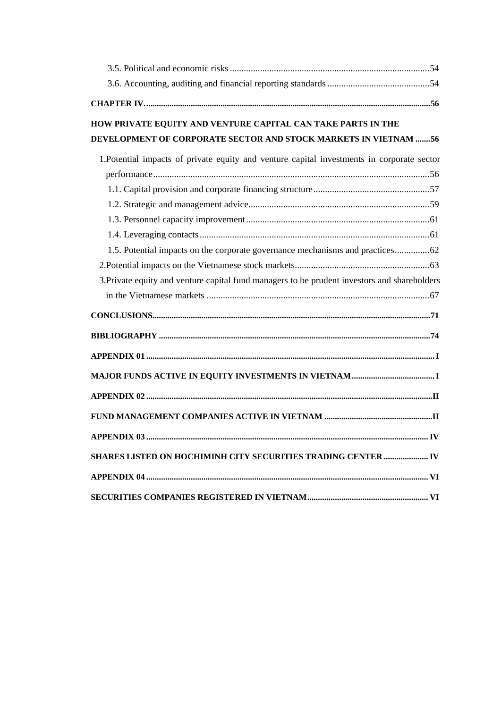| HOW PRIVATE EQUITY AND VENTURE CAPITAL CAN TAKE PARTS IN THE                                 |
|----------------------------------------------------------------------------------------------|
| DEVELOPMENT OF CORPORATE SECTOR AND STOCK MARKETS IN VIETNAM 56                              |
| 1. Potential impacts of private equity and venture capital investments in corporate sector   |
|                                                                                              |
|                                                                                              |
|                                                                                              |
|                                                                                              |
|                                                                                              |
| 1.5. Potential impacts on the corporate governance mechanisms and practices62                |
|                                                                                              |
| 3. Private equity and venture capital fund managers to be prudent investors and shareholders |
|                                                                                              |
|                                                                                              |
|                                                                                              |
|                                                                                              |
|                                                                                              |
|                                                                                              |
|                                                                                              |
|                                                                                              |
| <b>APPENDIX 03</b><br>$\bf{IV}$                                                              |
| SHARES LISTED ON HOCHIMINH CITY SECURITIES TRADING CENTER  IV                                |
|                                                                                              |
|                                                                                              |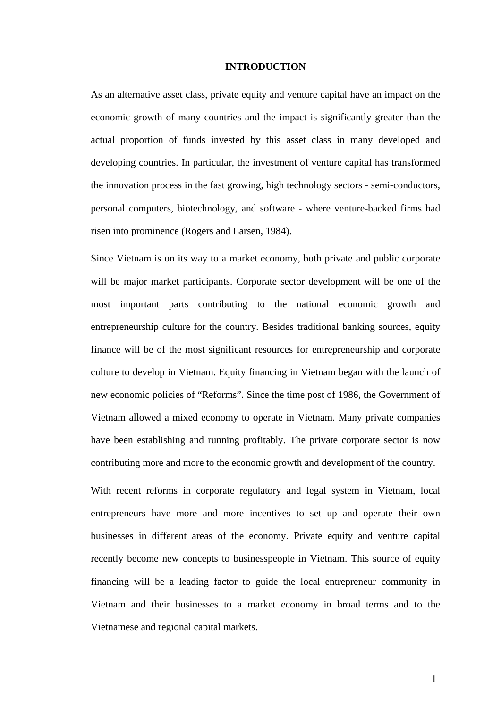### **INTRODUCTION**

<span id="page-6-0"></span>As an alternative asset class, private equity and venture capital have an impact on the economic growth of many countries and the impact is significantly greater than the actual proportion of funds invested by this asset class in many developed and developing countries. In particular, the investment of venture capital has transformed the innovation process in the fast growing, high technology sectors - semi-conductors, personal computers, biotechnology, and software - where venture-backed firms had risen into prominence (Rogers and Larsen, 1984).

Since Vietnam is on its way to a market economy, both private and public corporate will be major market participants. Corporate sector development will be one of the most important parts contributing to the national economic growth and entrepreneurship culture for the country. Besides traditional banking sources, equity finance will be of the most significant resources for entrepreneurship and corporate culture to develop in Vietnam. Equity financing in Vietnam began with the launch of new economic policies of "Reforms". Since the time post of 1986, the Government of Vietnam allowed a mixed economy to operate in Vietnam. Many private companies have been establishing and running profitably. The private corporate sector is now contributing more and more to the economic growth and development of the country.

With recent reforms in corporate regulatory and legal system in Vietnam, local entrepreneurs have more and more incentives to set up and operate their own businesses in different areas of the economy. Private equity and venture capital recently become new concepts to businesspeople in Vietnam. This source of equity financing will be a leading factor to guide the local entrepreneur community in Vietnam and their businesses to a market economy in broad terms and to the Vietnamese and regional capital markets.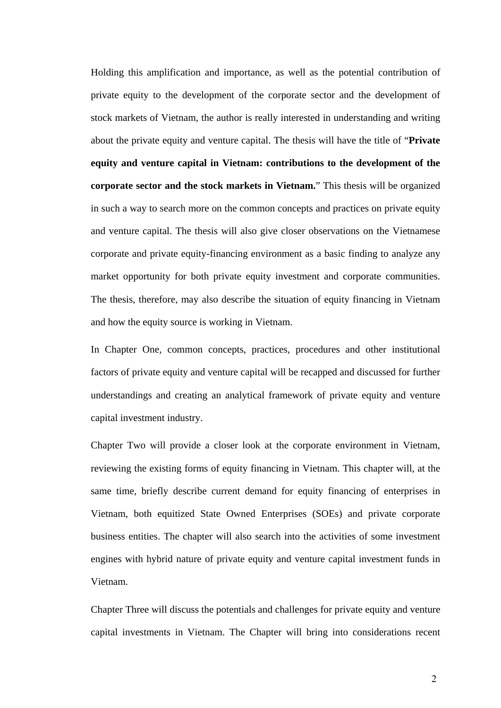Holding this amplification and importance, as well as the potential contribution of private equity to the development of the corporate sector and the development of stock markets of Vietnam, the author is really interested in understanding and writing about the private equity and venture capital. The thesis will have the title of "**Private equity and venture capital in Vietnam: contributions to the development of the corporate sector and the stock markets in Vietnam.**" This thesis will be organized in such a way to search more on the common concepts and practices on private equity and venture capital. The thesis will also give closer observations on the Vietnamese corporate and private equity-financing environment as a basic finding to analyze any market opportunity for both private equity investment and corporate communities. The thesis, therefore, may also describe the situation of equity financing in Vietnam and how the equity source is working in Vietnam.

In Chapter One, common concepts, practices, procedures and other institutional factors of private equity and venture capital will be recapped and discussed for further understandings and creating an analytical framework of private equity and venture capital investment industry.

Chapter Two will provide a closer look at the corporate environment in Vietnam, reviewing the existing forms of equity financing in Vietnam. This chapter will, at the same time, briefly describe current demand for equity financing of enterprises in Vietnam, both equitized State Owned Enterprises (SOEs) and private corporate business entities. The chapter will also search into the activities of some investment engines with hybrid nature of private equity and venture capital investment funds in Vietnam.

Chapter Three will discuss the potentials and challenges for private equity and venture capital investments in Vietnam. The Chapter will bring into considerations recent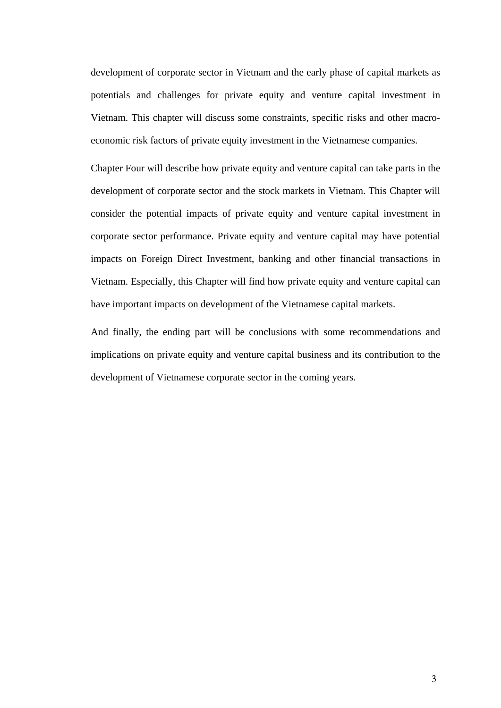development of corporate sector in Vietnam and the early phase of capital markets as potentials and challenges for private equity and venture capital investment in Vietnam. This chapter will discuss some constraints, specific risks and other macroeconomic risk factors of private equity investment in the Vietnamese companies.

Chapter Four will describe how private equity and venture capital can take parts in the development of corporate sector and the stock markets in Vietnam. This Chapter will consider the potential impacts of private equity and venture capital investment in corporate sector performance. Private equity and venture capital may have potential impacts on Foreign Direct Investment, banking and other financial transactions in Vietnam. Especially, this Chapter will find how private equity and venture capital can have important impacts on development of the Vietnamese capital markets.

And finally, the ending part will be conclusions with some recommendations and implications on private equity and venture capital business and its contribution to the development of Vietnamese corporate sector in the coming years.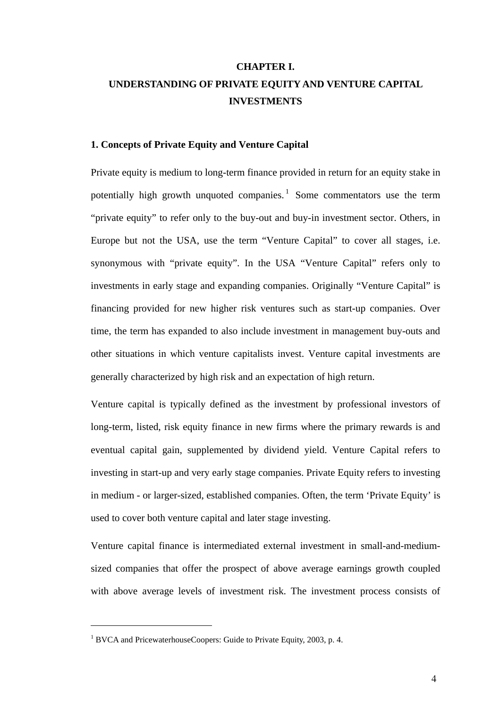# <span id="page-9-0"></span>**CHAPTER I. UNDERSTANDING OF PRIVATE EQUITY AND VENTURE CAPITAL INVESTMENTS**

## **1. Concepts of Private Equity and Venture Capital**

Private equity is medium to long-term finance provided in return for an equity stake in potentially high growth unquoted companies.<sup>[1](#page-9-0)</sup> Some commentators use the term "private equity" to refer only to the buy-out and buy-in investment sector. Others, in Europe but not the USA, use the term "Venture Capital" to cover all stages, i.e. synonymous with "private equity". In the USA "Venture Capital" refers only to investments in early stage and expanding companies. Originally "Venture Capital" is financing provided for new higher risk ventures such as start-up companies. Over time, the term has expanded to also include investment in management buy-outs and other situations in which venture capitalists invest. Venture capital investments are generally characterized by high risk and an expectation of high return.

Venture capital is typically defined as the investment by professional investors of long-term, listed, risk equity finance in new firms where the primary rewards is and eventual capital gain, supplemented by dividend yield. Venture Capital refers to investing in start-up and very early stage companies. Private Equity refers to investing in medium - or larger-sized, established companies. Often, the term 'Private Equity' is used to cover both venture capital and later stage investing.

Venture capital finance is intermediated external investment in small-and-mediumsized companies that offer the prospect of above average earnings growth coupled with above average levels of investment risk. The investment process consists of

<sup>&</sup>lt;sup>1</sup> BVCA and PricewaterhouseCoopers: Guide to Private Equity, 2003, p. 4.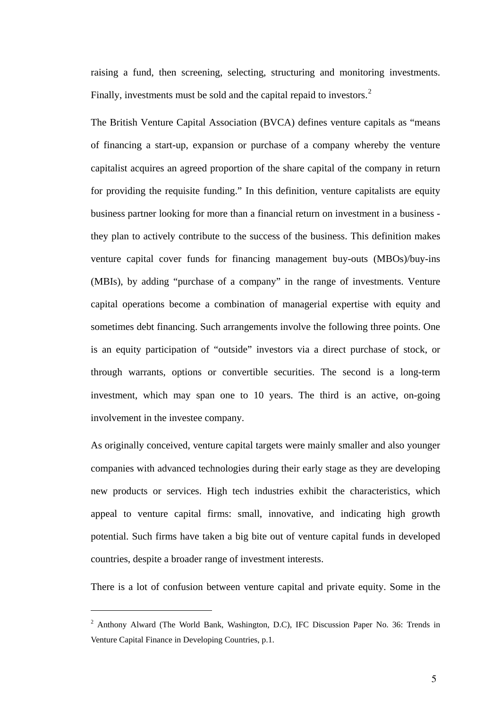<span id="page-10-0"></span>raising a fund, then screening, selecting, structuring and monitoring investments. Finally, investments must be sold and the capital repaid to investors.<sup>[2](#page-10-0)</sup>

The British Venture Capital Association (BVCA) defines venture capitals as "means of financing a start-up, expansion or purchase of a company whereby the venture capitalist acquires an agreed proportion of the share capital of the company in return for providing the requisite funding." In this definition, venture capitalists are equity business partner looking for more than a financial return on investment in a business they plan to actively contribute to the success of the business. This definition makes venture capital cover funds for financing management buy-outs (MBOs)/buy-ins (MBIs), by adding "purchase of a company" in the range of investments. Venture capital operations become a combination of managerial expertise with equity and sometimes debt financing. Such arrangements involve the following three points. One is an equity participation of "outside" investors via a direct purchase of stock, or through warrants, options or convertible securities. The second is a long-term investment, which may span one to 10 years. The third is an active, on-going involvement in the investee company.

As originally conceived, venture capital targets were mainly smaller and also younger companies with advanced technologies during their early stage as they are developing new products or services. High tech industries exhibit the characteristics, which appeal to venture capital firms: small, innovative, and indicating high growth potential. Such firms have taken a big bite out of venture capital funds in developed countries, despite a broader range of investment interests.

There is a lot of confusion between venture capital and private equity. Some in the

<sup>&</sup>lt;sup>2</sup> Anthony Alward (The World Bank, Washington, D.C), IFC Discussion Paper No. 36: Trends in Venture Capital Finance in Developing Countries, p.1.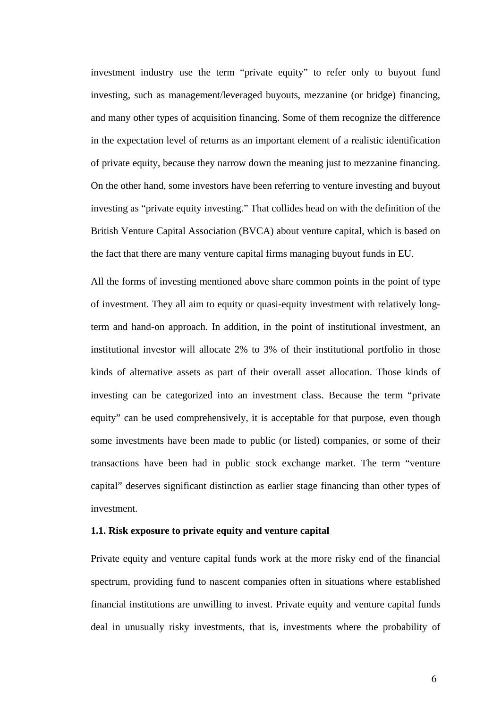<span id="page-11-0"></span>investment industry use the term "private equity" to refer only to buyout fund investing, such as management/leveraged buyouts, mezzanine (or bridge) financing, and many other types of acquisition financing. Some of them recognize the difference in the expectation level of returns as an important element of a realistic identification of private equity, because they narrow down the meaning just to mezzanine financing. On the other hand, some investors have been referring to venture investing and buyout investing as "private equity investing." That collides head on with the definition of the British Venture Capital Association (BVCA) about venture capital, which is based on the fact that there are many venture capital firms managing buyout funds in EU.

All the forms of investing mentioned above share common points in the point of type of investment. They all aim to equity or quasi-equity investment with relatively longterm and hand-on approach. In addition, in the point of institutional investment, an institutional investor will allocate 2% to 3% of their institutional portfolio in those kinds of alternative assets as part of their overall asset allocation. Those kinds of investing can be categorized into an investment class. Because the term "private equity" can be used comprehensively, it is acceptable for that purpose, even though some investments have been made to public (or listed) companies, or some of their transactions have been had in public stock exchange market. The term "venture capital" deserves significant distinction as earlier stage financing than other types of investment.

### **1.1. Risk exposure to private equity and venture capital**

Private equity and venture capital funds work at the more risky end of the financial spectrum, providing fund to nascent companies often in situations where established financial institutions are unwilling to invest. Private equity and venture capital funds deal in unusually risky investments, that is, investments where the probability of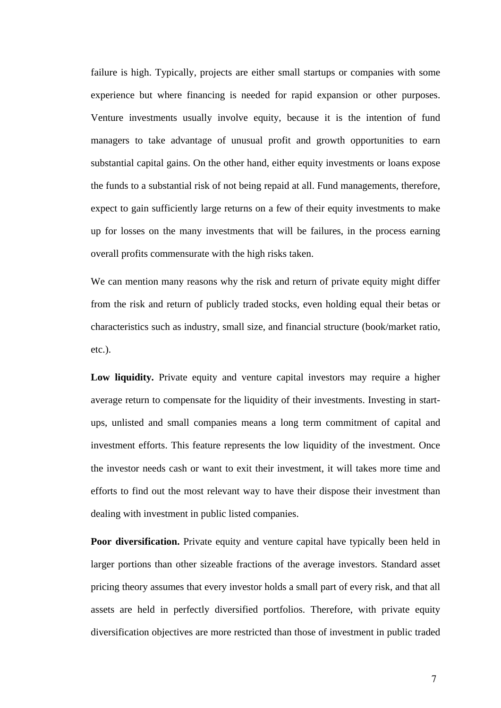failure is high. Typically, projects are either small startups or companies with some experience but where financing is needed for rapid expansion or other purposes. Venture investments usually involve equity, because it is the intention of fund managers to take advantage of unusual profit and growth opportunities to earn substantial capital gains. On the other hand, either equity investments or loans expose the funds to a substantial risk of not being repaid at all. Fund managements, therefore, expect to gain sufficiently large returns on a few of their equity investments to make up for losses on the many investments that will be failures, in the process earning overall profits commensurate with the high risks taken.

We can mention many reasons why the risk and return of private equity might differ from the risk and return of publicly traded stocks, even holding equal their betas or characteristics such as industry, small size, and financial structure (book/market ratio, etc.).

Low liquidity. Private equity and venture capital investors may require a higher average return to compensate for the liquidity of their investments. Investing in startups, unlisted and small companies means a long term commitment of capital and investment efforts. This feature represents the low liquidity of the investment. Once the investor needs cash or want to exit their investment, it will takes more time and efforts to find out the most relevant way to have their dispose their investment than dealing with investment in public listed companies.

**Poor diversification.** Private equity and venture capital have typically been held in larger portions than other sizeable fractions of the average investors. Standard asset pricing theory assumes that every investor holds a small part of every risk, and that all assets are held in perfectly diversified portfolios. Therefore, with private equity diversification objectives are more restricted than those of investment in public traded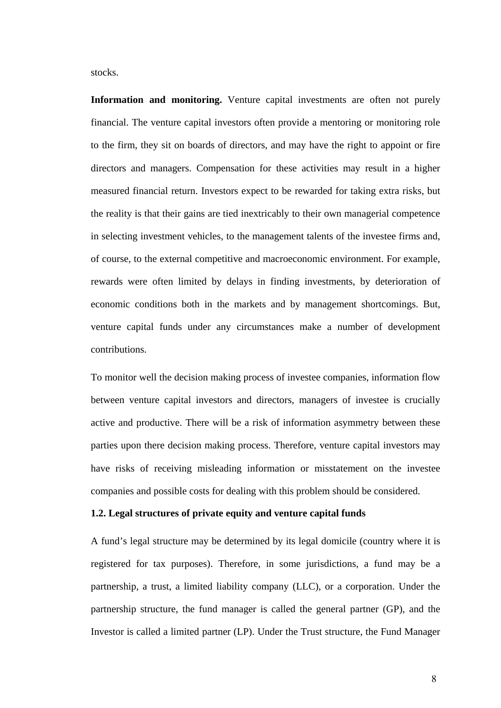<span id="page-13-0"></span>stocks.

**Information and monitoring.** Venture capital investments are often not purely financial. The venture capital investors often provide a mentoring or monitoring role to the firm, they sit on boards of directors, and may have the right to appoint or fire directors and managers. Compensation for these activities may result in a higher measured financial return. Investors expect to be rewarded for taking extra risks, but the reality is that their gains are tied inextricably to their own managerial competence in selecting investment vehicles, to the management talents of the investee firms and, of course, to the external competitive and macroeconomic environment. For example, rewards were often limited by delays in finding investments, by deterioration of economic conditions both in the markets and by management shortcomings. But, venture capital funds under any circumstances make a number of development contributions.

To monitor well the decision making process of investee companies, information flow between venture capital investors and directors, managers of investee is crucially active and productive. There will be a risk of information asymmetry between these parties upon there decision making process. Therefore, venture capital investors may have risks of receiving misleading information or misstatement on the investee companies and possible costs for dealing with this problem should be considered.

### **1.2. Legal structures of private equity and venture capital funds**

A fund's legal structure may be determined by its legal domicile (country where it is registered for tax purposes). Therefore, in some jurisdictions, a fund may be a partnership, a trust, a limited liability company (LLC), or a corporation. Under the partnership structure, the fund manager is called the general partner (GP), and the Investor is called a limited partner (LP). Under the Trust structure, the Fund Manager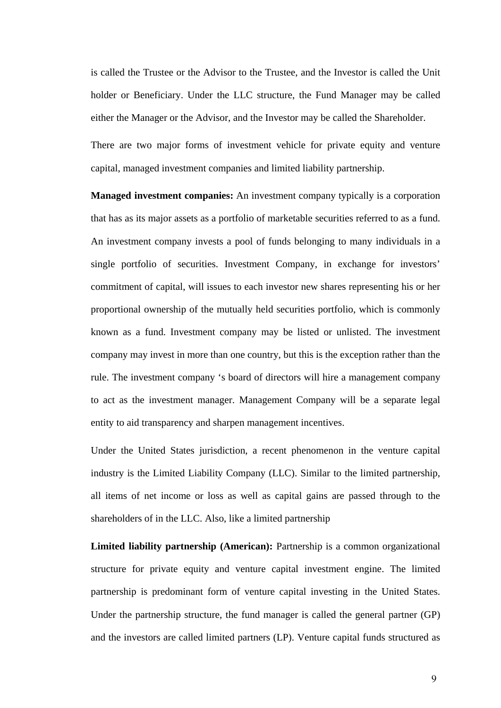is called the Trustee or the Advisor to the Trustee, and the Investor is called the Unit holder or Beneficiary. Under the LLC structure, the Fund Manager may be called either the Manager or the Advisor, and the Investor may be called the Shareholder.

There are two major forms of investment vehicle for private equity and venture capital, managed investment companies and limited liability partnership.

**Managed investment companies:** An investment company typically is a corporation that has as its major assets as a portfolio of marketable securities referred to as a fund. An investment company invests a pool of funds belonging to many individuals in a single portfolio of securities. Investment Company, in exchange for investors' commitment of capital, will issues to each investor new shares representing his or her proportional ownership of the mutually held securities portfolio, which is commonly known as a fund. Investment company may be listed or unlisted. The investment company may invest in more than one country, but this is the exception rather than the rule. The investment company 's board of directors will hire a management company to act as the investment manager. Management Company will be a separate legal entity to aid transparency and sharpen management incentives.

Under the United States jurisdiction, a recent phenomenon in the venture capital industry is the Limited Liability Company (LLC). Similar to the limited partnership, all items of net income or loss as well as capital gains are passed through to the shareholders of in the LLC. Also, like a limited partnership

**Limited liability partnership (American):** Partnership is a common organizational structure for private equity and venture capital investment engine. The limited partnership is predominant form of venture capital investing in the United States. Under the partnership structure, the fund manager is called the general partner (GP) and the investors are called limited partners (LP). Venture capital funds structured as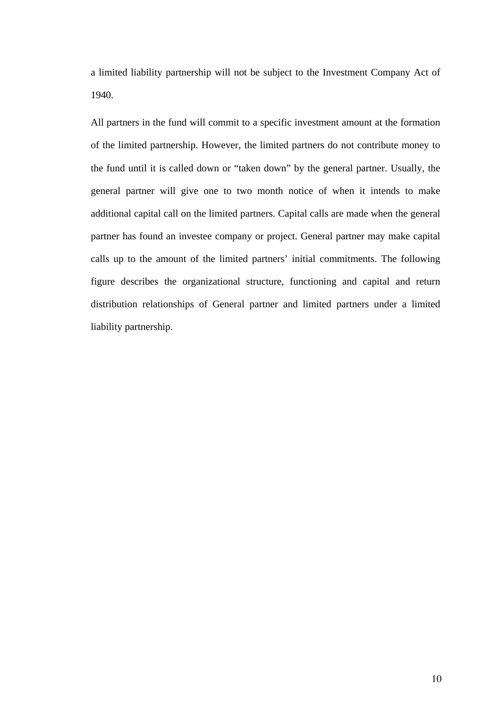a limited liability partnership will not be subject to the Investment Company Act of 1940.

All partners in the fund will commit to a specific investment amount at the formation of the limited partnership. However, the limited partners do not contribute money to the fund until it is called down or "taken down" by the general partner. Usually, the general partner will give one to two month notice of when it intends to make additional capital call on the limited partners. Capital calls are made when the general partner has found an investee company or project. General partner may make capital calls up to the amount of the limited partners' initial commitments. The following figure describes the organizational structure, functioning and capital and return distribution relationships of General partner and limited partners under a limited liability partnership.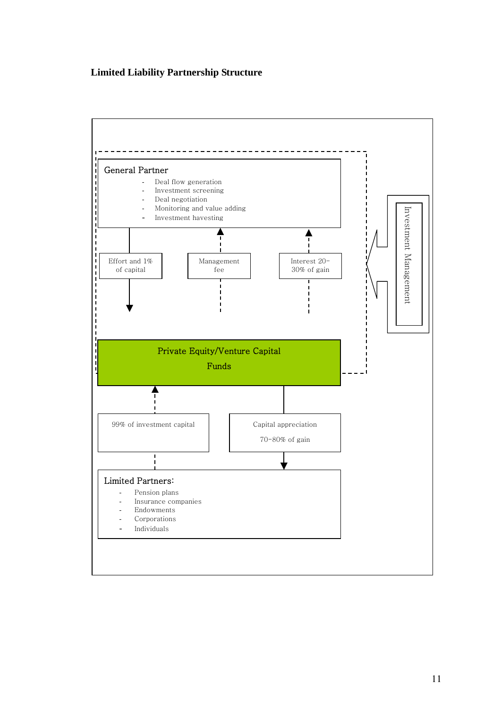## **Limited Liability Partnership Structure**

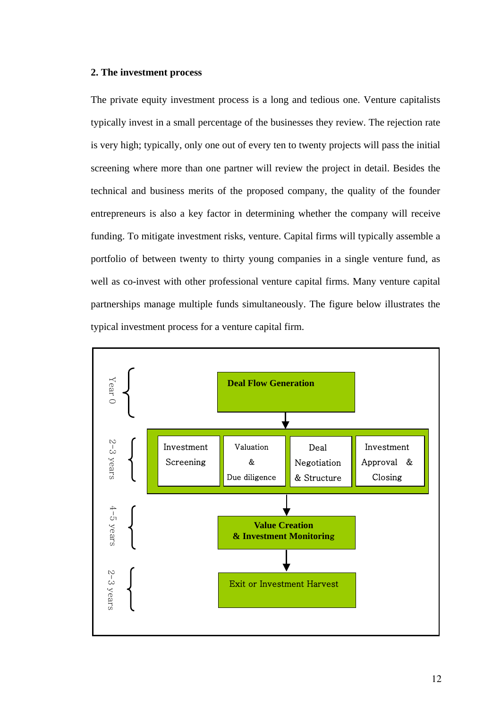### <span id="page-17-0"></span>**2. The investment process**

The private equity investment process is a long and tedious one. Venture capitalists typically invest in a small percentage of the businesses they review. The rejection rate is very high; typically, only one out of every ten to twenty projects will pass the initial screening where more than one partner will review the project in detail. Besides the technical and business merits of the proposed company, the quality of the founder entrepreneurs is also a key factor in determining whether the company will receive funding. To mitigate investment risks, venture. Capital firms will typically assemble a portfolio of between twenty to thirty young companies in a single venture fund, as well as co-invest with other professional venture capital firms. Many venture capital partnerships manage multiple funds simultaneously. The figure below illustrates the typical investment process for a venture capital firm.

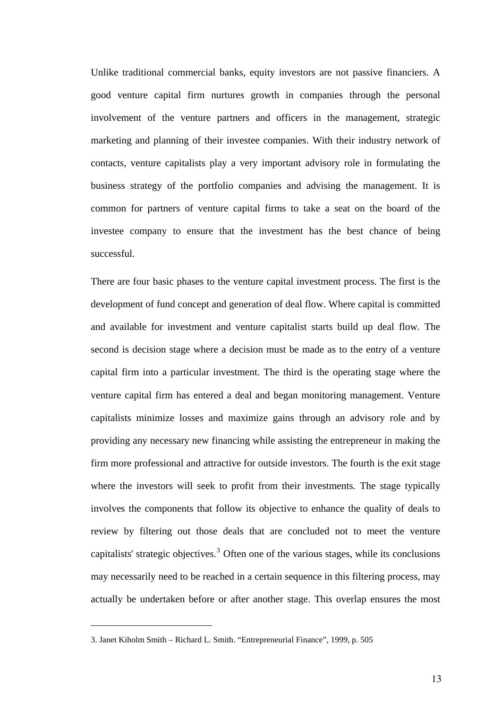<span id="page-18-0"></span>Unlike traditional commercial banks, equity investors are not passive financiers. A good venture capital firm nurtures growth in companies through the personal involvement of the venture partners and officers in the management, strategic marketing and planning of their investee companies. With their industry network of contacts, venture capitalists play a very important advisory role in formulating the business strategy of the portfolio companies and advising the management. It is common for partners of venture capital firms to take a seat on the board of the investee company to ensure that the investment has the best chance of being successful.

There are four basic phases to the venture capital investment process. The first is the development of fund concept and generation of deal flow. Where capital is committed and available for investment and venture capitalist starts build up deal flow. The second is decision stage where a decision must be made as to the entry of a venture capital firm into a particular investment. The third is the operating stage where the venture capital firm has entered a deal and began monitoring management. Venture capitalists minimize losses and maximize gains through an advisory role and by providing any necessary new financing while assisting the entrepreneur in making the firm more professional and attractive for outside investors. The fourth is the exit stage where the investors will seek to profit from their investments. The stage typically involves the components that follow its objective to enhance the quality of deals to review by filtering out those deals that are concluded not to meet the venture capitalists' strategic objectives.<sup>[3](#page-18-0)</sup> Often one of the various stages, while its conclusions may necessarily need to be reached in a certain sequence in this filtering process, may actually be undertaken before or after another stage. This overlap ensures the most

<sup>3.</sup> Janet Kiholm Smith – Richard L. Smith. "Entrepreneurial Finance", 1999, p. 505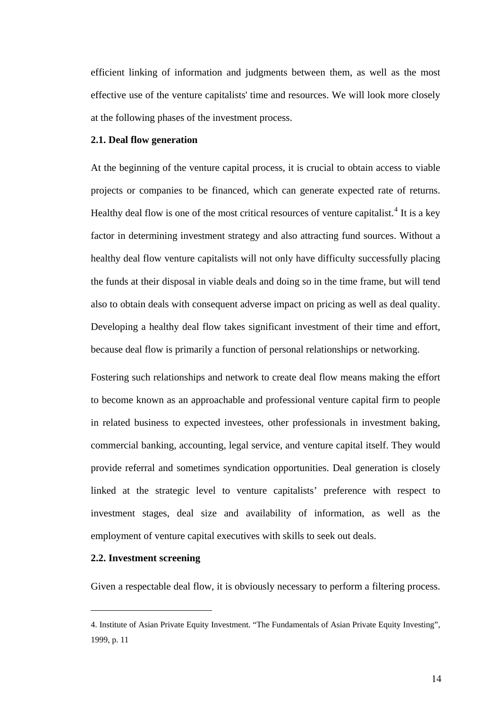<span id="page-19-0"></span>efficient linking of information and judgments between them, as well as the most effective use of the venture capitalists' time and resources. We will look more closely at the following phases of the investment process.

### **2.1. Deal flow generation**

At the beginning of the venture capital process, it is crucial to obtain access to viable projects or companies to be financed, which can generate expected rate of returns. Healthy deal flow is one of the most critical resources of venture capitalist.<sup>[4](#page-19-0)</sup> It is a key factor in determining investment strategy and also attracting fund sources. Without a healthy deal flow venture capitalists will not only have difficulty successfully placing the funds at their disposal in viable deals and doing so in the time frame, but will tend also to obtain deals with consequent adverse impact on pricing as well as deal quality. Developing a healthy deal flow takes significant investment of their time and effort, because deal flow is primarily a function of personal relationships or networking.

Fostering such relationships and network to create deal flow means making the effort to become known as an approachable and professional venture capital firm to people in related business to expected investees, other professionals in investment baking, commercial banking, accounting, legal service, and venture capital itself. They would provide referral and sometimes syndication opportunities. Deal generation is closely linked at the strategic level to venture capitalists' preference with respect to investment stages, deal size and availability of information, as well as the employment of venture capital executives with skills to seek out deals.

### **2.2. Investment screening**

 $\overline{a}$ 

Given a respectable deal flow, it is obviously necessary to perform a filtering process.

<sup>4.</sup> Institute of Asian Private Equity Investment. "The Fundamentals of Asian Private Equity Investing", 1999, p. 11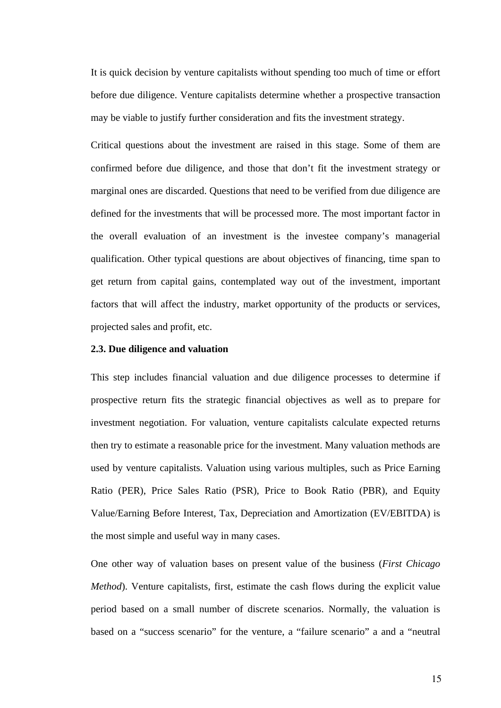<span id="page-20-0"></span>It is quick decision by venture capitalists without spending too much of time or effort before due diligence. Venture capitalists determine whether a prospective transaction may be viable to justify further consideration and fits the investment strategy.

Critical questions about the investment are raised in this stage. Some of them are confirmed before due diligence, and those that don't fit the investment strategy or marginal ones are discarded. Questions that need to be verified from due diligence are defined for the investments that will be processed more. The most important factor in the overall evaluation of an investment is the investee company's managerial qualification. Other typical questions are about objectives of financing, time span to get return from capital gains, contemplated way out of the investment, important factors that will affect the industry, market opportunity of the products or services, projected sales and profit, etc.

#### **2.3. Due diligence and valuation**

This step includes financial valuation and due diligence processes to determine if prospective return fits the strategic financial objectives as well as to prepare for investment negotiation. For valuation, venture capitalists calculate expected returns then try to estimate a reasonable price for the investment. Many valuation methods are used by venture capitalists. Valuation using various multiples, such as Price Earning Ratio (PER), Price Sales Ratio (PSR), Price to Book Ratio (PBR), and Equity Value/Earning Before Interest, Tax, Depreciation and Amortization (EV/EBITDA) is the most simple and useful way in many cases.

One other way of valuation bases on present value of the business (*First Chicago Method*). Venture capitalists, first, estimate the cash flows during the explicit value period based on a small number of discrete scenarios. Normally, the valuation is based on a "success scenario" for the venture, a "failure scenario" a and a "neutral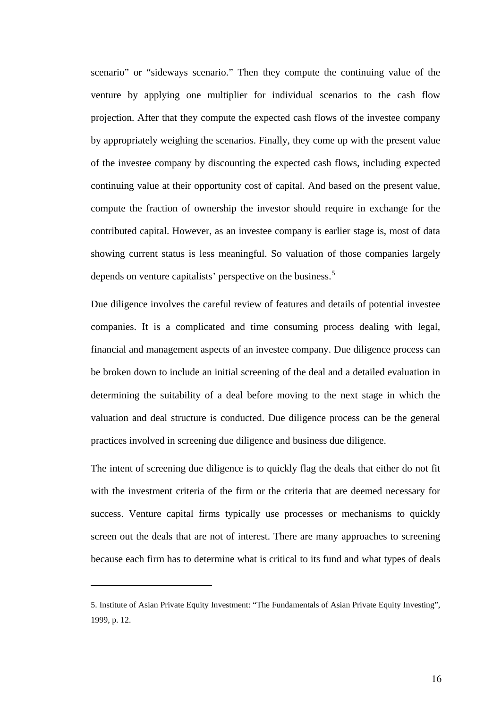<span id="page-21-0"></span>scenario" or "sideways scenario." Then they compute the continuing value of the venture by applying one multiplier for individual scenarios to the cash flow projection. After that they compute the expected cash flows of the investee company by appropriately weighing the scenarios. Finally, they come up with the present value of the investee company by discounting the expected cash flows, including expected continuing value at their opportunity cost of capital. And based on the present value, compute the fraction of ownership the investor should require in exchange for the contributed capital. However, as an investee company is earlier stage is, most of data showing current status is less meaningful. So valuation of those companies largely depends on venture capitalists' perspective on the business.<sup>[5](#page-21-0)</sup>

Due diligence involves the careful review of features and details of potential investee companies. It is a complicated and time consuming process dealing with legal, financial and management aspects of an investee company. Due diligence process can be broken down to include an initial screening of the deal and a detailed evaluation in determining the suitability of a deal before moving to the next stage in which the valuation and deal structure is conducted. Due diligence process can be the general practices involved in screening due diligence and business due diligence.

The intent of screening due diligence is to quickly flag the deals that either do not fit with the investment criteria of the firm or the criteria that are deemed necessary for success. Venture capital firms typically use processes or mechanisms to quickly screen out the deals that are not of interest. There are many approaches to screening because each firm has to determine what is critical to its fund and what types of deals

<sup>5.</sup> Institute of Asian Private Equity Investment: "The Fundamentals of Asian Private Equity Investing", 1999, p. 12.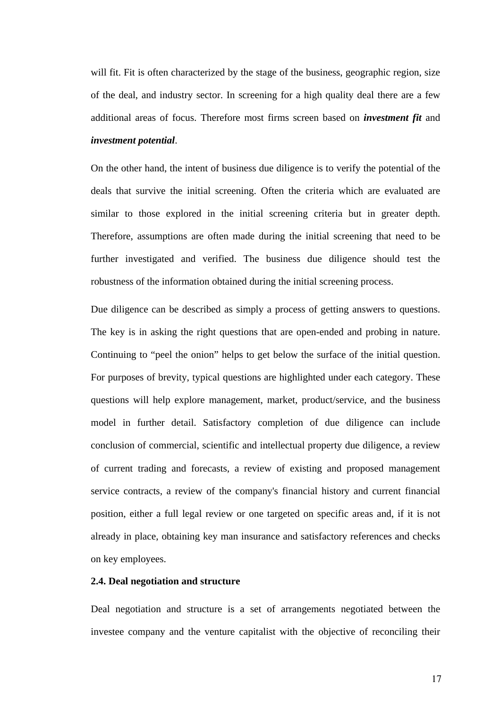<span id="page-22-0"></span>will fit. Fit is often characterized by the stage of the business, geographic region, size of the deal, and industry sector. In screening for a high quality deal there are a few additional areas of focus. Therefore most firms screen based on *investment fit* and *investment potential*.

On the other hand, the intent of business due diligence is to verify the potential of the deals that survive the initial screening. Often the criteria which are evaluated are similar to those explored in the initial screening criteria but in greater depth. Therefore, assumptions are often made during the initial screening that need to be further investigated and verified. The business due diligence should test the robustness of the information obtained during the initial screening process.

Due diligence can be described as simply a process of getting answers to questions. The key is in asking the right questions that are open-ended and probing in nature. Continuing to "peel the onion" helps to get below the surface of the initial question. For purposes of brevity, typical questions are highlighted under each category. These questions will help explore management, market, product/service, and the business model in further detail. Satisfactory completion of due diligence can include conclusion of commercial, scientific and intellectual property due diligence, a review of current trading and forecasts, a review of existing and proposed management service contracts, a review of the company's financial history and current financial position, either a full legal review or one targeted on specific areas and, if it is not already in place, obtaining key man insurance and satisfactory references and checks on key employees.

## **2.4. Deal negotiation and structure**

Deal negotiation and structure is a set of arrangements negotiated between the investee company and the venture capitalist with the objective of reconciling their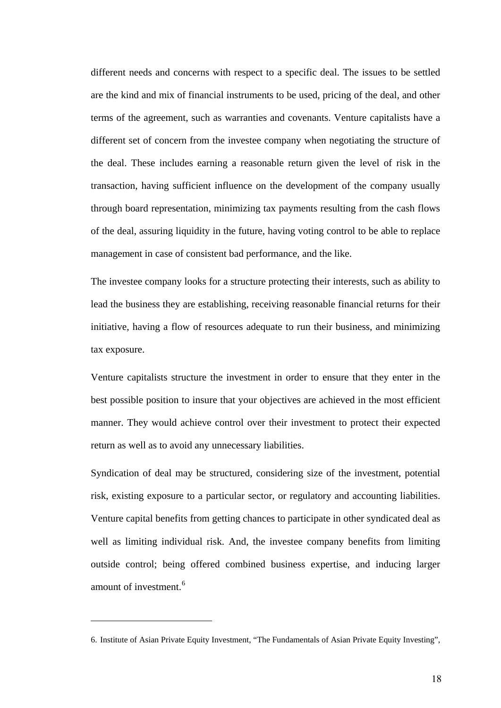<span id="page-23-0"></span>different needs and concerns with respect to a specific deal. The issues to be settled are the kind and mix of financial instruments to be used, pricing of the deal, and other terms of the agreement, such as warranties and covenants. Venture capitalists have a different set of concern from the investee company when negotiating the structure of the deal. These includes earning a reasonable return given the level of risk in the transaction, having sufficient influence on the development of the company usually through board representation, minimizing tax payments resulting from the cash flows of the deal, assuring liquidity in the future, having voting control to be able to replace management in case of consistent bad performance, and the like.

The investee company looks for a structure protecting their interests, such as ability to lead the business they are establishing, receiving reasonable financial returns for their initiative, having a flow of resources adequate to run their business, and minimizing tax exposure.

Venture capitalists structure the investment in order to ensure that they enter in the best possible position to insure that your objectives are achieved in the most efficient manner. They would achieve control over their investment to protect their expected return as well as to avoid any unnecessary liabilities.

Syndication of deal may be structured, considering size of the investment, potential risk, existing exposure to a particular sector, or regulatory and accounting liabilities. Venture capital benefits from getting chances to participate in other syndicated deal as well as limiting individual risk. And, the investee company benefits from limiting outside control; being offered combined business expertise, and inducing larger amount of investment.<sup>[6](#page-23-0)</sup>

<sup>6.</sup> Institute of Asian Private Equity Investment, "The Fundamentals of Asian Private Equity Investing",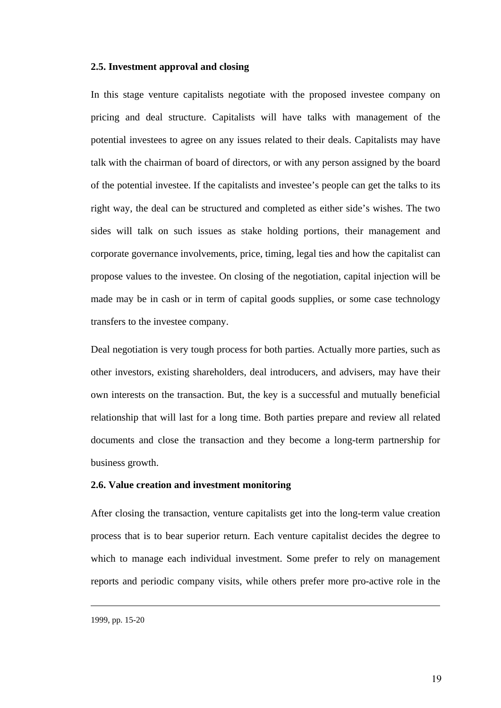### <span id="page-24-0"></span>**2.5. Investment approval and closing**

In this stage venture capitalists negotiate with the proposed investee company on pricing and deal structure. Capitalists will have talks with management of the potential investees to agree on any issues related to their deals. Capitalists may have talk with the chairman of board of directors, or with any person assigned by the board of the potential investee. If the capitalists and investee's people can get the talks to its right way, the deal can be structured and completed as either side's wishes. The two sides will talk on such issues as stake holding portions, their management and corporate governance involvements, price, timing, legal ties and how the capitalist can propose values to the investee. On closing of the negotiation, capital injection will be made may be in cash or in term of capital goods supplies, or some case technology transfers to the investee company.

Deal negotiation is very tough process for both parties. Actually more parties, such as other investors, existing shareholders, deal introducers, and advisers, may have their own interests on the transaction. But, the key is a successful and mutually beneficial relationship that will last for a long time. Both parties prepare and review all related documents and close the transaction and they become a long-term partnership for business growth.

### **2.6. Value creation and investment monitoring**

After closing the transaction, venture capitalists get into the long-term value creation process that is to bear superior return. Each venture capitalist decides the degree to which to manage each individual investment. Some prefer to rely on management reports and periodic company visits, while others prefer more pro-active role in the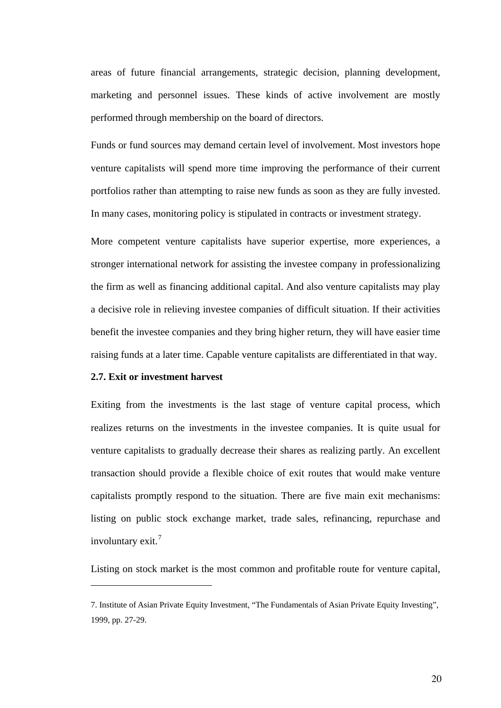<span id="page-25-0"></span>areas of future financial arrangements, strategic decision, planning development, marketing and personnel issues. These kinds of active involvement are mostly performed through membership on the board of directors.

Funds or fund sources may demand certain level of involvement. Most investors hope venture capitalists will spend more time improving the performance of their current portfolios rather than attempting to raise new funds as soon as they are fully invested. In many cases, monitoring policy is stipulated in contracts or investment strategy.

More competent venture capitalists have superior expertise, more experiences, a stronger international network for assisting the investee company in professionalizing the firm as well as financing additional capital. And also venture capitalists may play a decisive role in relieving investee companies of difficult situation. If their activities benefit the investee companies and they bring higher return, they will have easier time raising funds at a later time. Capable venture capitalists are differentiated in that way.

### **2.7. Exit or investment harvest**

 $\overline{a}$ 

Exiting from the investments is the last stage of venture capital process, which realizes returns on the investments in the investee companies. It is quite usual for venture capitalists to gradually decrease their shares as realizing partly. An excellent transaction should provide a flexible choice of exit routes that would make venture capitalists promptly respond to the situation. There are five main exit mechanisms: listing on public stock exchange market, trade sales, refinancing, repurchase and involuntary exit.<sup>[7](#page-25-0)</sup>

Listing on stock market is the most common and profitable route for venture capital,

<sup>7.</sup> Institute of Asian Private Equity Investment, "The Fundamentals of Asian Private Equity Investing", 1999, pp. 27-29.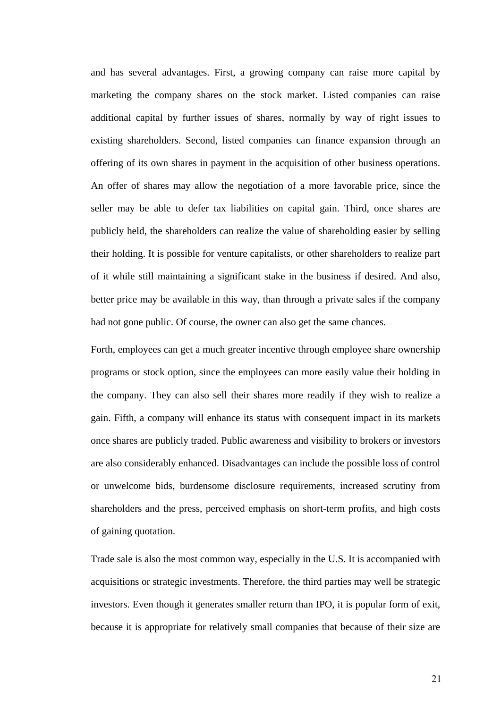and has several advantages. First, a growing company can raise more capital by marketing the company shares on the stock market. Listed companies can raise additional capital by further issues of shares, normally by way of right issues to existing shareholders. Second, listed companies can finance expansion through an offering of its own shares in payment in the acquisition of other business operations. An offer of shares may allow the negotiation of a more favorable price, since the seller may be able to defer tax liabilities on capital gain. Third, once shares are publicly held, the shareholders can realize the value of shareholding easier by selling their holding. It is possible for venture capitalists, or other shareholders to realize part of it while still maintaining a significant stake in the business if desired. And also, better price may be available in this way, than through a private sales if the company had not gone public. Of course, the owner can also get the same chances.

Forth, employees can get a much greater incentive through employee share ownership programs or stock option, since the employees can more easily value their holding in the company. They can also sell their shares more readily if they wish to realize a gain. Fifth, a company will enhance its status with consequent impact in its markets once shares are publicly traded. Public awareness and visibility to brokers or investors are also considerably enhanced. Disadvantages can include the possible loss of control or unwelcome bids, burdensome disclosure requirements, increased scrutiny from shareholders and the press, perceived emphasis on short-term profits, and high costs of gaining quotation.

Trade sale is also the most common way, especially in the U.S. It is accompanied with acquisitions or strategic investments. Therefore, the third parties may well be strategic investors. Even though it generates smaller return than IPO, it is popular form of exit, because it is appropriate for relatively small companies that because of their size are

21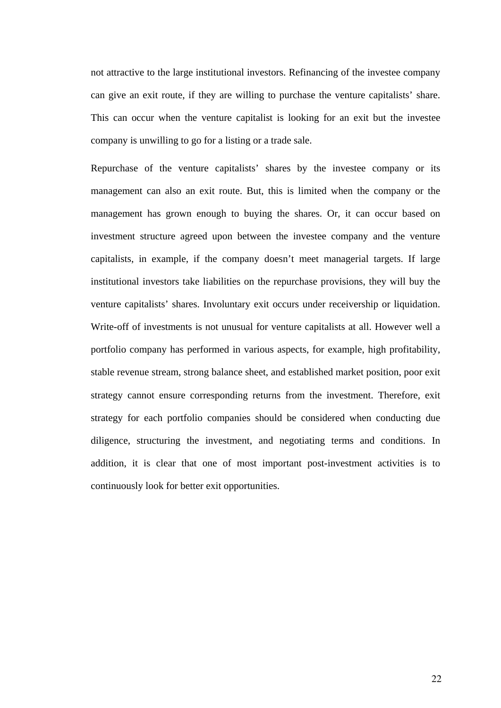not attractive to the large institutional investors. Refinancing of the investee company can give an exit route, if they are willing to purchase the venture capitalists' share. This can occur when the venture capitalist is looking for an exit but the investee company is unwilling to go for a listing or a trade sale.

Repurchase of the venture capitalists' shares by the investee company or its management can also an exit route. But, this is limited when the company or the management has grown enough to buying the shares. Or, it can occur based on investment structure agreed upon between the investee company and the venture capitalists, in example, if the company doesn't meet managerial targets. If large institutional investors take liabilities on the repurchase provisions, they will buy the venture capitalists' shares. Involuntary exit occurs under receivership or liquidation. Write-off of investments is not unusual for venture capitalists at all. However well a portfolio company has performed in various aspects, for example, high profitability, stable revenue stream, strong balance sheet, and established market position, poor exit strategy cannot ensure corresponding returns from the investment. Therefore, exit strategy for each portfolio companies should be considered when conducting due diligence, structuring the investment, and negotiating terms and conditions. In addition, it is clear that one of most important post-investment activities is to continuously look for better exit opportunities.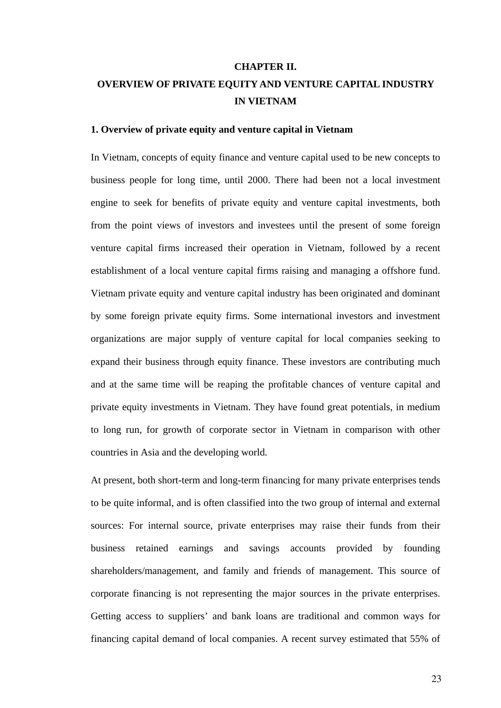### **CHAPTER II.**

# <span id="page-28-0"></span>**OVERVIEW OF PRIVATE EQUITY AND VENTURE CAPITAL INDUSTRY IN VIETNAM**

### **1. Overview of private equity and venture capital in Vietnam**

In Vietnam, concepts of equity finance and venture capital used to be new concepts to business people for long time, until 2000. There had been not a local investment engine to seek for benefits of private equity and venture capital investments, both from the point views of investors and investees until the present of some foreign venture capital firms increased their operation in Vietnam, followed by a recent establishment of a local venture capital firms raising and managing a offshore fund. Vietnam private equity and venture capital industry has been originated and dominant by some foreign private equity firms. Some international investors and investment organizations are major supply of venture capital for local companies seeking to expand their business through equity finance. These investors are contributing much and at the same time will be reaping the profitable chances of venture capital and private equity investments in Vietnam. They have found great potentials, in medium to long run, for growth of corporate sector in Vietnam in comparison with other countries in Asia and the developing world.

At present, both short-term and long-term financing for many private enterprises tends to be quite informal, and is often classified into the two group of internal and external sources: For internal source, private enterprises may raise their funds from their business retained earnings and savings accounts provided by founding shareholders/management, and family and friends of management. This source of corporate financing is not representing the major sources in the private enterprises. Getting access to suppliers' and bank loans are traditional and common ways for financing capital demand of local companies. A recent survey estimated that 55% of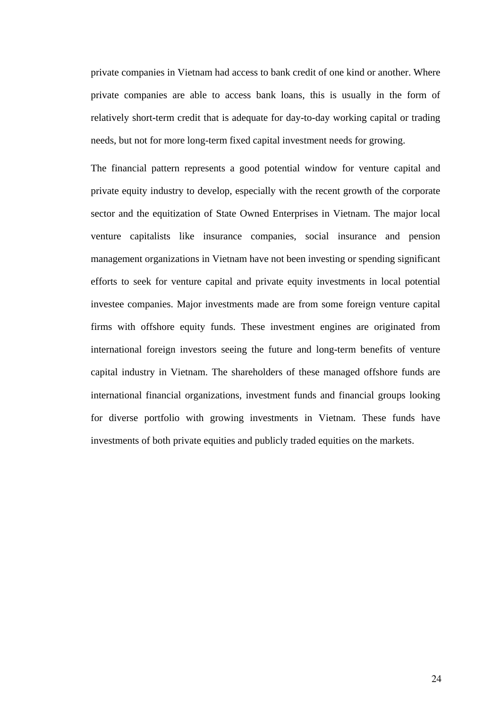private companies in Vietnam had access to bank credit of one kind or another. Where private companies are able to access bank loans, this is usually in the form of relatively short-term credit that is adequate for day-to-day working capital or trading needs, but not for more long-term fixed capital investment needs for growing.

The financial pattern represents a good potential window for venture capital and private equity industry to develop, especially with the recent growth of the corporate sector and the equitization of State Owned Enterprises in Vietnam. The major local venture capitalists like insurance companies, social insurance and pension management organizations in Vietnam have not been investing or spending significant efforts to seek for venture capital and private equity investments in local potential investee companies. Major investments made are from some foreign venture capital firms with offshore equity funds. These investment engines are originated from international foreign investors seeing the future and long-term benefits of venture capital industry in Vietnam. The shareholders of these managed offshore funds are international financial organizations, investment funds and financial groups looking for diverse portfolio with growing investments in Vietnam. These funds have investments of both private equities and publicly traded equities on the markets.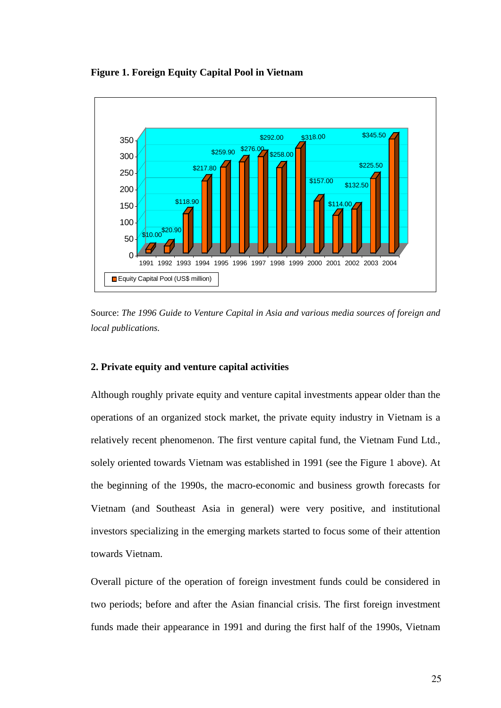<span id="page-30-0"></span>**Figure 1. Foreign Equity Capital Pool in Vietnam** 



Source: *The 1996 Guide to Venture Capital in Asia and various media sources of foreign and local publications.* 

### **2. Private equity and venture capital activities**

Although roughly private equity and venture capital investments appear older than the operations of an organized stock market, the private equity industry in Vietnam is a relatively recent phenomenon. The first venture capital fund, the Vietnam Fund Ltd., solely oriented towards Vietnam was established in 1991 (see the Figure 1 above). At the beginning of the 1990s, the macro-economic and business growth forecasts for Vietnam (and Southeast Asia in general) were very positive, and institutional investors specializing in the emerging markets started to focus some of their attention towards Vietnam.

Overall picture of the operation of foreign investment funds could be considered in two periods; before and after the Asian financial crisis. The first foreign investment funds made their appearance in 1991 and during the first half of the 1990s, Vietnam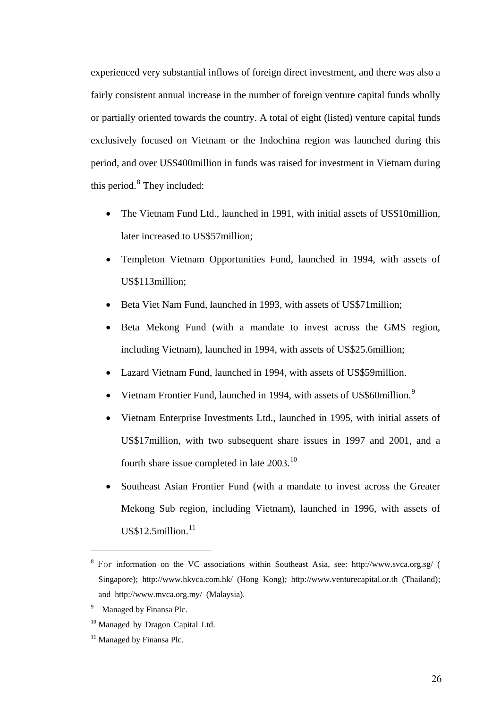<span id="page-31-0"></span>experienced very substantial inflows of foreign direct investment, and there was also a fairly consistent annual increase in the number of foreign venture capital funds wholly or partially oriented towards the country. A total of eight (listed) venture capital funds exclusively focused on Vietnam or the Indochina region was launched during this period, and over US\$400million in funds was raised for investment in Vietnam during this period. $8$  They included:

- The Vietnam Fund Ltd., launched in 1991, with initial assets of US\$10million, later increased to US\$57million;
- Templeton Vietnam Opportunities Fund, launched in 1994, with assets of US\$113million;
- Beta Viet Nam Fund, launched in 1993, with assets of US\$71million;
- Beta Mekong Fund (with a mandate to invest across the GMS region, including Vietnam), launched in 1994, with assets of US\$25.6million;
- Lazard Vietnam Fund, launched in 1994, with assets of US\$59million.
- Vietnam Frontier Fund, launched in 1[9](#page-31-0)94, with assets of US\$60million.<sup>9</sup>
- Vietnam Enterprise Investments Ltd., launched in 1995, with initial assets of US\$17million, with two subsequent share issues in 1997 and 2001, and a fourth share issue completed in late 2003.<sup>[10](#page-31-0)</sup>
- Southeast Asian Frontier Fund (with a mandate to invest across the Greater Mekong Sub region, including Vietnam), launched in 1996, with assets of  $US$12.5$ million. $^{11}$  $^{11}$  $^{11}$

<sup>8</sup> For information on the VC associations within Southeast Asia, see: http://www.svca.org.sg/ ( Singapore); http://www.hkvca.com.hk/ (Hong Kong); http://www.venturecapital.or.th (Thailand); and <http://www.mvca.org.my/> (Malaysia).

<sup>&</sup>lt;sup>9</sup> Managed by Finansa Plc.

<sup>&</sup>lt;sup>10</sup> Managed by Dragon Capital Ltd.

<sup>&</sup>lt;sup>11</sup> Managed by Finansa Plc.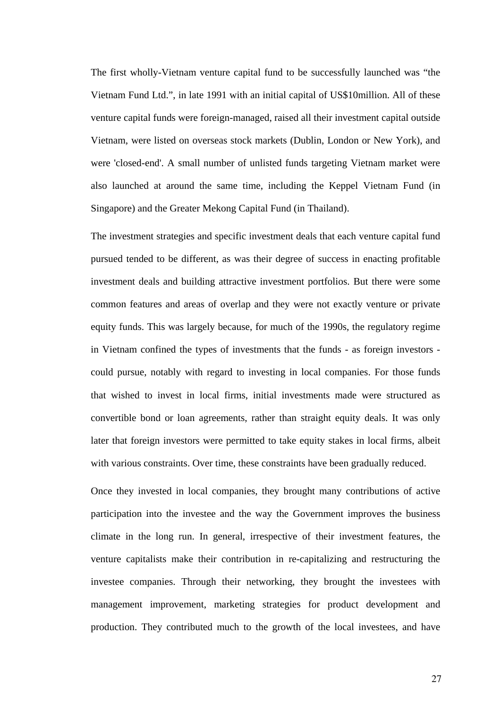The first wholly-Vietnam venture capital fund to be successfully launched was "the Vietnam Fund Ltd.", in late 1991 with an initial capital of US\$10million. All of these venture capital funds were foreign-managed, raised all their investment capital outside Vietnam, were listed on overseas stock markets (Dublin, London or New York), and were 'closed-end'. A small number of unlisted funds targeting Vietnam market were also launched at around the same time, including the Keppel Vietnam Fund (in Singapore) and the Greater Mekong Capital Fund (in Thailand).

The investment strategies and specific investment deals that each venture capital fund pursued tended to be different, as was their degree of success in enacting profitable investment deals and building attractive investment portfolios. But there were some common features and areas of overlap and they were not exactly venture or private equity funds. This was largely because, for much of the 1990s, the regulatory regime in Vietnam confined the types of investments that the funds - as foreign investors could pursue, notably with regard to investing in local companies. For those funds that wished to invest in local firms, initial investments made were structured as convertible bond or loan agreements, rather than straight equity deals. It was only later that foreign investors were permitted to take equity stakes in local firms, albeit with various constraints. Over time, these constraints have been gradually reduced.

Once they invested in local companies, they brought many contributions of active participation into the investee and the way the Government improves the business climate in the long run. In general, irrespective of their investment features, the venture capitalists make their contribution in re-capitalizing and restructuring the investee companies. Through their networking, they brought the investees with management improvement, marketing strategies for product development and production. They contributed much to the growth of the local investees, and have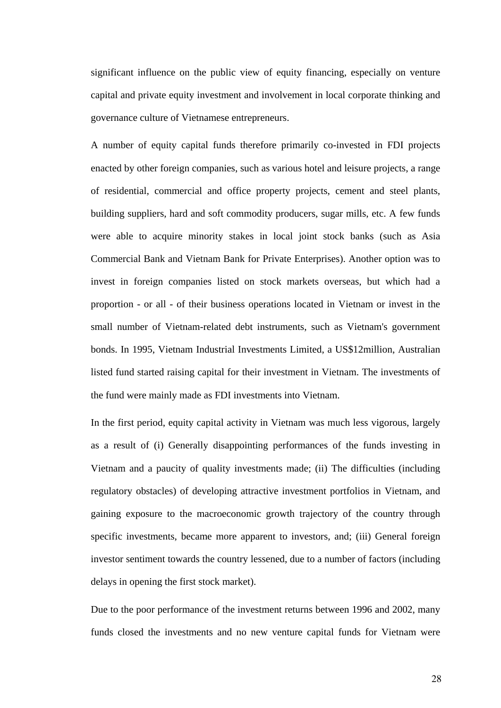significant influence on the public view of equity financing, especially on venture capital and private equity investment and involvement in local corporate thinking and governance culture of Vietnamese entrepreneurs.

A number of equity capital funds therefore primarily co-invested in FDI projects enacted by other foreign companies, such as various hotel and leisure projects, a range of residential, commercial and office property projects, cement and steel plants, building suppliers, hard and soft commodity producers, sugar mills, etc. A few funds were able to acquire minority stakes in local joint stock banks (such as Asia Commercial Bank and Vietnam Bank for Private Enterprises). Another option was to invest in foreign companies listed on stock markets overseas, but which had a proportion - or all - of their business operations located in Vietnam or invest in the small number of Vietnam-related debt instruments, such as Vietnam's government bonds. In 1995, Vietnam Industrial Investments Limited, a US\$12million, Australian listed fund started raising capital for their investment in Vietnam. The investments of the fund were mainly made as FDI investments into Vietnam.

In the first period, equity capital activity in Vietnam was much less vigorous, largely as a result of (i) Generally disappointing performances of the funds investing in Vietnam and a paucity of quality investments made; (ii) The difficulties (including regulatory obstacles) of developing attractive investment portfolios in Vietnam, and gaining exposure to the macroeconomic growth trajectory of the country through specific investments, became more apparent to investors, and; (iii) General foreign investor sentiment towards the country lessened, due to a number of factors (including delays in opening the first stock market).

Due to the poor performance of the investment returns between 1996 and 2002, many funds closed the investments and no new venture capital funds for Vietnam were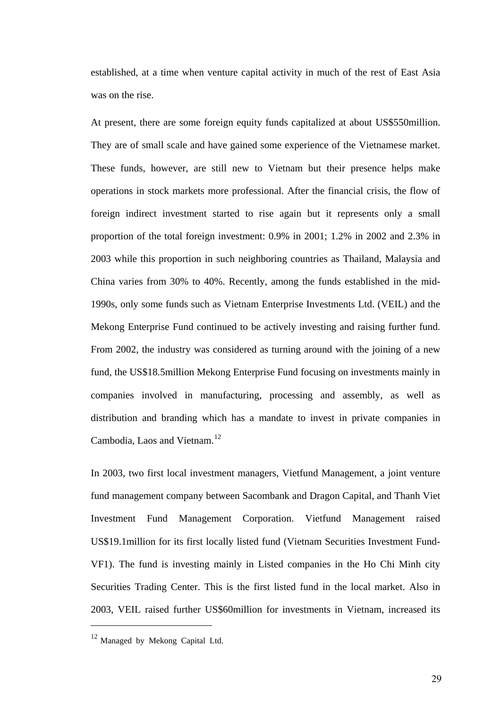<span id="page-34-0"></span>established, at a time when venture capital activity in much of the rest of East Asia was on the rise.

At present, there are some foreign equity funds capitalized at about US\$550million. They are of small scale and have gained some experience of the Vietnamese market. These funds, however, are still new to Vietnam but their presence helps make operations in stock markets more professional. After the financial crisis, the flow of foreign indirect investment started to rise again but it represents only a small proportion of the total foreign investment: 0.9% in 2001; 1.2% in 2002 and 2.3% in 2003 while this proportion in such neighboring countries as Thailand, Malaysia and China varies from 30% to 40%. Recently, among the funds established in the mid-1990s, only some funds such as Vietnam Enterprise Investments Ltd. (VEIL) and the Mekong Enterprise Fund continued to be actively investing and raising further fund. From 2002, the industry was considered as turning around with the joining of a new fund, the US\$18.5million Mekong Enterprise Fund focusing on investments mainly in companies involved in manufacturing, processing and assembly, as well as distribution and branding which has a mandate to invest in private companies in Cambodia, Laos and Vietnam.<sup>[12](#page-34-0)</sup>

In 2003, two first local investment managers, Vietfund Management, a joint venture fund management company between Sacombank and Dragon Capital, and Thanh Viet Investment Fund Management Corporation. Vietfund Management raised US\$19.1million for its first locally listed fund (Vietnam Securities Investment Fund-VF1). The fund is investing mainly in Listed companies in the Ho Chi Minh city Securities Trading Center. This is the first listed fund in the local market. Also in 2003, VEIL raised further US\$60million for investments in Vietnam, increased its

<sup>&</sup>lt;sup>12</sup> Managed by Mekong Capital Ltd.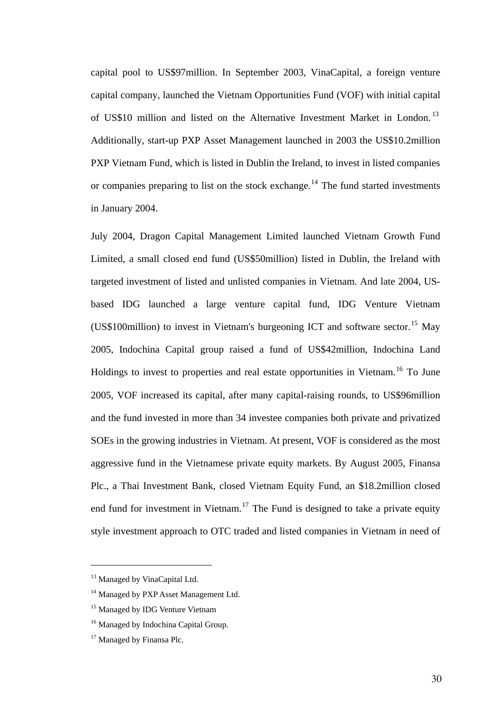<span id="page-35-0"></span>capital pool to US\$97million. In September 2003, VinaCapital, a foreign venture capital company, launched the Vietnam Opportunities Fund (VOF) with initial capital of US\$10 million and listed on the Alternative Investment Market in London.<sup>[13](#page-35-0)</sup> Additionally, start-up PXP Asset Management launched in 2003 the US\$10.2million PXP Vietnam Fund, which is listed in Dublin the Ireland, to invest in listed companies or companies preparing to list on the stock exchange.<sup>[14](#page-35-0)</sup> The fund started investments in January 2004.

July 2004, Dragon Capital Management Limited launched Vietnam Growth Fund Limited, a small closed end fund (US\$50million) listed in Dublin, the Ireland with targeted investment of listed and unlisted companies in Vietnam. And late 2004, USbased IDG launched a large venture capital fund, IDG Venture Vietnam (US\$100million) to invest in Vietnam's burgeoning ICT and software sector.<sup>[15](#page-35-0)</sup> May 2005, Indochina Capital group raised a fund of US\$42million, Indochina Land Holdings to invest to properties and real estate opportunities in Vietnam.<sup>[16](#page-35-0)</sup> To June 2005, VOF increased its capital, after many capital-raising rounds, to US\$96million and the fund invested in more than 34 investee companies both private and privatized SOEs in the growing industries in Vietnam. At present, VOF is considered as the most aggressive fund in the Vietnamese private equity markets. By August 2005, Finansa Plc., a Thai Investment Bank, closed Vietnam Equity Fund, an \$18.2million closed end fund for investment in Vietnam.<sup>[17](#page-35-0)</sup> The Fund is designed to take a private equity style investment approach to OTC traded and listed companies in Vietnam in need of

<sup>&</sup>lt;sup>13</sup> Managed by VinaCapital Ltd.

<sup>&</sup>lt;sup>14</sup> Managed by PXP Asset Management Ltd.

<sup>&</sup>lt;sup>15</sup> Managed by IDG Venture Vietnam

<sup>&</sup>lt;sup>16</sup> Managed by Indochina Capital Group.

<sup>&</sup>lt;sup>17</sup> Managed by Finansa Plc.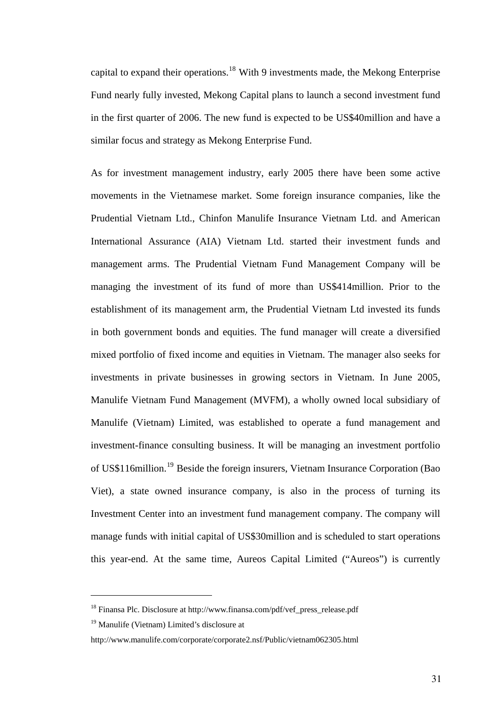<span id="page-36-0"></span>capital to expand their operations.<sup>[18](#page-36-0)</sup> With 9 investments made, the Mekong Enterprise Fund nearly fully invested, Mekong Capital plans to launch a second investment fund in the first quarter of 2006. The new fund is expected to be US\$40million and have a similar focus and strategy as Mekong Enterprise Fund.

As for investment management industry, early 2005 there have been some active movements in the Vietnamese market. Some foreign insurance companies, like the Prudential Vietnam Ltd., Chinfon Manulife Insurance Vietnam Ltd. and American International Assurance (AIA) Vietnam Ltd. started their investment funds and management arms. The Prudential Vietnam Fund Management Company will be managing the investment of its fund of more than US\$414million. Prior to the establishment of its management arm, the Prudential Vietnam Ltd invested its funds in both government bonds and equities. The fund manager will create a diversified mixed portfolio of fixed income and equities in Vietnam. The manager also seeks for investments in private businesses in growing sectors in Vietnam. In June 2005, Manulife Vietnam Fund Management (MVFM), a wholly owned local subsidiary of Manulife (Vietnam) Limited, was established to operate a fund management and investment-finance consulting business. It will be managing an investment portfolio of US\$116million.[19](#page-36-0) Beside the foreign insurers, Vietnam Insurance Corporation (Bao Viet), a state owned insurance company, is also in the process of turning its Investment Center into an investment fund management company. The company will manage funds with initial capital of US\$30million and is scheduled to start operations this year-end. At the same time, Aureos Capital Limited ("Aureos") is currently

 $\overline{a}$ 

<sup>18</sup> Finansa Plc. Disclosure at http://www.finansa.com/pdf/vef\_press\_release.pdf

<sup>&</sup>lt;sup>19</sup> Manulife (Vietnam) Limited's disclosure at

http://www.manulife.com/corporate/corporate2.nsf/Public/vietnam062305.html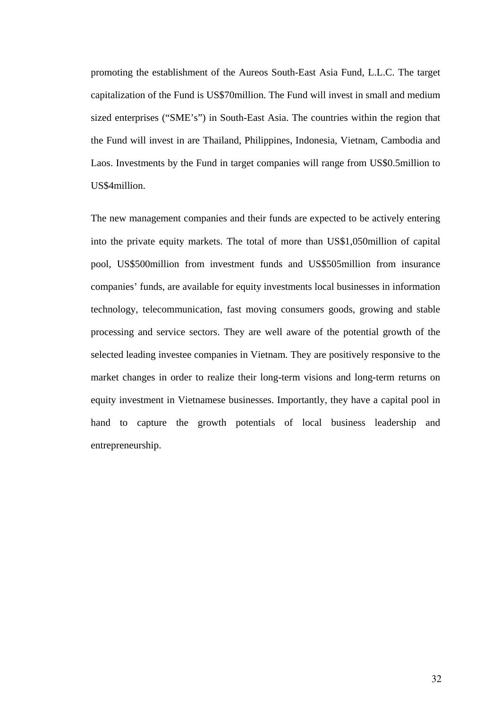promoting the establishment of the Aureos South-East Asia Fund, L.L.C. The target capitalization of the Fund is US\$70million. The Fund will invest in small and medium sized enterprises ("SME's") in South-East Asia. The countries within the region that the Fund will invest in are Thailand, Philippines, Indonesia, Vietnam, Cambodia and Laos. Investments by the Fund in target companies will range from US\$0.5million to US\$4million.

The new management companies and their funds are expected to be actively entering into the private equity markets. The total of more than US\$1,050million of capital pool, US\$500million from investment funds and US\$505million from insurance companies' funds, are available for equity investments local businesses in information technology, telecommunication, fast moving consumers goods, growing and stable processing and service sectors. They are well aware of the potential growth of the selected leading investee companies in Vietnam. They are positively responsive to the market changes in order to realize their long-term visions and long-term returns on equity investment in Vietnamese businesses. Importantly, they have a capital pool in hand to capture the growth potentials of local business leadership and entrepreneurship.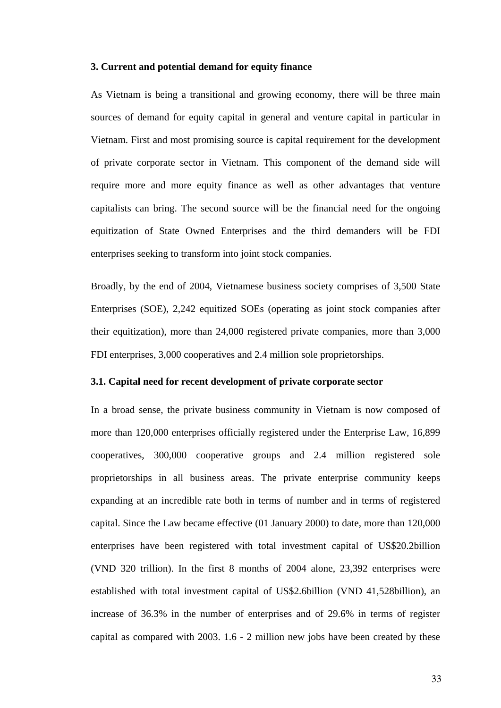### **3. Current and potential demand for equity finance**

As Vietnam is being a transitional and growing economy, there will be three main sources of demand for equity capital in general and venture capital in particular in Vietnam. First and most promising source is capital requirement for the development of private corporate sector in Vietnam. This component of the demand side will require more and more equity finance as well as other advantages that venture capitalists can bring. The second source will be the financial need for the ongoing equitization of State Owned Enterprises and the third demanders will be FDI enterprises seeking to transform into joint stock companies.

Broadly, by the end of 2004, Vietnamese business society comprises of 3,500 State Enterprises (SOE), 2,242 equitized SOEs (operating as joint stock companies after their equitization), more than 24,000 registered private companies, more than 3,000 FDI enterprises, 3,000 cooperatives and 2.4 million sole proprietorships.

#### **3.1. Capital need for recent development of private corporate sector**

In a broad sense, the private business community in Vietnam is now composed of more than 120,000 enterprises officially registered under the Enterprise Law, 16,899 cooperatives, 300,000 cooperative groups and 2.4 million registered sole proprietorships in all business areas. The private enterprise community keeps expanding at an incredible rate both in terms of number and in terms of registered capital. Since the Law became effective (01 January 2000) to date, more than 120,000 enterprises have been registered with total investment capital of US\$20.2billion (VND 320 trillion). In the first 8 months of 2004 alone, 23,392 enterprises were established with total investment capital of US\$2.6billion (VND 41,528billion), an increase of 36.3% in the number of enterprises and of 29.6% in terms of register capital as compared with 2003. 1.6 - 2 million new jobs have been created by these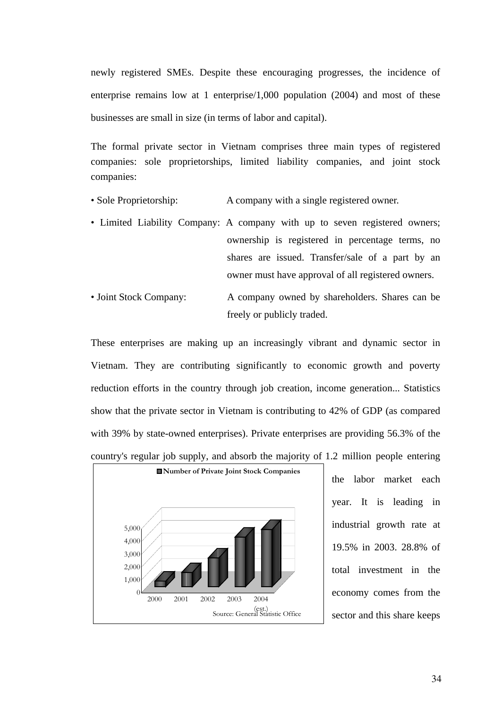newly registered SMEs. Despite these encouraging progresses, the incidence of enterprise remains low at 1 enterprise/1,000 population (2004) and most of these businesses are small in size (in terms of labor and capital).

The formal private sector in Vietnam comprises three main types of registered companies: sole proprietorships, limited liability companies, and joint stock companies:

- Sole Proprietorship: A company with a single registered owner.
- Limited Liability Company: A company with up to seven registered owners; ownership is registered in percentage terms, no shares are issued. Transfer/sale of a part by an owner must have approval of all registered owners.
- Joint Stock Company: A company owned by shareholders. Shares can be freely or publicly traded.

These enterprises are making up an increasingly vibrant and dynamic sector in Vietnam. They are contributing significantly to economic growth and poverty reduction efforts in the country through job creation, income generation... Statistics show that the private sector in Vietnam is contributing to 42% of GDP (as compared with 39% by state-owned enterprises). Private enterprises are providing 56.3% of the country's regular job supply, and absorb the majority of 1.2 million people entering



the labor market each year. It is leading in industrial growth rate at 19.5% in 2003. 28.8% of total investment in the economy comes from the sector and this share keeps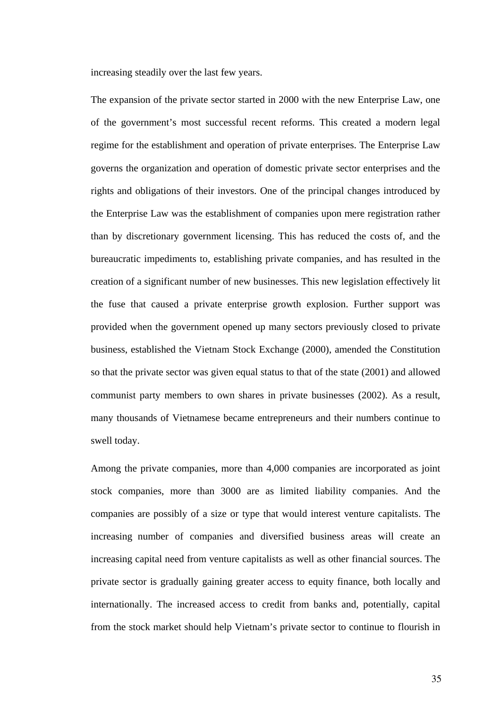increasing steadily over the last few years.

The expansion of the private sector started in 2000 with the new Enterprise Law, one of the government's most successful recent reforms. This created a modern legal regime for the establishment and operation of private enterprises. The Enterprise Law governs the organization and operation of domestic private sector enterprises and the rights and obligations of their investors. One of the principal changes introduced by the Enterprise Law was the establishment of companies upon mere registration rather than by discretionary government licensing. This has reduced the costs of, and the bureaucratic impediments to, establishing private companies, and has resulted in the creation of a significant number of new businesses. This new legislation effectively lit the fuse that caused a private enterprise growth explosion. Further support was provided when the government opened up many sectors previously closed to private business, established the Vietnam Stock Exchange (2000), amended the Constitution so that the private sector was given equal status to that of the state (2001) and allowed communist party members to own shares in private businesses (2002). As a result, many thousands of Vietnamese became entrepreneurs and their numbers continue to swell today.

Among the private companies, more than 4,000 companies are incorporated as joint stock companies, more than 3000 are as limited liability companies. And the companies are possibly of a size or type that would interest venture capitalists. The increasing number of companies and diversified business areas will create an increasing capital need from venture capitalists as well as other financial sources. The private sector is gradually gaining greater access to equity finance, both locally and internationally. The increased access to credit from banks and, potentially, capital from the stock market should help Vietnam's private sector to continue to flourish in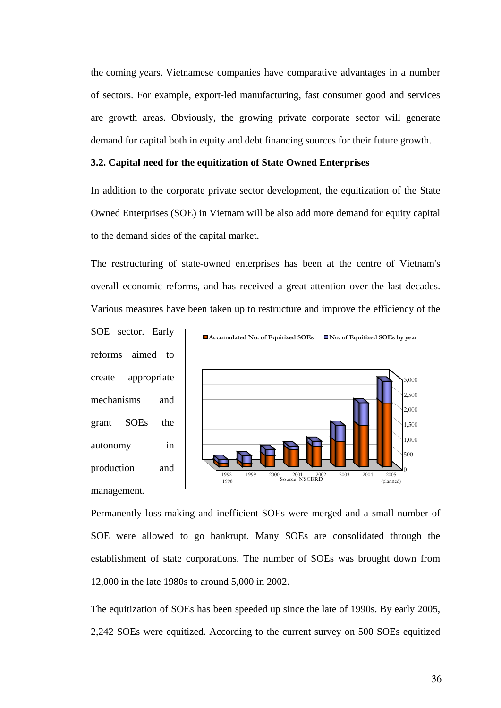the coming years. Vietnamese companies have comparative advantages in a number of sectors. For example, export-led manufacturing, fast consumer good and services are growth areas. Obviously, the growing private corporate sector will generate demand for capital both in equity and debt financing sources for their future growth.

## **3.2. Capital need for the equitization of State Owned Enterprises**

In addition to the corporate private sector development, the equitization of the State Owned Enterprises (SOE) in Vietnam will be also add more demand for equity capital to the demand sides of the capital market.

The restructuring of state-owned enterprises has been at the centre of Vietnam's overall economic reforms, and has received a great attention over the last decades. Various measures have been taken up to restructure and improve the efficiency of the

SOE sector. Early reforms aimed to create appropriate mechanisms and grant SOEs the autonomy in production and management.



Permanently loss-making and inefficient SOEs were merged and a small number of SOE were allowed to go bankrupt. Many SOEs are consolidated through the establishment of state corporations. The number of SOEs was brought down from 12,000 in the late 1980s to around 5,000 in 2002.

The equitization of SOEs has been speeded up since the late of 1990s. By early 2005, 2,242 SOEs were equitized. According to the current survey on 500 SOEs equitized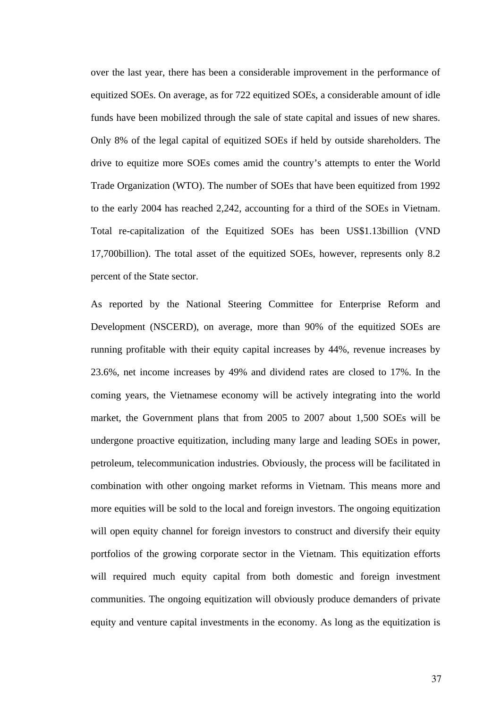over the last year, there has been a considerable improvement in the performance of equitized SOEs. On average, as for 722 equitized SOEs, a considerable amount of idle funds have been mobilized through the sale of state capital and issues of new shares. Only 8% of the legal capital of equitized SOEs if held by outside shareholders. The drive to equitize more SOEs comes amid the country's attempts to enter the World Trade Organization (WTO). The number of SOEs that have been equitized from 1992 to the early 2004 has reached 2,242, accounting for a third of the SOEs in Vietnam. Total re-capitalization of the Equitized SOEs has been US\$1.13billion (VND 17,700billion). The total asset of the equitized SOEs, however, represents only 8.2 percent of the State sector.

As reported by the National Steering Committee for Enterprise Reform and Development (NSCERD), on average, more than 90% of the equitized SOEs are running profitable with their equity capital increases by 44%, revenue increases by 23.6%, net income increases by 49% and dividend rates are closed to 17%. In the coming years, the Vietnamese economy will be actively integrating into the world market, the Government plans that from 2005 to 2007 about 1,500 SOEs will be undergone proactive equitization, including many large and leading SOEs in power, petroleum, telecommunication industries. Obviously, the process will be facilitated in combination with other ongoing market reforms in Vietnam. This means more and more equities will be sold to the local and foreign investors. The ongoing equitization will open equity channel for foreign investors to construct and diversify their equity portfolios of the growing corporate sector in the Vietnam. This equitization efforts will required much equity capital from both domestic and foreign investment communities. The ongoing equitization will obviously produce demanders of private equity and venture capital investments in the economy. As long as the equitization is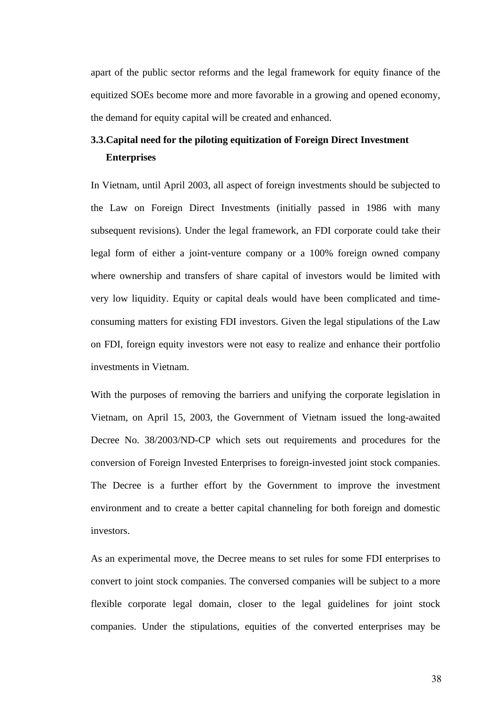apart of the public sector reforms and the legal framework for equity finance of the equitized SOEs become more and more favorable in a growing and opened economy, the demand for equity capital will be created and enhanced.

## **3.3.Capital need for the piloting equitization of Foreign Direct Investment Enterprises**

In Vietnam, until April 2003, all aspect of foreign investments should be subjected to the Law on Foreign Direct Investments (initially passed in 1986 with many subsequent revisions). Under the legal framework, an FDI corporate could take their legal form of either a joint-venture company or a 100% foreign owned company where ownership and transfers of share capital of investors would be limited with very low liquidity. Equity or capital deals would have been complicated and timeconsuming matters for existing FDI investors. Given the legal stipulations of the Law on FDI, foreign equity investors were not easy to realize and enhance their portfolio investments in Vietnam.

With the purposes of removing the barriers and unifying the corporate legislation in Vietnam, on April 15, 2003, the Government of Vietnam issued the long-awaited Decree No. 38/2003/ND-CP which sets out requirements and procedures for the conversion of Foreign Invested Enterprises to foreign-invested joint stock companies. The Decree is a further effort by the Government to improve the investment environment and to create a better capital channeling for both foreign and domestic investors.

As an experimental move, the Decree means to set rules for some FDI enterprises to convert to joint stock companies. The conversed companies will be subject to a more flexible corporate legal domain, closer to the legal guidelines for joint stock companies. Under the stipulations, equities of the converted enterprises may be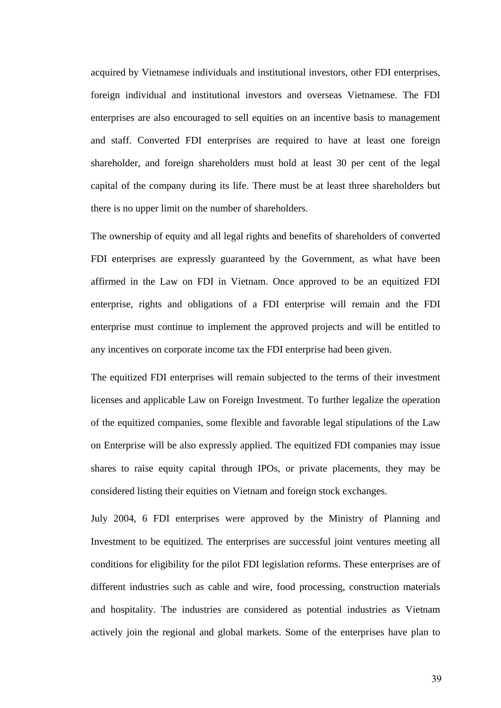acquired by Vietnamese individuals and institutional investors, other FDI enterprises, foreign individual and institutional investors and overseas Vietnamese. The FDI enterprises are also encouraged to sell equities on an incentive basis to management and staff. Converted FDI enterprises are required to have at least one foreign shareholder, and foreign shareholders must hold at least 30 per cent of the legal capital of the company during its life. There must be at least three shareholders but there is no upper limit on the number of shareholders.

The ownership of equity and all legal rights and benefits of shareholders of converted FDI enterprises are expressly guaranteed by the Government, as what have been affirmed in the Law on FDI in Vietnam. Once approved to be an equitized FDI enterprise, rights and obligations of a FDI enterprise will remain and the FDI enterprise must continue to implement the approved projects and will be entitled to any incentives on corporate income tax the FDI enterprise had been given.

The equitized FDI enterprises will remain subjected to the terms of their investment licenses and applicable Law on Foreign Investment. To further legalize the operation of the equitized companies, some flexible and favorable legal stipulations of the Law on Enterprise will be also expressly applied. The equitized FDI companies may issue shares to raise equity capital through IPOs, or private placements, they may be considered listing their equities on Vietnam and foreign stock exchanges.

July 2004, 6 FDI enterprises were approved by the Ministry of Planning and Investment to be equitized. The enterprises are successful joint ventures meeting all conditions for eligibility for the pilot FDI legislation reforms. These enterprises are of different industries such as cable and wire, food processing, construction materials and hospitality. The industries are considered as potential industries as Vietnam actively join the regional and global markets. Some of the enterprises have plan to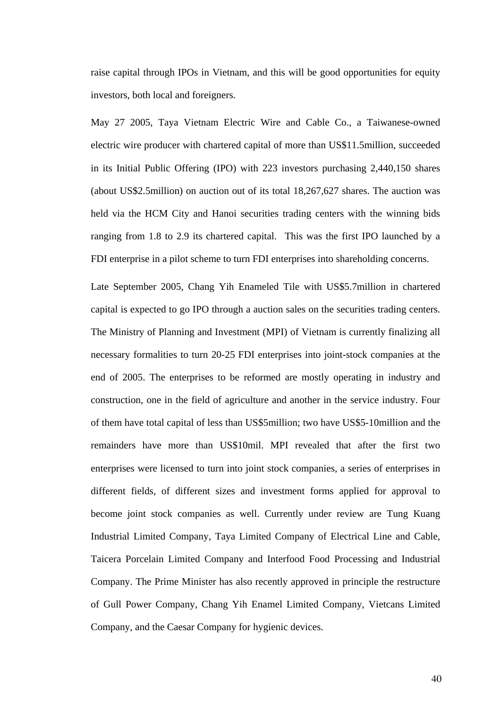raise capital through IPOs in Vietnam, and this will be good opportunities for equity investors, both local and foreigners.

May 27 2005, Taya Vietnam Electric Wire and Cable Co., a Taiwanese-owned electric wire producer with chartered capital of more than US\$11.5million, succeeded in its Initial Public Offering (IPO) with 223 investors purchasing 2,440,150 shares (about US\$2.5million) on auction out of its total 18,267,627 shares. The auction was held via the HCM City and Hanoi securities trading centers with the winning bids ranging from 1.8 to 2.9 its chartered capital. This was the first IPO launched by a FDI enterprise in a pilot scheme to turn FDI enterprises into shareholding concerns.

Late September 2005, Chang Yih Enameled Tile with US\$5.7million in chartered capital is expected to go IPO through a auction sales on the securities trading centers. The Ministry of Planning and Investment (MPI) of Vietnam is currently finalizing all necessary formalities to turn 20-25 FDI enterprises into joint-stock companies at the end of 2005. The enterprises to be reformed are mostly operating in industry and construction, one in the field of agriculture and another in the service industry. Four of them have total capital of less than US\$5million; two have US\$5-10million and the remainders have more than US\$10mil. MPI revealed that after the first two enterprises were licensed to turn into joint stock companies, a series of enterprises in different fields, of different sizes and investment forms applied for approval to become joint stock companies as well. Currently under review are Tung Kuang Industrial Limited Company, Taya Limited Company of Electrical Line and Cable, Taicera Porcelain Limited Company and Interfood Food Processing and Industrial Company. The Prime Minister has also recently approved in principle the restructure of Gull Power Company, Chang Yih Enamel Limited Company, Vietcans Limited Company, and the Caesar Company for hygienic devices.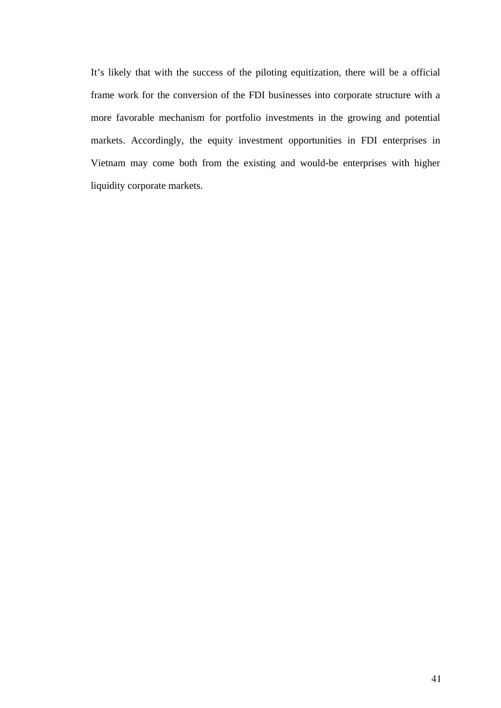<span id="page-46-0"></span>It's likely that with the success of the piloting equitization, there will be a official frame work for the conversion of the FDI businesses into corporate structure with a more favorable mechanism for portfolio investments in the growing and potential markets. Accordingly, the equity investment opportunities in FDI enterprises in Vietnam may come both from the existing and would-be enterprises with higher liquidity corporate markets.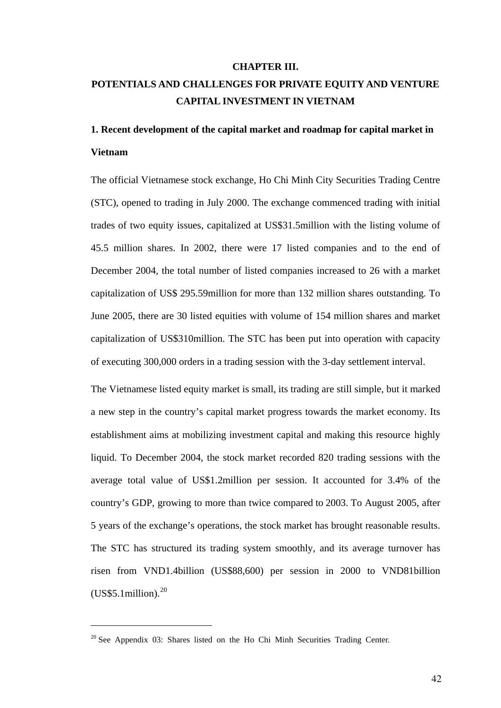#### **CHAPTER III.**

## **POTENTIALS AND CHALLENGES FOR PRIVATE EQUITY AND VENTURE CAPITAL INVESTMENT IN VIETNAM**

# **1. Recent development of the capital market and roadmap for capital market in Vietnam**

The official Vietnamese stock exchange, Ho Chi Minh City Securities Trading Centre (STC), opened to trading in July 2000. The exchange commenced trading with initial trades of two equity issues, capitalized at US\$31.5million with the listing volume of 45.5 million shares. In 2002, there were 17 listed companies and to the end of December 2004, the total number of listed companies increased to 26 with a market capitalization of US\$ 295.59million for more than 132 million shares outstanding. To June 2005, there are 30 listed equities with volume of 154 million shares and market capitalization of US\$310million. The STC has been put into operation with capacity of executing 300,000 orders in a trading session with the 3-day settlement interval.

The Vietnamese listed equity market is small, its trading are still simple, but it marked a new step in the country's capital market progress towards the market economy. Its establishment aims at mobilizing investment capital and making this resource highly liquid. To December 2004, the stock market recorded 820 trading sessions with the average total value of US\$1.2million per session. It accounted for 3.4% of the country's GDP, growing to more than twice compared to 2003. To August 2005, after 5 years of the exchange's operations, the stock market has brought reasonable results. The STC has structured its trading system smoothly, and its average turnover has risen from VND1.4billion (US\$88,600) per session in 2000 to VND81billion  $(US$ \$5.1million).<sup>[20](#page-46-0)</sup>

 $\overline{a}$ 

 $20$  See Appendix 03: Shares listed on the Ho Chi Minh Securities Trading Center.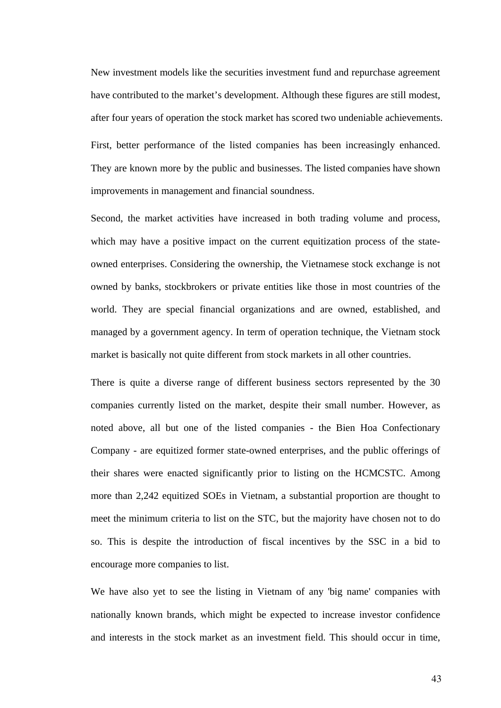New investment models like the securities investment fund and repurchase agreement have contributed to the market's development. Although these figures are still modest, after four years of operation the stock market has scored two undeniable achievements. First, better performance of the listed companies has been increasingly enhanced. They are known more by the public and businesses. The listed companies have shown improvements in management and financial soundness.

Second, the market activities have increased in both trading volume and process, which may have a positive impact on the current equitization process of the stateowned enterprises. Considering the ownership, the Vietnamese stock exchange is not owned by banks, stockbrokers or private entities like those in most countries of the world. They are special financial organizations and are owned, established, and managed by a government agency. In term of operation technique, the Vietnam stock market is basically not quite different from stock markets in all other countries.

There is quite a diverse range of different business sectors represented by the 30 companies currently listed on the market, despite their small number. However, as noted above, all but one of the listed companies - the Bien Hoa Confectionary Company - are equitized former state-owned enterprises, and the public offerings of their shares were enacted significantly prior to listing on the HCMCSTC. Among more than 2,242 equitized SOEs in Vietnam, a substantial proportion are thought to meet the minimum criteria to list on the STC, but the majority have chosen not to do so. This is despite the introduction of fiscal incentives by the SSC in a bid to encourage more companies to list.

We have also yet to see the listing in Vietnam of any 'big name' companies with nationally known brands, which might be expected to increase investor confidence and interests in the stock market as an investment field. This should occur in time,

43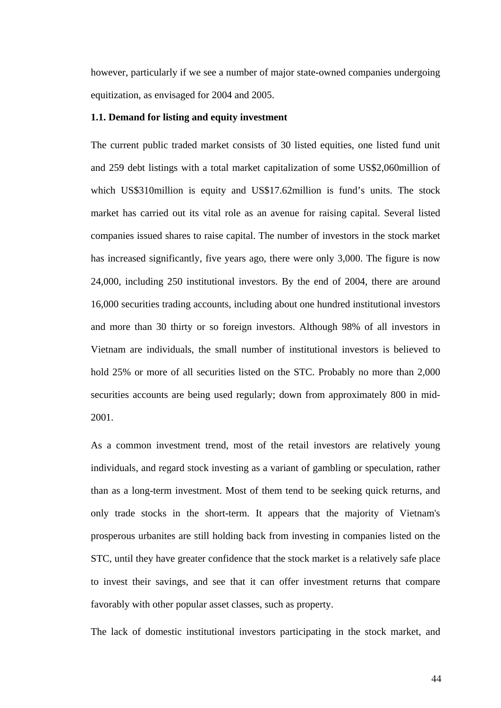however, particularly if we see a number of major state-owned companies undergoing equitization, as envisaged for 2004 and 2005.

### **1.1. Demand for listing and equity investment**

The current public traded market consists of 30 listed equities, one listed fund unit and 259 debt listings with a total market capitalization of some US\$2,060million of which US\$310million is equity and US\$17.62million is fund's units. The stock market has carried out its vital role as an avenue for raising capital. Several listed companies issued shares to raise capital. The number of investors in the stock market has increased significantly, five years ago, there were only 3,000. The figure is now 24,000, including 250 institutional investors. By the end of 2004, there are around 16,000 securities trading accounts, including about one hundred institutional investors and more than 30 thirty or so foreign investors. Although 98% of all investors in Vietnam are individuals, the small number of institutional investors is believed to hold 25% or more of all securities listed on the STC. Probably no more than 2,000 securities accounts are being used regularly; down from approximately 800 in mid-2001.

As a common investment trend, most of the retail investors are relatively young individuals, and regard stock investing as a variant of gambling or speculation, rather than as a long-term investment. Most of them tend to be seeking quick returns, and only trade stocks in the short-term. It appears that the majority of Vietnam's prosperous urbanites are still holding back from investing in companies listed on the STC, until they have greater confidence that the stock market is a relatively safe place to invest their savings, and see that it can offer investment returns that compare favorably with other popular asset classes, such as property.

The lack of domestic institutional investors participating in the stock market, and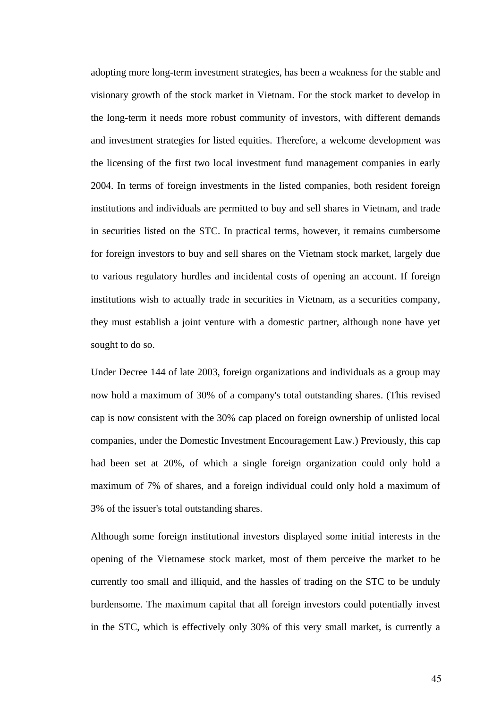<span id="page-50-0"></span>adopting more long-term investment strategies, has been a weakness for the stable and visionary growth of the stock market in Vietnam. For the stock market to develop in the long-term it needs more robust community of investors, with different demands and investment strategies for listed equities. Therefore, a welcome development was the licensing of the first two local investment fund management companies in early 2004. In terms of foreign investments in the listed companies, both resident foreign institutions and individuals are permitted to buy and sell shares in Vietnam, and trade in securities listed on the STC. In practical terms, however, it remains cumbersome for foreign investors to buy and sell shares on the Vietnam stock market, largely due to various regulatory hurdles and incidental costs of opening an account. If foreign institutions wish to actually trade in securities in Vietnam, as a securities company, they must establish a joint venture with a domestic partner, although none have yet sought to do so.

Under Decree 144 of late 2003, foreign organizations and individuals as a group may now hold a maximum of 30% of a company's total outstanding shares. (This revised cap is now consistent with the 30% cap placed on foreign ownership of unlisted local companies, under the Domestic Investment Encouragement Law.) Previously, this cap had been set at 20%, of which a single foreign organization could only hold a maximum of 7% of shares, and a foreign individual could only hold a maximum of 3% of the issuer's total outstanding shares.

Although some foreign institutional investors displayed some initial interests in the opening of the Vietnamese stock market, most of them perceive the market to be currently too small and illiquid, and the hassles of trading on the STC to be unduly burdensome. The maximum capital that all foreign investors could potentially invest in the STC, which is effectively only 30% of this very small market, is currently a

45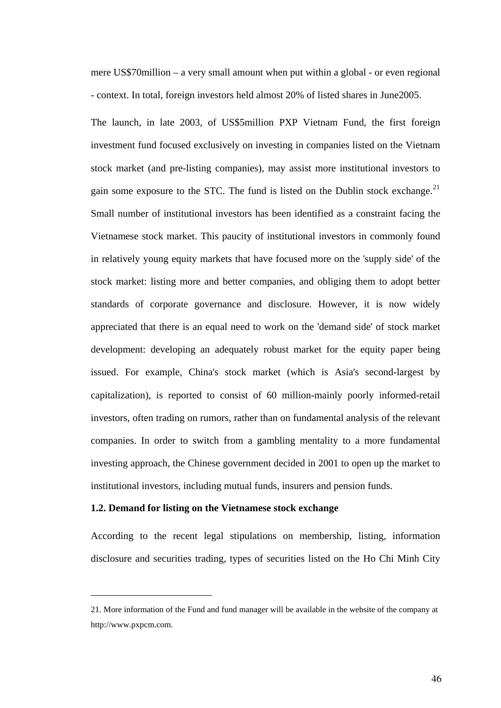mere US\$70million – a very small amount when put within a global - or even regional - context. In total, foreign investors held almost 20% of listed shares in June2005.

The launch, in late 2003, of US\$5million PXP Vietnam Fund, the first foreign investment fund focused exclusively on investing in companies listed on the Vietnam stock market (and pre-listing companies), may assist more institutional investors to gain some exposure to the STC. The fund is listed on the Dublin stock exchange. $^{21}$  $^{21}$  $^{21}$ Small number of institutional investors has been identified as a constraint facing the Vietnamese stock market. This paucity of institutional investors in commonly found in relatively young equity markets that have focused more on the 'supply side' of the stock market: listing more and better companies, and obliging them to adopt better standards of corporate governance and disclosure. However, it is now widely appreciated that there is an equal need to work on the 'demand side' of stock market development: developing an adequately robust market for the equity paper being issued. For example, China's stock market (which is Asia's second-largest by capitalization), is reported to consist of 60 million-mainly poorly informed-retail investors, often trading on rumors, rather than on fundamental analysis of the relevant companies. In order to switch from a gambling mentality to a more fundamental investing approach, the Chinese government decided in 2001 to open up the market to institutional investors, including mutual funds, insurers and pension funds.

## **1.2. Demand for listing on the Vietnamese stock exchange**

 $\overline{a}$ 

According to the recent legal stipulations on membership, listing, information disclosure and securities trading, types of securities listed on the Ho Chi Minh City

<sup>21.</sup> More information of the Fund and fund manager will be available in the website of the company at [http://www.pxpcm.com](http://www.pxpcm.com/).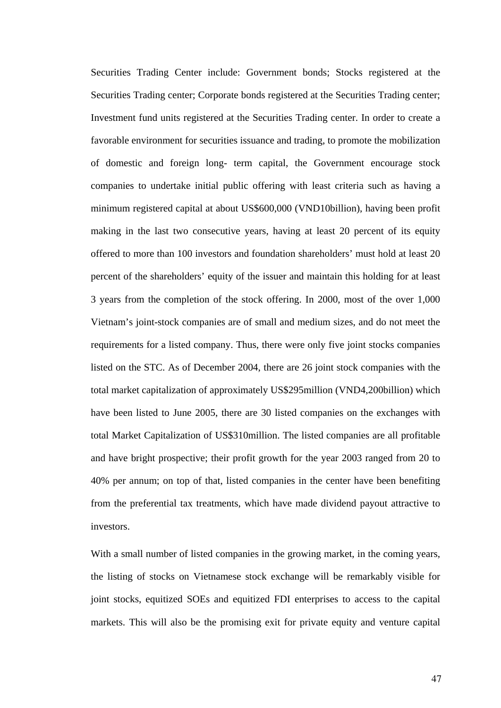Securities Trading Center include: Government bonds; Stocks registered at the Securities Trading center; Corporate bonds registered at the Securities Trading center; Investment fund units registered at the Securities Trading center. In order to create a favorable environment for securities issuance and trading, to promote the mobilization of domestic and foreign long- term capital, the Government encourage stock companies to undertake initial public offering with least criteria such as having a minimum registered capital at about US\$600,000 (VND10billion), having been profit making in the last two consecutive years, having at least 20 percent of its equity offered to more than 100 investors and foundation shareholders' must hold at least 20 percent of the shareholders' equity of the issuer and maintain this holding for at least 3 years from the completion of the stock offering. In 2000, most of the over 1,000 Vietnam's joint-stock companies are of small and medium sizes, and do not meet the requirements for a listed company. Thus, there were only five joint stocks companies listed on the STC. As of December 2004, there are 26 joint stock companies with the total market capitalization of approximately US\$295million (VND4,200billion) which have been listed to June 2005, there are 30 listed companies on the exchanges with total Market Capitalization of US\$310million. The listed companies are all profitable and have bright prospective; their profit growth for the year 2003 ranged from 20 to 40% per annum; on top of that, listed companies in the center have been benefiting from the preferential tax treatments, which have made dividend payout attractive to investors.

With a small number of listed companies in the growing market, in the coming years, the listing of stocks on Vietnamese stock exchange will be remarkably visible for joint stocks, equitized SOEs and equitized FDI enterprises to access to the capital markets. This will also be the promising exit for private equity and venture capital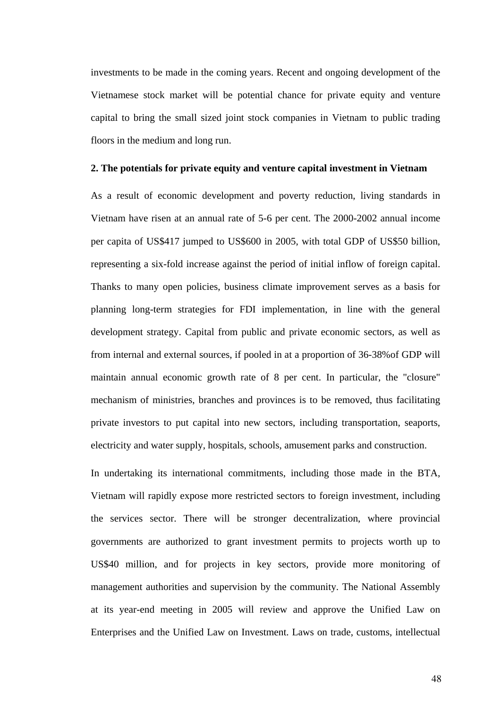investments to be made in the coming years. Recent and ongoing development of the Vietnamese stock market will be potential chance for private equity and venture capital to bring the small sized joint stock companies in Vietnam to public trading floors in the medium and long run.

### **2. The potentials for private equity and venture capital investment in Vietnam**

As a result of economic development and poverty reduction, living standards in Vietnam have risen at an annual rate of 5-6 per cent. The 2000-2002 annual income per capita of US\$417 jumped to US\$600 in 2005, with total GDP of US\$50 billion, representing a six-fold increase against the period of initial inflow of foreign capital. Thanks to many open policies, business climate improvement serves as a basis for planning long-term strategies for FDI implementation, in line with the general development strategy. Capital from public and private economic sectors, as well as from internal and external sources, if pooled in at a proportion of 36-38%of GDP will maintain annual economic growth rate of 8 per cent. In particular, the "closure" mechanism of ministries, branches and provinces is to be removed, thus facilitating private investors to put capital into new sectors, including transportation, seaports, electricity and water supply, hospitals, schools, amusement parks and construction.

In undertaking its international commitments, including those made in the BTA, Vietnam will rapidly expose more restricted sectors to foreign investment, including the services sector. There will be stronger decentralization, where provincial governments are authorized to grant investment permits to projects worth up to US\$40 million, and for projects in key sectors, provide more monitoring of management authorities and supervision by the community. The National Assembly at its year-end meeting in 2005 will review and approve the Unified Law on Enterprises and the Unified Law on Investment. Laws on trade, customs, intellectual

48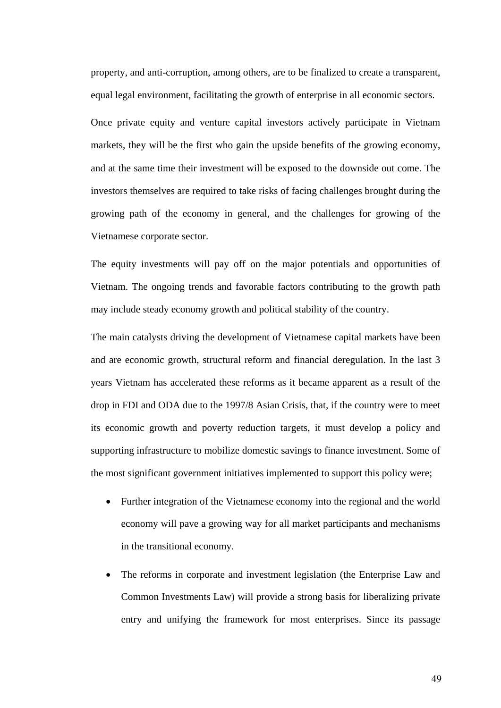property, and anti-corruption, among others, are to be finalized to create a transparent, equal legal environment, facilitating the growth of enterprise in all economic sectors.

Once private equity and venture capital investors actively participate in Vietnam markets, they will be the first who gain the upside benefits of the growing economy, and at the same time their investment will be exposed to the downside out come. The investors themselves are required to take risks of facing challenges brought during the growing path of the economy in general, and the challenges for growing of the Vietnamese corporate sector.

The equity investments will pay off on the major potentials and opportunities of Vietnam. The ongoing trends and favorable factors contributing to the growth path may include steady economy growth and political stability of the country.

The main catalysts driving the development of Vietnamese capital markets have been and are economic growth, structural reform and financial deregulation. In the last 3 years Vietnam has accelerated these reforms as it became apparent as a result of the drop in FDI and ODA due to the 1997/8 Asian Crisis, that, if the country were to meet its economic growth and poverty reduction targets, it must develop a policy and supporting infrastructure to mobilize domestic savings to finance investment. Some of the most significant government initiatives implemented to support this policy were;

- Further integration of the Vietnamese economy into the regional and the world economy will pave a growing way for all market participants and mechanisms in the transitional economy.
- The reforms in corporate and investment legislation (the Enterprise Law and Common Investments Law) will provide a strong basis for liberalizing private entry and unifying the framework for most enterprises. Since its passage

49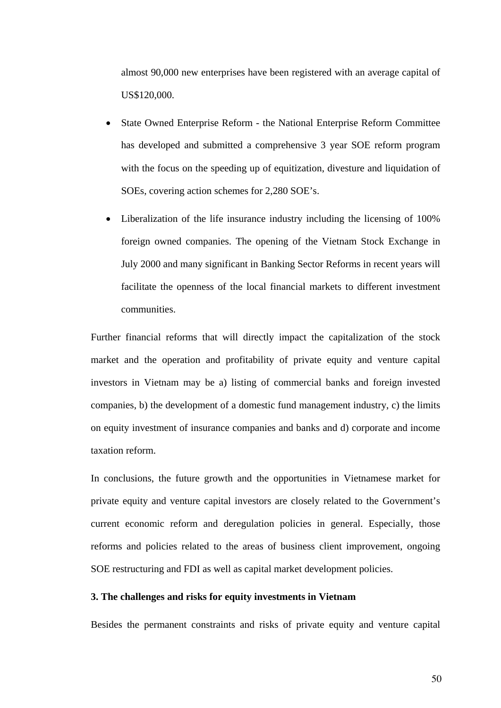almost 90,000 new enterprises have been registered with an average capital of US\$120,000.

- State Owned Enterprise Reform the National Enterprise Reform Committee has developed and submitted a comprehensive 3 year SOE reform program with the focus on the speeding up of equitization, divesture and liquidation of SOEs, covering action schemes for 2,280 SOE's.
- Liberalization of the life insurance industry including the licensing of 100% foreign owned companies. The opening of the Vietnam Stock Exchange in July 2000 and many significant in Banking Sector Reforms in recent years will facilitate the openness of the local financial markets to different investment communities.

Further financial reforms that will directly impact the capitalization of the stock market and the operation and profitability of private equity and venture capital investors in Vietnam may be a) listing of commercial banks and foreign invested companies, b) the development of a domestic fund management industry, c) the limits on equity investment of insurance companies and banks and d) corporate and income taxation reform.

In conclusions, the future growth and the opportunities in Vietnamese market for private equity and venture capital investors are closely related to the Government's current economic reform and deregulation policies in general. Especially, those reforms and policies related to the areas of business client improvement, ongoing SOE restructuring and FDI as well as capital market development policies.

## **3. The challenges and risks for equity investments in Vietnam**

Besides the permanent constraints and risks of private equity and venture capital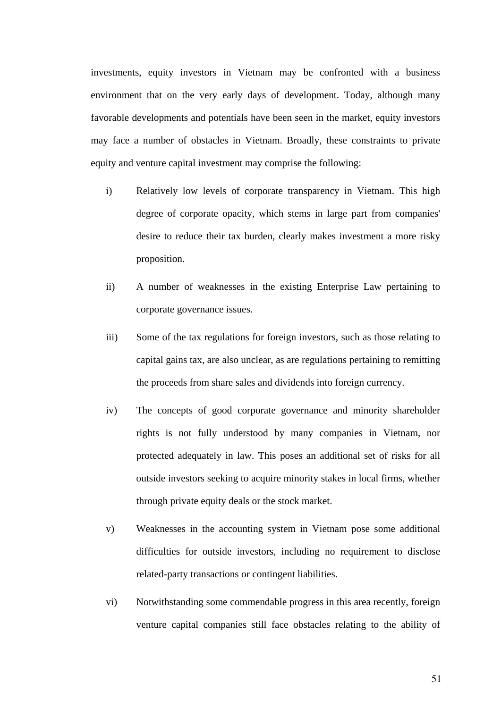investments, equity investors in Vietnam may be confronted with a business environment that on the very early days of development. Today, although many favorable developments and potentials have been seen in the market, equity investors may face a number of obstacles in Vietnam. Broadly, these constraints to private equity and venture capital investment may comprise the following:

- i) Relatively low levels of corporate transparency in Vietnam. This high degree of corporate opacity, which stems in large part from companies' desire to reduce their tax burden, clearly makes investment a more risky proposition.
- ii) A number of weaknesses in the existing Enterprise Law pertaining to corporate governance issues.
- iii) Some of the tax regulations for foreign investors, such as those relating to capital gains tax, are also unclear, as are regulations pertaining to remitting the proceeds from share sales and dividends into foreign currency.
- iv) The concepts of good corporate governance and minority shareholder rights is not fully understood by many companies in Vietnam, nor protected adequately in law. This poses an additional set of risks for all outside investors seeking to acquire minority stakes in local firms, whether through private equity deals or the stock market.
- v) Weaknesses in the accounting system in Vietnam pose some additional difficulties for outside investors, including no requirement to disclose related-party transactions or contingent liabilities.
- vi) Notwithstanding some commendable progress in this area recently, foreign venture capital companies still face obstacles relating to the ability of

51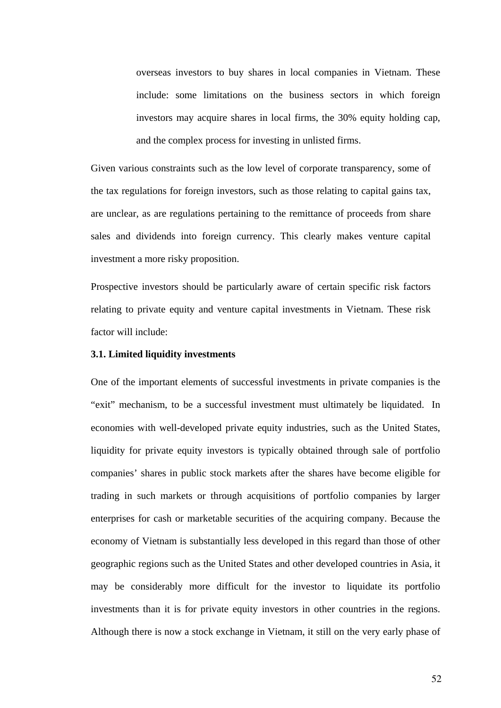overseas investors to buy shares in local companies in Vietnam. These include: some limitations on the business sectors in which foreign investors may acquire shares in local firms, the 30% equity holding cap, and the complex process for investing in unlisted firms.

Given various constraints such as the low level of corporate transparency, some of the tax regulations for foreign investors, such as those relating to capital gains tax, are unclear, as are regulations pertaining to the remittance of proceeds from share sales and dividends into foreign currency. This clearly makes venture capital investment a more risky proposition.

Prospective investors should be particularly aware of certain specific risk factors relating to private equity and venture capital investments in Vietnam. These risk factor will include:

## **3.1. Limited liquidity investments**

One of the important elements of successful investments in private companies is the "exit" mechanism, to be a successful investment must ultimately be liquidated. In economies with well-developed private equity industries, such as the United States, liquidity for private equity investors is typically obtained through sale of portfolio companies' shares in public stock markets after the shares have become eligible for trading in such markets or through acquisitions of portfolio companies by larger enterprises for cash or marketable securities of the acquiring company. Because the economy of Vietnam is substantially less developed in this regard than those of other geographic regions such as the United States and other developed countries in Asia, it may be considerably more difficult for the investor to liquidate its portfolio investments than it is for private equity investors in other countries in the regions. Although there is now a stock exchange in Vietnam, it still on the very early phase of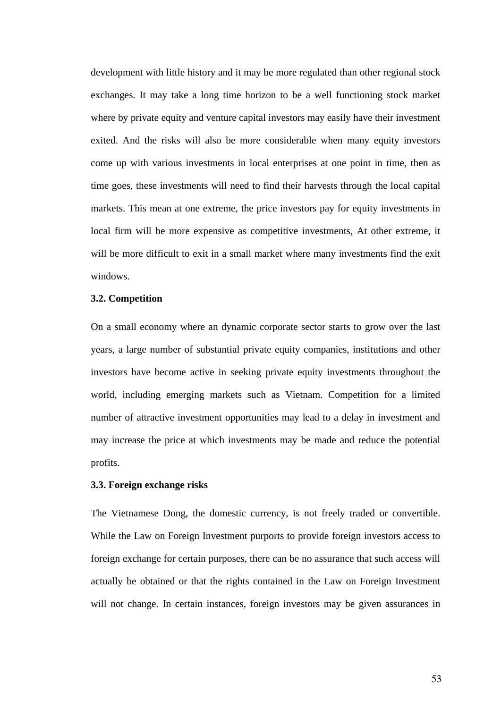development with little history and it may be more regulated than other regional stock exchanges. It may take a long time horizon to be a well functioning stock market where by private equity and venture capital investors may easily have their investment exited. And the risks will also be more considerable when many equity investors come up with various investments in local enterprises at one point in time, then as time goes, these investments will need to find their harvests through the local capital markets. This mean at one extreme, the price investors pay for equity investments in local firm will be more expensive as competitive investments, At other extreme, it will be more difficult to exit in a small market where many investments find the exit windows.

## **3.2. Competition**

On a small economy where an dynamic corporate sector starts to grow over the last years, a large number of substantial private equity companies, institutions and other investors have become active in seeking private equity investments throughout the world, including emerging markets such as Vietnam. Competition for a limited number of attractive investment opportunities may lead to a delay in investment and may increase the price at which investments may be made and reduce the potential profits.

#### **3.3. Foreign exchange risks**

The Vietnamese Dong, the domestic currency, is not freely traded or convertible. While the Law on Foreign Investment purports to provide foreign investors access to foreign exchange for certain purposes, there can be no assurance that such access will actually be obtained or that the rights contained in the Law on Foreign Investment will not change. In certain instances, foreign investors may be given assurances in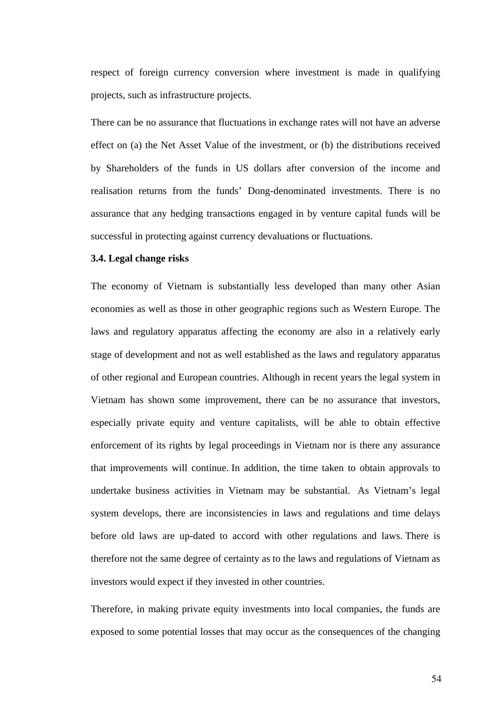respect of foreign currency conversion where investment is made in qualifying projects, such as infrastructure projects.

There can be no assurance that fluctuations in exchange rates will not have an adverse effect on (a) the Net Asset Value of the investment, or (b) the distributions received by Shareholders of the funds in US dollars after conversion of the income and realisation returns from the funds' Dong-denominated investments. There is no assurance that any hedging transactions engaged in by venture capital funds will be successful in protecting against currency devaluations or fluctuations.

## **3.4. Legal change risks**

The economy of Vietnam is substantially less developed than many other Asian economies as well as those in other geographic regions such as Western Europe. The laws and regulatory apparatus affecting the economy are also in a relatively early stage of development and not as well established as the laws and regulatory apparatus of other regional and European countries. Although in recent years the legal system in Vietnam has shown some improvement, there can be no assurance that investors, especially private equity and venture capitalists, will be able to obtain effective enforcement of its rights by legal proceedings in Vietnam nor is there any assurance that improvements will continue. In addition, the time taken to obtain approvals to undertake business activities in Vietnam may be substantial. As Vietnam's legal system develops, there are inconsistencies in laws and regulations and time delays before old laws are up-dated to accord with other regulations and laws. There is therefore not the same degree of certainty as to the laws and regulations of Vietnam as investors would expect if they invested in other countries.

Therefore, in making private equity investments into local companies, the funds are exposed to some potential losses that may occur as the consequences of the changing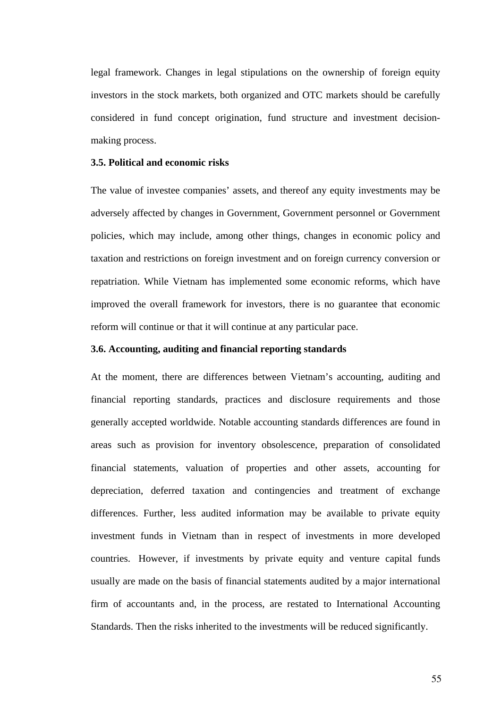<span id="page-60-0"></span>legal framework. Changes in legal stipulations on the ownership of foreign equity investors in the stock markets, both organized and OTC markets should be carefully considered in fund concept origination, fund structure and investment decisionmaking process.

#### **3.5. Political and economic risks**

The value of investee companies' assets, and thereof any equity investments may be adversely affected by changes in Government, Government personnel or Government policies, which may include, among other things, changes in economic policy and taxation and restrictions on foreign investment and on foreign currency conversion or repatriation. While Vietnam has implemented some economic reforms, which have improved the overall framework for investors, there is no guarantee that economic reform will continue or that it will continue at any particular pace.

#### **3.6. Accounting, auditing and financial reporting standards**

At the moment, there are differences between Vietnam's accounting, auditing and financial reporting standards, practices and disclosure requirements and those generally accepted worldwide. Notable accounting standards differences are found in areas such as provision for inventory obsolescence, preparation of consolidated financial statements, valuation of properties and other assets, accounting for depreciation, deferred taxation and contingencies and treatment of exchange differences. Further, less audited information may be available to private equity investment funds in Vietnam than in respect of investments in more developed countries. However, if investments by private equity and venture capital funds usually are made on the basis of financial statements audited by a major international firm of accountants and, in the process, are restated to International Accounting Standards. Then the risks inherited to the investments will be reduced significantly.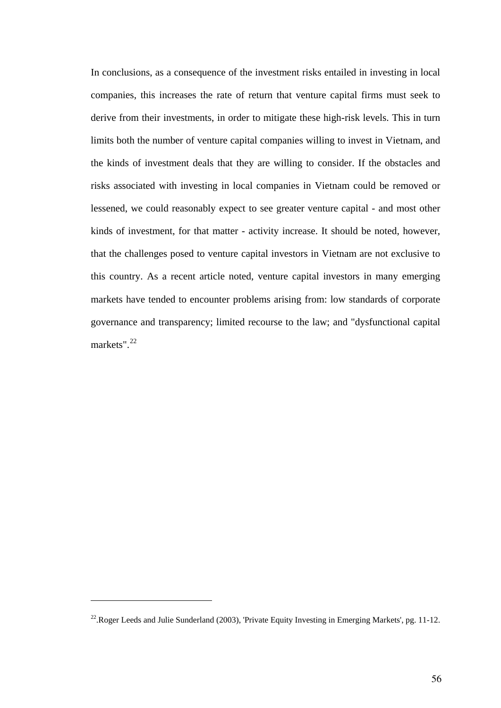In conclusions, as a consequence of the investment risks entailed in investing in local companies, this increases the rate of return that venture capital firms must seek to derive from their investments, in order to mitigate these high-risk levels. This in turn limits both the number of venture capital companies willing to invest in Vietnam, and the kinds of investment deals that they are willing to consider. If the obstacles and risks associated with investing in local companies in Vietnam could be removed or lessened, we could reasonably expect to see greater venture capital - and most other kinds of investment, for that matter - activity increase. It should be noted, however, that the challenges posed to venture capital investors in Vietnam are not exclusive to this country. As a recent article noted, venture capital investors in many emerging markets have tended to encounter problems arising from: low standards of corporate governance and transparency; limited recourse to the law; and "dysfunctional capital markets".<sup>[22](#page-60-0)</sup>

 $\overline{a}$ 

<sup>&</sup>lt;sup>22</sup>. Roger Leeds and Julie Sunderland (2003), 'Private Equity Investing in Emerging Markets', pg. 11-12.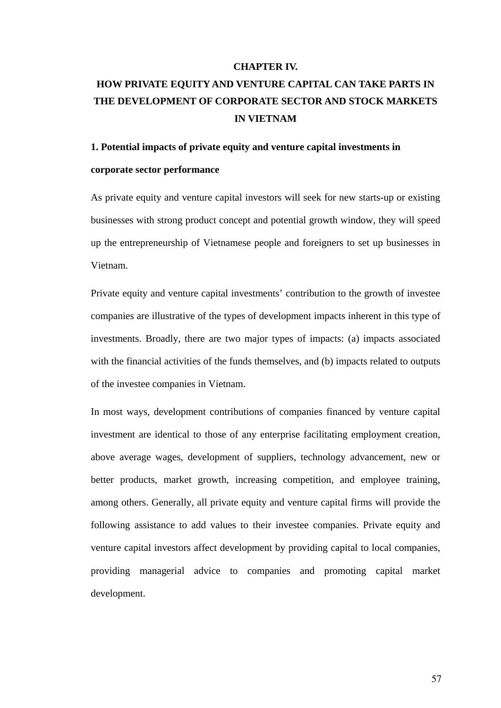#### **CHAPTER IV.**

# <span id="page-62-0"></span>**HOW PRIVATE EQUITY AND VENTURE CAPITAL CAN TAKE PARTS IN THE DEVELOPMENT OF CORPORATE SECTOR AND STOCK MARKETS IN VIETNAM**

#### **1. Potential impacts of private equity and venture capital investments in**

#### **corporate sector performance**

As private equity and venture capital investors will seek for new starts-up or existing businesses with strong product concept and potential growth window, they will speed up the entrepreneurship of Vietnamese people and foreigners to set up businesses in Vietnam.

Private equity and venture capital investments' contribution to the growth of investee companies are illustrative of the types of development impacts inherent in this type of investments. Broadly, there are two major types of impacts: (a) impacts associated with the financial activities of the funds themselves, and (b) impacts related to outputs of the investee companies in Vietnam.

In most ways, development contributions of companies financed by venture capital investment are identical to those of any enterprise facilitating employment creation, above average wages, development of suppliers, technology advancement, new or better products, market growth, increasing competition, and employee training, among others. Generally, all private equity and venture capital firms will provide the following assistance to add values to their investee companies. Private equity and venture capital investors affect development by providing capital to local companies, providing managerial advice to companies and promoting capital market development.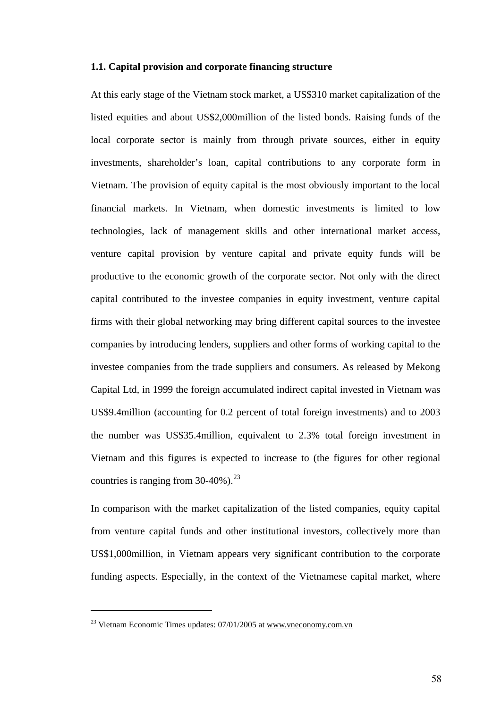## **1.1. Capital provision and corporate financing structure**

At this early stage of the Vietnam stock market, a US\$310 market capitalization of the listed equities and about US\$2,000million of the listed bonds. Raising funds of the local corporate sector is mainly from through private sources, either in equity investments, shareholder's loan, capital contributions to any corporate form in Vietnam. The provision of equity capital is the most obviously important to the local financial markets. In Vietnam, when domestic investments is limited to low technologies, lack of management skills and other international market access, venture capital provision by venture capital and private equity funds will be productive to the economic growth of the corporate sector. Not only with the direct capital contributed to the investee companies in equity investment, venture capital firms with their global networking may bring different capital sources to the investee companies by introducing lenders, suppliers and other forms of working capital to the investee companies from the trade suppliers and consumers. As released by Mekong Capital Ltd, in 1999 the foreign accumulated indirect capital invested in Vietnam was US\$9.4million (accounting for 0.2 percent of total foreign investments) and to 2003 the number was US\$35.4million, equivalent to 2.3% total foreign investment in Vietnam and this figures is expected to increase to (the figures for other regional countries is ranging from  $30-40\%$ ).<sup>[23](#page-62-0)</sup>

In comparison with the market capitalization of the listed companies, equity capital from venture capital funds and other institutional investors, collectively more than US\$1,000million, in Vietnam appears very significant contribution to the corporate funding aspects. Especially, in the context of the Vietnamese capital market, where

 $\overline{a}$ 

 $^{23}$  Vietnam Economic Times updates: 07/01/2005 at [www.vneconomy.com.vn](http://www.vneconomy.com.vn/)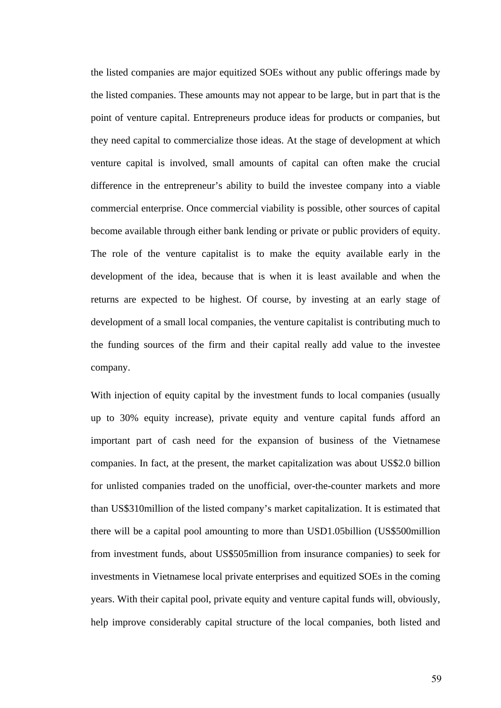the listed companies are major equitized SOEs without any public offerings made by the listed companies. These amounts may not appear to be large, but in part that is the point of venture capital. Entrepreneurs produce ideas for products or companies, but they need capital to commercialize those ideas. At the stage of development at which venture capital is involved, small amounts of capital can often make the crucial difference in the entrepreneur's ability to build the investee company into a viable commercial enterprise. Once commercial viability is possible, other sources of capital become available through either bank lending or private or public providers of equity. The role of the venture capitalist is to make the equity available early in the development of the idea, because that is when it is least available and when the returns are expected to be highest. Of course, by investing at an early stage of development of a small local companies, the venture capitalist is contributing much to the funding sources of the firm and their capital really add value to the investee company.

With injection of equity capital by the investment funds to local companies (usually up to 30% equity increase), private equity and venture capital funds afford an important part of cash need for the expansion of business of the Vietnamese companies. In fact, at the present, the market capitalization was about US\$2.0 billion for unlisted companies traded on the unofficial, over-the-counter markets and more than US\$310million of the listed company's market capitalization. It is estimated that there will be a capital pool amounting to more than USD1.05billion (US\$500million from investment funds, about US\$505million from insurance companies) to seek for investments in Vietnamese local private enterprises and equitized SOEs in the coming years. With their capital pool, private equity and venture capital funds will, obviously, help improve considerably capital structure of the local companies, both listed and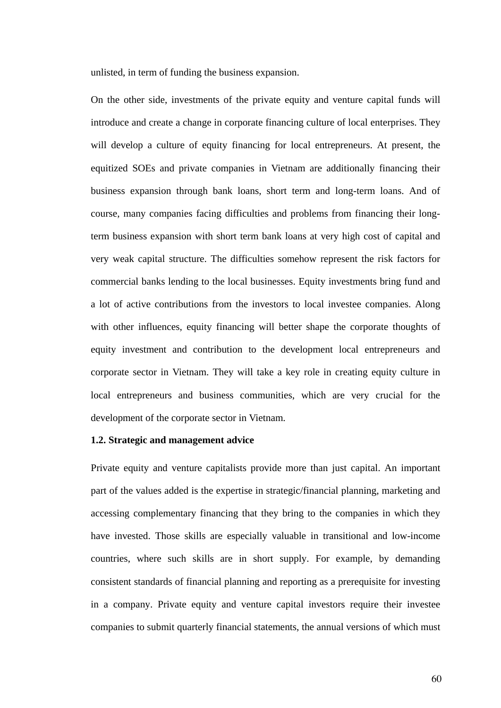unlisted, in term of funding the business expansion.

On the other side, investments of the private equity and venture capital funds will introduce and create a change in corporate financing culture of local enterprises. They will develop a culture of equity financing for local entrepreneurs. At present, the equitized SOEs and private companies in Vietnam are additionally financing their business expansion through bank loans, short term and long-term loans. And of course, many companies facing difficulties and problems from financing their longterm business expansion with short term bank loans at very high cost of capital and very weak capital structure. The difficulties somehow represent the risk factors for commercial banks lending to the local businesses. Equity investments bring fund and a lot of active contributions from the investors to local investee companies. Along with other influences, equity financing will better shape the corporate thoughts of equity investment and contribution to the development local entrepreneurs and corporate sector in Vietnam. They will take a key role in creating equity culture in local entrepreneurs and business communities, which are very crucial for the development of the corporate sector in Vietnam.

## **1.2. Strategic and management advice**

Private equity and venture capitalists provide more than just capital. An important part of the values added is the expertise in strategic/financial planning, marketing and accessing complementary financing that they bring to the companies in which they have invested. Those skills are especially valuable in transitional and low-income countries, where such skills are in short supply. For example, by demanding consistent standards of financial planning and reporting as a prerequisite for investing in a company. Private equity and venture capital investors require their investee companies to submit quarterly financial statements, the annual versions of which must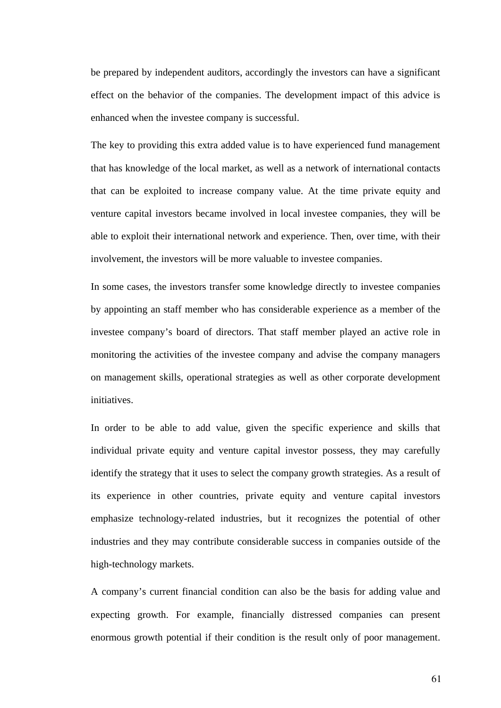be prepared by independent auditors, accordingly the investors can have a significant effect on the behavior of the companies. The development impact of this advice is enhanced when the investee company is successful.

The key to providing this extra added value is to have experienced fund management that has knowledge of the local market, as well as a network of international contacts that can be exploited to increase company value. At the time private equity and venture capital investors became involved in local investee companies, they will be able to exploit their international network and experience. Then, over time, with their involvement, the investors will be more valuable to investee companies.

In some cases, the investors transfer some knowledge directly to investee companies by appointing an staff member who has considerable experience as a member of the investee company's board of directors. That staff member played an active role in monitoring the activities of the investee company and advise the company managers on management skills, operational strategies as well as other corporate development initiatives.

In order to be able to add value, given the specific experience and skills that individual private equity and venture capital investor possess, they may carefully identify the strategy that it uses to select the company growth strategies. As a result of its experience in other countries, private equity and venture capital investors emphasize technology-related industries, but it recognizes the potential of other industries and they may contribute considerable success in companies outside of the high-technology markets.

A company's current financial condition can also be the basis for adding value and expecting growth. For example, financially distressed companies can present enormous growth potential if their condition is the result only of poor management.

61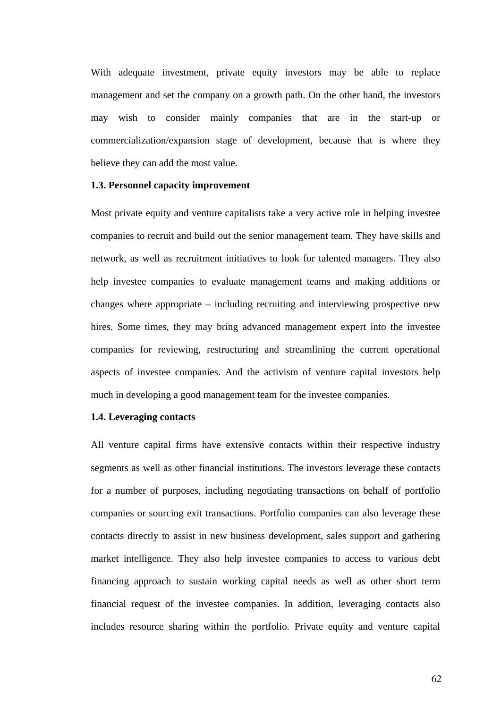With adequate investment, private equity investors may be able to replace management and set the company on a growth path. On the other hand, the investors may wish to consider mainly companies that are in the start-up or commercialization/expansion stage of development, because that is where they believe they can add the most value.

#### **1.3. Personnel capacity improvement**

Most private equity and venture capitalists take a very active role in helping investee companies to recruit and build out the senior management team. They have skills and network, as well as recruitment initiatives to look for talented managers. They also help investee companies to evaluate management teams and making additions or changes where appropriate – including recruiting and interviewing prospective new hires. Some times, they may bring advanced management expert into the investee companies for reviewing, restructuring and streamlining the current operational aspects of investee companies. And the activism of venture capital investors help much in developing a good management team for the investee companies.

#### **1.4. Leveraging contacts**

All venture capital firms have extensive contacts within their respective industry segments as well as other financial institutions. The investors leverage these contacts for a number of purposes, including negotiating transactions on behalf of portfolio companies or sourcing exit transactions. Portfolio companies can also leverage these contacts directly to assist in new business development, sales support and gathering market intelligence. They also help investee companies to access to various debt financing approach to sustain working capital needs as well as other short term financial request of the investee companies. In addition, leveraging contacts also includes resource sharing within the portfolio. Private equity and venture capital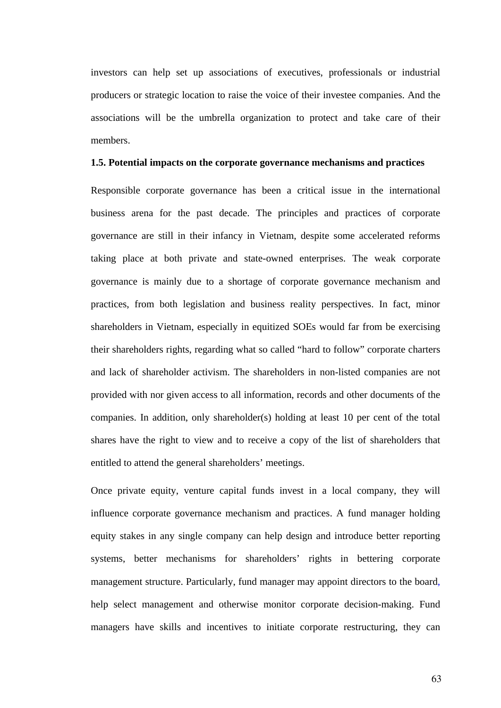investors can help set up associations of executives, professionals or industrial producers or strategic location to raise the voice of their investee companies. And the associations will be the umbrella organization to protect and take care of their members.

#### **1.5. Potential impacts on the corporate governance mechanisms and practices**

Responsible corporate governance has been a critical issue in the international business arena for the past decade. The principles and practices of corporate governance are still in their infancy in Vietnam, despite some accelerated reforms taking place at both private and state-owned enterprises. The weak corporate governance is mainly due to a shortage of corporate governance mechanism and practices, from both legislation and business reality perspectives. In fact, minor shareholders in Vietnam, especially in equitized SOEs would far from be exercising their shareholders rights, regarding what so called "hard to follow" corporate charters and lack of shareholder activism. The shareholders in non-listed companies are not provided with nor given access to all information, records and other documents of the companies. In addition, only shareholder(s) holding at least 10 per cent of the total shares have the right to view and to receive a copy of the list of shareholders that entitled to attend the general shareholders' meetings.

Once private equity, venture capital funds invest in a local company, they will influence corporate governance mechanism and practices. A fund manager holding equity stakes in any single company can help design and introduce better reporting systems, better mechanisms for shareholders' rights in bettering corporate management structure. Particularly, fund manager may appoint directors to the board, help select management and otherwise monitor corporate decision-making. Fund managers have skills and incentives to initiate corporate restructuring, they can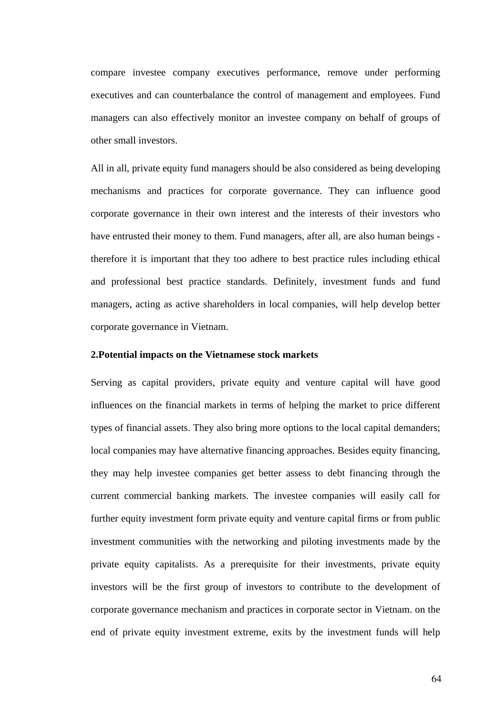compare investee company executives performance, remove under performing executives and can counterbalance the control of management and employees. Fund managers can also effectively monitor an investee company on behalf of groups of other small investors.

All in all, private equity fund managers should be also considered as being developing mechanisms and practices for corporate governance. They can influence good corporate governance in their own interest and the interests of their investors who have entrusted their money to them. Fund managers, after all, are also human beings therefore it is important that they too adhere to best practice rules including ethical and professional best practice standards. Definitely, investment funds and fund managers, acting as active shareholders in local companies, will help develop better corporate governance in Vietnam.

### **2.Potential impacts on the Vietnamese stock markets**

Serving as capital providers, private equity and venture capital will have good influences on the financial markets in terms of helping the market to price different types of financial assets. They also bring more options to the local capital demanders; local companies may have alternative financing approaches. Besides equity financing, they may help investee companies get better assess to debt financing through the current commercial banking markets. The investee companies will easily call for further equity investment form private equity and venture capital firms or from public investment communities with the networking and piloting investments made by the private equity capitalists. As a prerequisite for their investments, private equity investors will be the first group of investors to contribute to the development of corporate governance mechanism and practices in corporate sector in Vietnam. on the end of private equity investment extreme, exits by the investment funds will help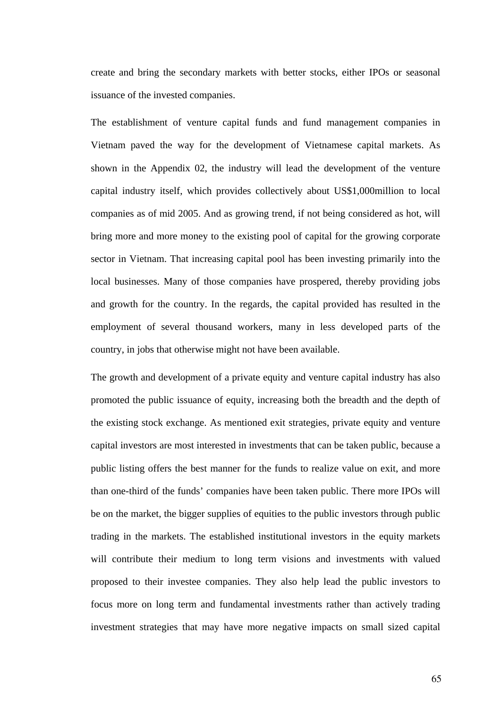create and bring the secondary markets with better stocks, either IPOs or seasonal issuance of the invested companies.

The establishment of venture capital funds and fund management companies in Vietnam paved the way for the development of Vietnamese capital markets. As shown in the Appendix 02, the industry will lead the development of the venture capital industry itself, which provides collectively about US\$1,000million to local companies as of mid 2005. And as growing trend, if not being considered as hot, will bring more and more money to the existing pool of capital for the growing corporate sector in Vietnam. That increasing capital pool has been investing primarily into the local businesses. Many of those companies have prospered, thereby providing jobs and growth for the country. In the regards, the capital provided has resulted in the employment of several thousand workers, many in less developed parts of the country, in jobs that otherwise might not have been available.

The growth and development of a private equity and venture capital industry has also promoted the public issuance of equity, increasing both the breadth and the depth of the existing stock exchange. As mentioned exit strategies, private equity and venture capital investors are most interested in investments that can be taken public, because a public listing offers the best manner for the funds to realize value on exit, and more than one-third of the funds' companies have been taken public. There more IPOs will be on the market, the bigger supplies of equities to the public investors through public trading in the markets. The established institutional investors in the equity markets will contribute their medium to long term visions and investments with valued proposed to their investee companies. They also help lead the public investors to focus more on long term and fundamental investments rather than actively trading investment strategies that may have more negative impacts on small sized capital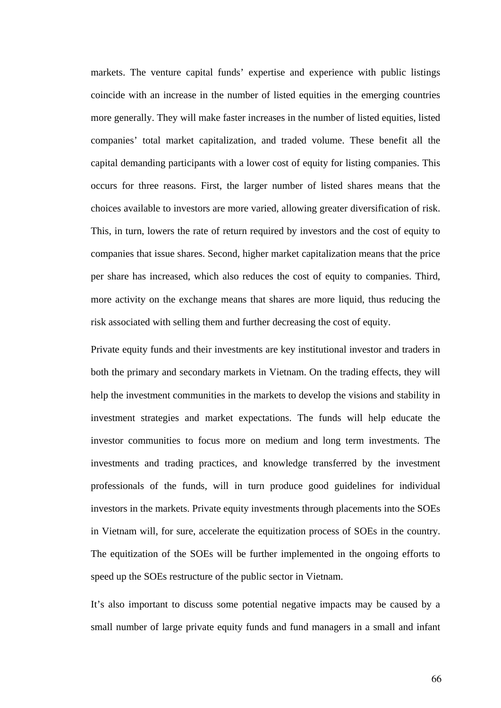markets. The venture capital funds' expertise and experience with public listings coincide with an increase in the number of listed equities in the emerging countries more generally. They will make faster increases in the number of listed equities, listed companies' total market capitalization, and traded volume. These benefit all the capital demanding participants with a lower cost of equity for listing companies. This occurs for three reasons. First, the larger number of listed shares means that the choices available to investors are more varied, allowing greater diversification of risk. This, in turn, lowers the rate of return required by investors and the cost of equity to companies that issue shares. Second, higher market capitalization means that the price per share has increased, which also reduces the cost of equity to companies. Third, more activity on the exchange means that shares are more liquid, thus reducing the risk associated with selling them and further decreasing the cost of equity.

Private equity funds and their investments are key institutional investor and traders in both the primary and secondary markets in Vietnam. On the trading effects, they will help the investment communities in the markets to develop the visions and stability in investment strategies and market expectations. The funds will help educate the investor communities to focus more on medium and long term investments. The investments and trading practices, and knowledge transferred by the investment professionals of the funds, will in turn produce good guidelines for individual investors in the markets. Private equity investments through placements into the SOEs in Vietnam will, for sure, accelerate the equitization process of SOEs in the country. The equitization of the SOEs will be further implemented in the ongoing efforts to speed up the SOEs restructure of the public sector in Vietnam.

It's also important to discuss some potential negative impacts may be caused by a small number of large private equity funds and fund managers in a small and infant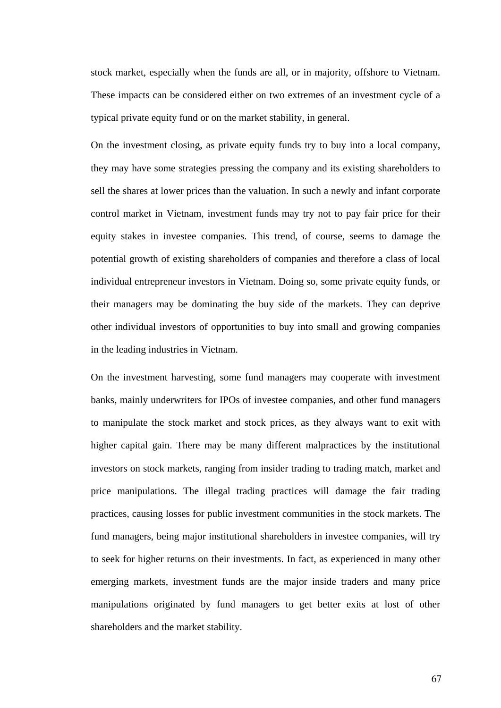stock market, especially when the funds are all, or in majority, offshore to Vietnam. These impacts can be considered either on two extremes of an investment cycle of a typical private equity fund or on the market stability, in general.

On the investment closing, as private equity funds try to buy into a local company, they may have some strategies pressing the company and its existing shareholders to sell the shares at lower prices than the valuation. In such a newly and infant corporate control market in Vietnam, investment funds may try not to pay fair price for their equity stakes in investee companies. This trend, of course, seems to damage the potential growth of existing shareholders of companies and therefore a class of local individual entrepreneur investors in Vietnam. Doing so, some private equity funds, or their managers may be dominating the buy side of the markets. They can deprive other individual investors of opportunities to buy into small and growing companies in the leading industries in Vietnam.

On the investment harvesting, some fund managers may cooperate with investment banks, mainly underwriters for IPOs of investee companies, and other fund managers to manipulate the stock market and stock prices, as they always want to exit with higher capital gain. There may be many different malpractices by the institutional investors on stock markets, ranging from insider trading to trading match, market and price manipulations. The illegal trading practices will damage the fair trading practices, causing losses for public investment communities in the stock markets. The fund managers, being major institutional shareholders in investee companies, will try to seek for higher returns on their investments. In fact, as experienced in many other emerging markets, investment funds are the major inside traders and many price manipulations originated by fund managers to get better exits at lost of other shareholders and the market stability.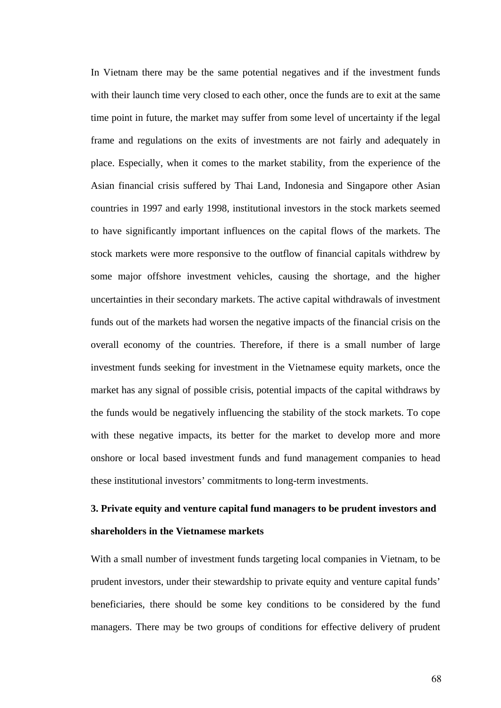In Vietnam there may be the same potential negatives and if the investment funds with their launch time very closed to each other, once the funds are to exit at the same time point in future, the market may suffer from some level of uncertainty if the legal frame and regulations on the exits of investments are not fairly and adequately in place. Especially, when it comes to the market stability, from the experience of the Asian financial crisis suffered by Thai Land, Indonesia and Singapore other Asian countries in 1997 and early 1998, institutional investors in the stock markets seemed to have significantly important influences on the capital flows of the markets. The stock markets were more responsive to the outflow of financial capitals withdrew by some major offshore investment vehicles, causing the shortage, and the higher uncertainties in their secondary markets. The active capital withdrawals of investment funds out of the markets had worsen the negative impacts of the financial crisis on the overall economy of the countries. Therefore, if there is a small number of large investment funds seeking for investment in the Vietnamese equity markets, once the market has any signal of possible crisis, potential impacts of the capital withdraws by the funds would be negatively influencing the stability of the stock markets. To cope with these negative impacts, its better for the market to develop more and more onshore or local based investment funds and fund management companies to head these institutional investors' commitments to long-term investments.

# **3. Private equity and venture capital fund managers to be prudent investors and shareholders in the Vietnamese markets**

With a small number of investment funds targeting local companies in Vietnam, to be prudent investors, under their stewardship to private equity and venture capital funds' beneficiaries, there should be some key conditions to be considered by the fund managers. There may be two groups of conditions for effective delivery of prudent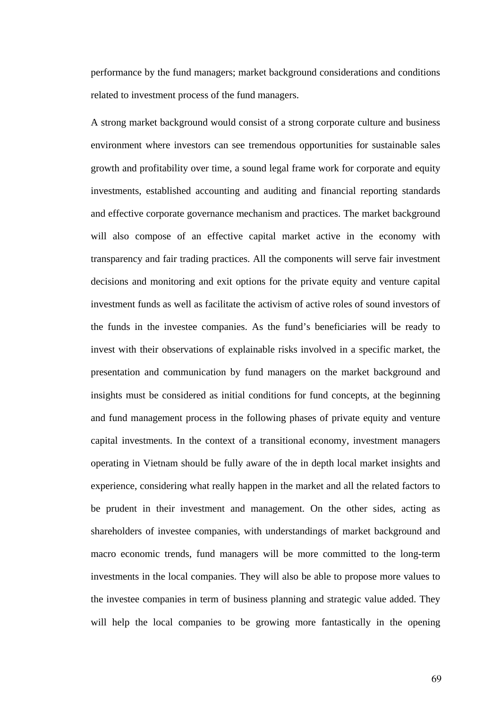performance by the fund managers; market background considerations and conditions related to investment process of the fund managers.

A strong market background would consist of a strong corporate culture and business environment where investors can see tremendous opportunities for sustainable sales growth and profitability over time, a sound legal frame work for corporate and equity investments, established accounting and auditing and financial reporting standards and effective corporate governance mechanism and practices. The market background will also compose of an effective capital market active in the economy with transparency and fair trading practices. All the components will serve fair investment decisions and monitoring and exit options for the private equity and venture capital investment funds as well as facilitate the activism of active roles of sound investors of the funds in the investee companies. As the fund's beneficiaries will be ready to invest with their observations of explainable risks involved in a specific market, the presentation and communication by fund managers on the market background and insights must be considered as initial conditions for fund concepts, at the beginning and fund management process in the following phases of private equity and venture capital investments. In the context of a transitional economy, investment managers operating in Vietnam should be fully aware of the in depth local market insights and experience, considering what really happen in the market and all the related factors to be prudent in their investment and management. On the other sides, acting as shareholders of investee companies, with understandings of market background and macro economic trends, fund managers will be more committed to the long-term investments in the local companies. They will also be able to propose more values to the investee companies in term of business planning and strategic value added. They will help the local companies to be growing more fantastically in the opening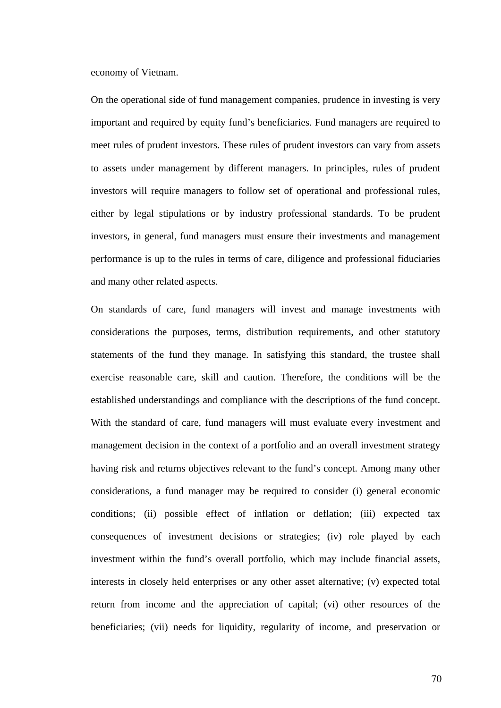economy of Vietnam.

On the operational side of fund management companies, prudence in investing is very important and required by equity fund's beneficiaries. Fund managers are required to meet rules of prudent investors. These rules of prudent investors can vary from assets to assets under management by different managers. In principles, rules of prudent investors will require managers to follow set of operational and professional rules, either by legal stipulations or by industry professional standards. To be prudent investors, in general, fund managers must ensure their investments and management performance is up to the rules in terms of care, diligence and professional fiduciaries and many other related aspects.

On standards of care, fund managers will invest and manage investments with considerations the purposes, terms, distribution requirements, and other statutory statements of the fund they manage. In satisfying this standard, the trustee shall exercise reasonable care, skill and caution. Therefore, the conditions will be the established understandings and compliance with the descriptions of the fund concept. With the standard of care, fund managers will must evaluate every investment and management decision in the context of a portfolio and an overall investment strategy having risk and returns objectives relevant to the fund's concept. Among many other considerations, a fund manager may be required to consider (i) general economic conditions; (ii) possible effect of inflation or deflation; (iii) expected tax consequences of investment decisions or strategies; (iv) role played by each investment within the fund's overall portfolio, which may include financial assets, interests in closely held enterprises or any other asset alternative; (v) expected total return from income and the appreciation of capital; (vi) other resources of the beneficiaries; (vii) needs for liquidity, regularity of income, and preservation or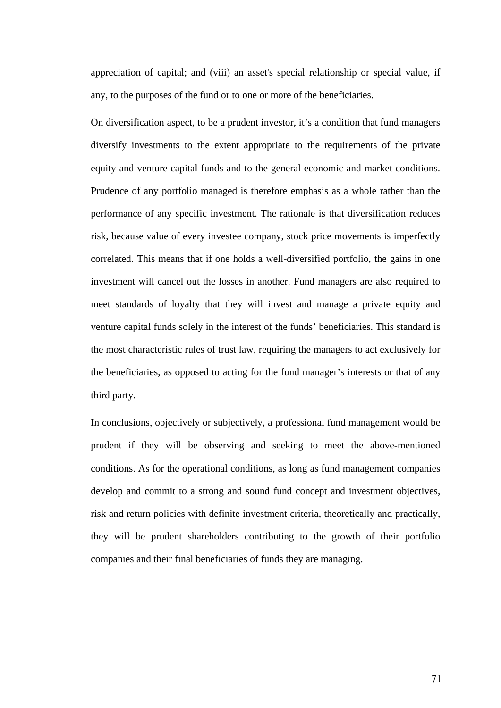appreciation of capital; and (viii) an asset's special relationship or special value, if any, to the purposes of the fund or to one or more of the beneficiaries.

On diversification aspect, to be a prudent investor, it's a condition that fund managers diversify investments to the extent appropriate to the requirements of the private equity and venture capital funds and to the general economic and market conditions. Prudence of any portfolio managed is therefore emphasis as a whole rather than the performance of any specific investment. The rationale is that diversification reduces risk, because value of every investee company, stock price movements is imperfectly correlated. This means that if one holds a well-diversified portfolio, the gains in one investment will cancel out the losses in another. Fund managers are also required to meet standards of loyalty that they will invest and manage a private equity and venture capital funds solely in the interest of the funds' beneficiaries. This standard is the most characteristic rules of trust law, requiring the managers to act exclusively for the beneficiaries, as opposed to acting for the fund manager's interests or that of any third party.

In conclusions, objectively or subjectively, a professional fund management would be prudent if they will be observing and seeking to meet the above-mentioned conditions. As for the operational conditions, as long as fund management companies develop and commit to a strong and sound fund concept and investment objectives, risk and return policies with definite investment criteria, theoretically and practically, they will be prudent shareholders contributing to the growth of their portfolio companies and their final beneficiaries of funds they are managing.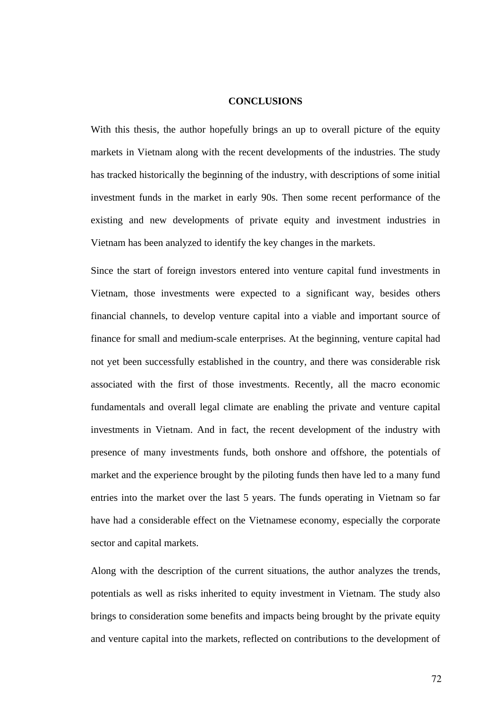## **CONCLUSIONS**

With this thesis, the author hopefully brings an up to overall picture of the equity markets in Vietnam along with the recent developments of the industries. The study has tracked historically the beginning of the industry, with descriptions of some initial investment funds in the market in early 90s. Then some recent performance of the existing and new developments of private equity and investment industries in Vietnam has been analyzed to identify the key changes in the markets.

Since the start of foreign investors entered into venture capital fund investments in Vietnam, those investments were expected to a significant way, besides others financial channels, to develop venture capital into a viable and important source of finance for small and medium-scale enterprises. At the beginning, venture capital had not yet been successfully established in the country, and there was considerable risk associated with the first of those investments. Recently, all the macro economic fundamentals and overall legal climate are enabling the private and venture capital investments in Vietnam. And in fact, the recent development of the industry with presence of many investments funds, both onshore and offshore, the potentials of market and the experience brought by the piloting funds then have led to a many fund entries into the market over the last 5 years. The funds operating in Vietnam so far have had a considerable effect on the Vietnamese economy, especially the corporate sector and capital markets.

Along with the description of the current situations, the author analyzes the trends, potentials as well as risks inherited to equity investment in Vietnam. The study also brings to consideration some benefits and impacts being brought by the private equity and venture capital into the markets, reflected on contributions to the development of

72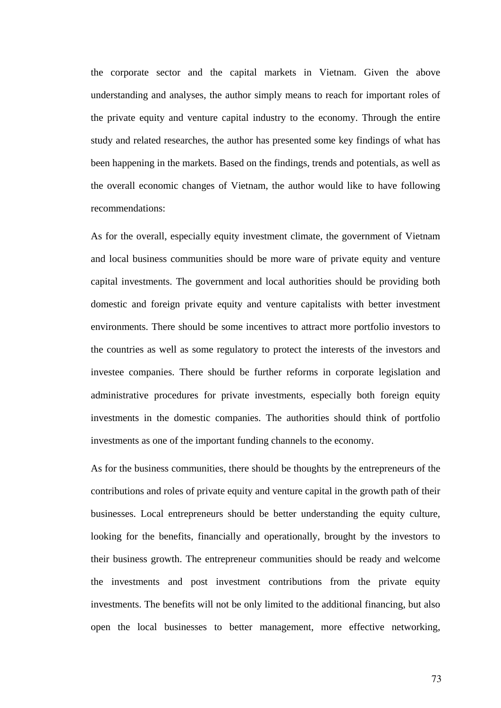the corporate sector and the capital markets in Vietnam. Given the above understanding and analyses, the author simply means to reach for important roles of the private equity and venture capital industry to the economy. Through the entire study and related researches, the author has presented some key findings of what has been happening in the markets. Based on the findings, trends and potentials, as well as the overall economic changes of Vietnam, the author would like to have following recommendations:

As for the overall, especially equity investment climate, the government of Vietnam and local business communities should be more ware of private equity and venture capital investments. The government and local authorities should be providing both domestic and foreign private equity and venture capitalists with better investment environments. There should be some incentives to attract more portfolio investors to the countries as well as some regulatory to protect the interests of the investors and investee companies. There should be further reforms in corporate legislation and administrative procedures for private investments, especially both foreign equity investments in the domestic companies. The authorities should think of portfolio investments as one of the important funding channels to the economy.

As for the business communities, there should be thoughts by the entrepreneurs of the contributions and roles of private equity and venture capital in the growth path of their businesses. Local entrepreneurs should be better understanding the equity culture, looking for the benefits, financially and operationally, brought by the investors to their business growth. The entrepreneur communities should be ready and welcome the investments and post investment contributions from the private equity investments. The benefits will not be only limited to the additional financing, but also open the local businesses to better management, more effective networking,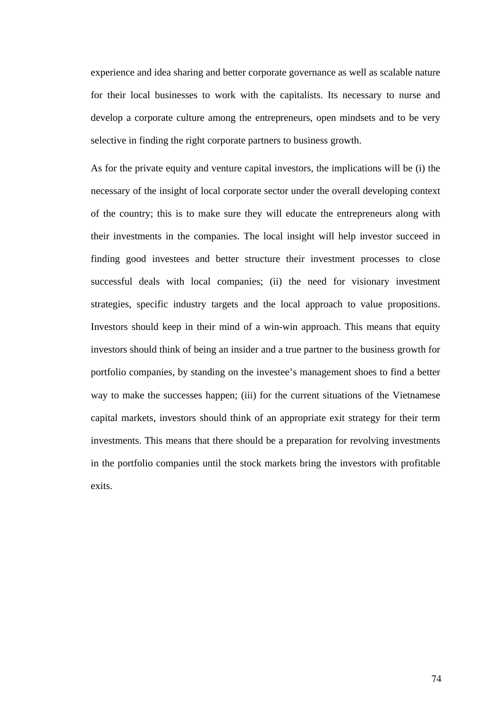experience and idea sharing and better corporate governance as well as scalable nature for their local businesses to work with the capitalists. Its necessary to nurse and develop a corporate culture among the entrepreneurs, open mindsets and to be very selective in finding the right corporate partners to business growth.

As for the private equity and venture capital investors, the implications will be (i) the necessary of the insight of local corporate sector under the overall developing context of the country; this is to make sure they will educate the entrepreneurs along with their investments in the companies. The local insight will help investor succeed in finding good investees and better structure their investment processes to close successful deals with local companies; (ii) the need for visionary investment strategies, specific industry targets and the local approach to value propositions. Investors should keep in their mind of a win-win approach. This means that equity investors should think of being an insider and a true partner to the business growth for portfolio companies, by standing on the investee's management shoes to find a better way to make the successes happen; (iii) for the current situations of the Vietnamese capital markets, investors should think of an appropriate exit strategy for their term investments. This means that there should be a preparation for revolving investments in the portfolio companies until the stock markets bring the investors with profitable exits.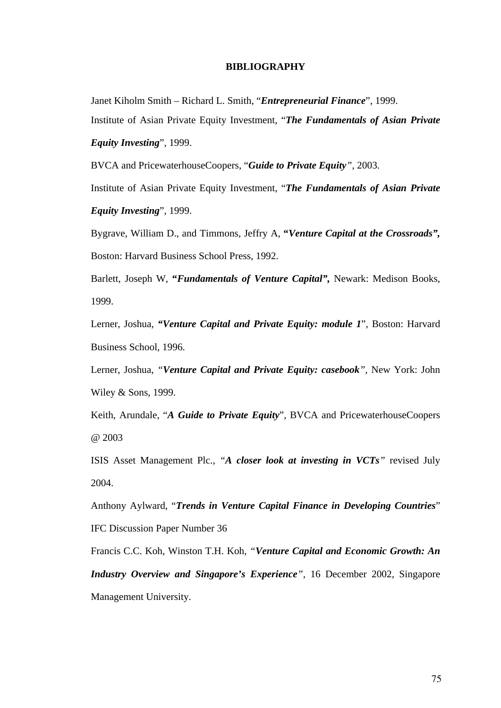## **BIBLIOGRAPHY**

Janet Kiholm Smith – Richard L. Smith, "*Entrepreneurial Finance*", 1999. Institute of Asian Private Equity Investment, "*The Fundamentals of Asian Private* 

*Equity Investing*", 1999.

BVCA and PricewaterhouseCoopers, "*Guide to Private Equity"*, 2003.

Institute of Asian Private Equity Investment, "*The Fundamentals of Asian Private Equity Investing*", 1999.

Bygrave, William D., and Timmons, Jeffry A, **"***Venture Capital at the Crossroads",* Boston: Harvard Business School Press, 1992.

Barlett, Joseph W, **"***Fundamentals of Venture Capital",* Newark: Medison Books, 1999.

Lerner, Joshua, *"Venture Capital and Private Equity: module 1*", Boston: Harvard Business School, 1996.

Lerner, Joshua, *"Venture Capital and Private Equity: casebook",* New York: John Wiley & Sons, 1999.

Keith, Arundale, "*A Guide to Private Equity*", BVCA and PricewaterhouseCoopers @ 2003

ISIS Asset Management Plc., *"A closer look at investing in VCTs"* revised July 2004.

Anthony Aylward, "*Trends in Venture Capital Finance in Developing Countries*" IFC Discussion Paper Number 36

Francis C.C. Koh, Winston T.H. Koh, *"Venture Capital and Economic Growth: An Industry Overview and Singapore's Experience",* 16 December 2002, Singapore Management University.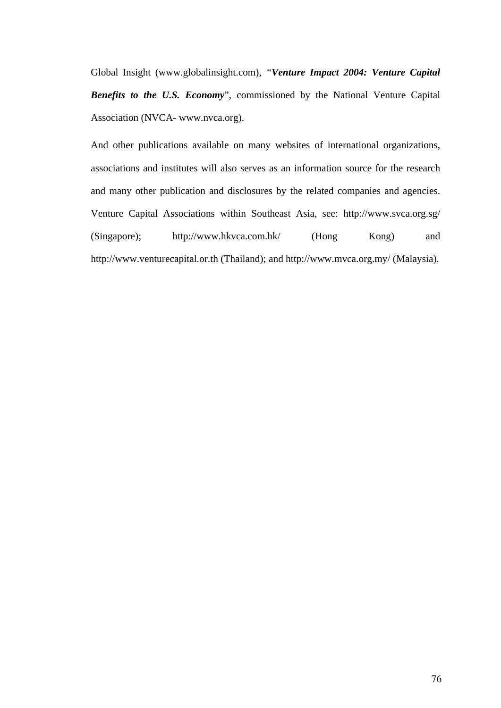Global Insight (www.globalinsight.com), *"Venture Impact 2004: Venture Capital Benefits to the U.S. Economy*", commissioned by the National Venture Capital Association (NVCA- [www.nvca.org](http://www.nvca.org/)).

And other publications available on many websites of international organizations, associations and institutes will also serves as an information source for the research and many other publication and disclosures by the related companies and agencies. Venture Capital Associations within Southeast Asia, see: http://www.svca.org.sg/ (Singapore); http://www.hkvca.com.hk/ (Hong Kong) and http://www.venturecapital.or.th (Thailand); and <http://www.mvca.org.my/>(Malaysia).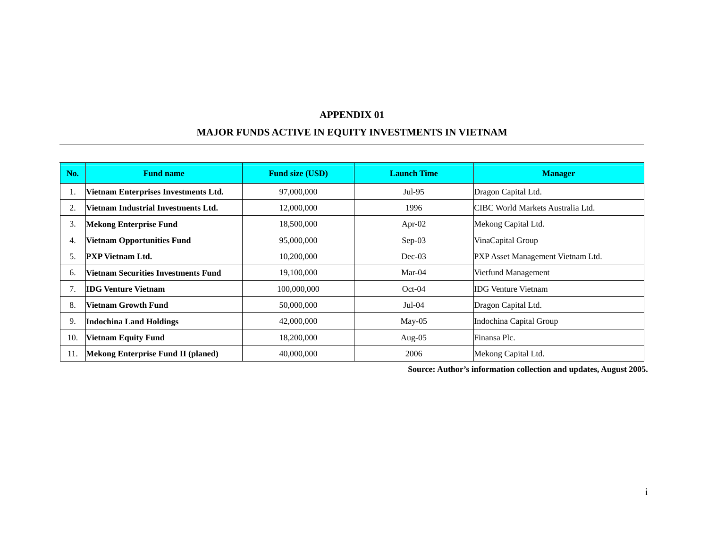## **MAJOR FUNDS ACTIVE IN EQUITY INVESTMENTS IN VIETNAM**

| No. | <b>Fund name</b>                           | <b>Fund size (USD)</b> | <b>Launch Time</b> | <b>Manager</b>                    |
|-----|--------------------------------------------|------------------------|--------------------|-----------------------------------|
| 1.  | Vietnam Enterprises Investments Ltd.       | 97,000,000             | $Jul-95$           | Dragon Capital Ltd.               |
| 2.  | <b>Vietnam Industrial Investments Ltd.</b> | 12,000,000             | 1996               | CIBC World Markets Australia Ltd. |
| 3.  | <b>Mekong Enterprise Fund</b>              | 18,500,000             | Apr-02             | Mekong Capital Ltd.               |
| 4.  | <b>Vietnam Opportunities Fund</b>          | 95,000,000             | $Sep-03$           | VinaCapital Group                 |
| 5.  | <b>PXP</b> Vietnam Ltd.                    | 10,200,000             | $Dec-03$           | PXP Asset Management Vietnam Ltd. |
| 6.  | <b>Vietnam Securities Investments Fund</b> | 19,100,000             | Mar- $04$          | Vietfund Management               |
| 7.  | <b>IDG Venture Vietnam</b>                 | 100,000,000            | $Oct-04$           | <b>IDG Venture Vietnam</b>        |
| 8.  | <b>Vietnam Growth Fund</b>                 | 50,000,000             | $Jul-04$           | Dragon Capital Ltd.               |
| 9.  | <b>Indochina Land Holdings</b>             | 42,000,000             | $May-05$           | Indochina Capital Group           |
| 10. | <b>Vietnam Equity Fund</b>                 | 18,200,000             | Aug- $05$          | Finansa Plc.                      |
| 11. | Mekong Enterprise Fund II (planed)         | 40,000,000             | 2006               | Mekong Capital Ltd.               |

**Source: Author's information collection and updates, August 2005.**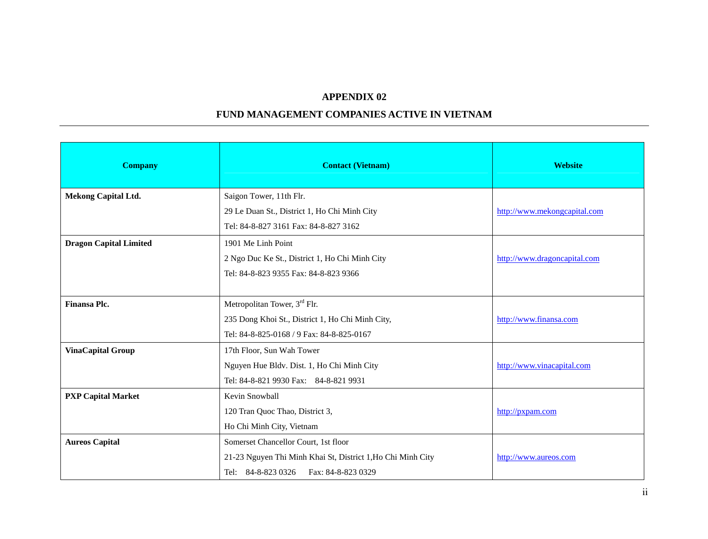## **FUND MANAGEMENT COMPANIES ACTIVE IN VIETNAM**

| <b>Company</b>                | <b>Contact (Vietnam)</b>                                    | <b>Website</b>               |
|-------------------------------|-------------------------------------------------------------|------------------------------|
| <b>Mekong Capital Ltd.</b>    | Saigon Tower, 11th Flr.                                     |                              |
|                               | 29 Le Duan St., District 1, Ho Chi Minh City                | http://www.mekongcapital.com |
|                               | Tel: 84-8-827 3161 Fax: 84-8-827 3162                       |                              |
| <b>Dragon Capital Limited</b> | 1901 Me Linh Point                                          |                              |
|                               | 2 Ngo Duc Ke St., District 1, Ho Chi Minh City              | http://www.dragoncapital.com |
|                               | Tel: 84-8-823 9355 Fax: 84-8-823 9366                       |                              |
|                               |                                                             |                              |
| Finansa Plc.                  | Metropolitan Tower, 3rd Flr.                                |                              |
|                               | 235 Dong Khoi St., District 1, Ho Chi Minh City,            | http://www.finansa.com       |
|                               | Tel: 84-8-825-0168 / 9 Fax: 84-8-825-0167                   |                              |
| <b>VinaCapital Group</b>      | 17th Floor, Sun Wah Tower                                   |                              |
|                               | Nguyen Hue Bldv. Dist. 1, Ho Chi Minh City                  | http://www.vinacapital.com   |
|                               | Tel: 84-8-821 9930 Fax: 84-8-821 9931                       |                              |
| <b>PXP Capital Market</b>     | Kevin Snowball                                              |                              |
|                               | 120 Tran Quoc Thao, District 3,                             | http://pxpam.com             |
|                               | Ho Chi Minh City, Vietnam                                   |                              |
| <b>Aureos Capital</b>         | Somerset Chancellor Court, 1st floor                        |                              |
|                               | 21-23 Nguyen Thi Minh Khai St, District 1, Ho Chi Minh City | http://www.aureos.com        |
|                               | Tel: 84-8-823 0326<br>Fax: 84-8-823 0329                    |                              |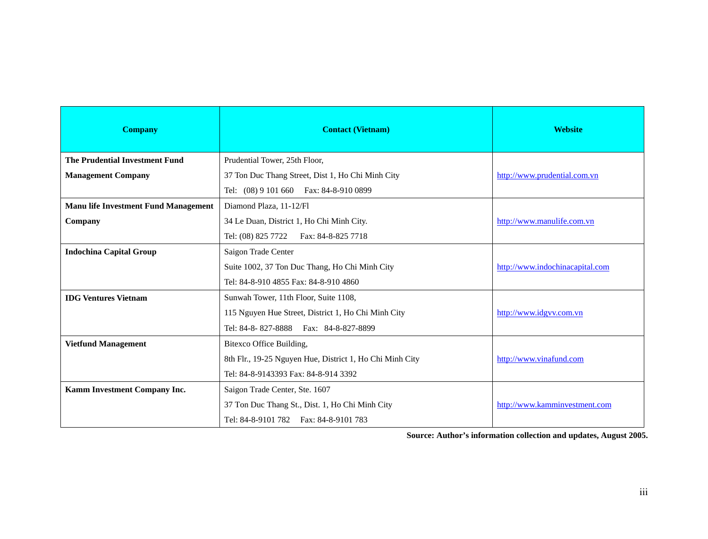| <b>Company</b>                              | <b>Contact (Vietnam)</b>                                 | <b>Website</b>                  |  |
|---------------------------------------------|----------------------------------------------------------|---------------------------------|--|
| <b>The Prudential Investment Fund</b>       | Prudential Tower, 25th Floor,                            |                                 |  |
| <b>Management Company</b>                   | 37 Ton Duc Thang Street, Dist 1, Ho Chi Minh City        | http://www.prudential.com.vn    |  |
|                                             | Tel: (08) 9 101 660  Fax: 84-8-910 0899                  |                                 |  |
| <b>Manu life Investment Fund Management</b> | Diamond Plaza, 11-12/Fl                                  |                                 |  |
| Company                                     | 34 Le Duan, District 1, Ho Chi Minh City.                | http://www.manulife.com.vn      |  |
|                                             | Tel: (08) 825 7722  Fax: 84-8-825 7718                   |                                 |  |
| <b>Indochina Capital Group</b>              | Saigon Trade Center                                      |                                 |  |
|                                             | Suite 1002, 37 Ton Duc Thang, Ho Chi Minh City           | http://www.indochinacapital.com |  |
|                                             | Tel: 84-8-910 4855 Fax: 84-8-910 4860                    |                                 |  |
| <b>IDG Ventures Vietnam</b>                 | Sunwah Tower, 11th Floor, Suite 1108,                    |                                 |  |
|                                             | 115 Nguyen Hue Street, District 1, Ho Chi Minh City      | http://www.idgvv.com.vn         |  |
|                                             | Tel: 84-8-827-8888  Fax: 84-8-827-8899                   |                                 |  |
| <b>Vietfund Management</b>                  | Bitexco Office Building,                                 |                                 |  |
|                                             | 8th Flr., 19-25 Nguyen Hue, District 1, Ho Chi Minh City | http://www.vinafund.com         |  |
|                                             | Tel: 84-8-9143393 Fax: 84-8-914 3392                     |                                 |  |
| Kamm Investment Company Inc.                | Saigon Trade Center, Ste. 1607                           |                                 |  |
|                                             | 37 Ton Duc Thang St., Dist. 1, Ho Chi Minh City          | http://www.kamminvestment.com   |  |
|                                             | Tel: 84-8-9101 782  Fax: 84-8-9101 783                   |                                 |  |

**Source: Author's information collection and updates, August 2005.**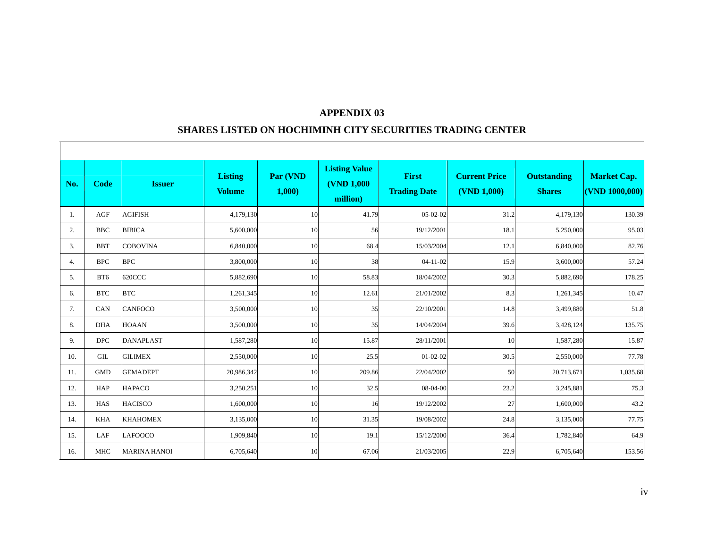#### **SHARES LISTED ON HOCHIMINH CITY SECURITIES TRADING CENTER**

 $\overline{\phantom{a}}$ 

| No. | Code               | <b>Issuer</b>       | <b>Listing</b><br><b>Volume</b> | Par (VND<br>1,000 | <b>Listing Value</b><br><b>(VND 1,000)</b><br>million) | <b>First</b><br><b>Trading Date</b> | <b>Current Price</b><br>(VND 1,000) | <b>Outstanding</b><br><b>Shares</b> | <b>Market Cap.</b><br>$($ VND 1000,000 $)$ |
|-----|--------------------|---------------------|---------------------------------|-------------------|--------------------------------------------------------|-------------------------------------|-------------------------------------|-------------------------------------|--------------------------------------------|
| 1.  | AGF                | <b>AGIFISH</b>      | 4,179,130                       | 10                | 41.79                                                  | $05-02-02$                          | 31.2                                | 4,179,130                           | 130.39                                     |
| 2.  | <b>BBC</b>         | <b>BIBICA</b>       | 5,600,000                       | 10                | 56                                                     | 19/12/2001                          | 18.1                                | 5,250,000                           | 95.03                                      |
| 3.  | <b>BBT</b>         | <b>COBOVINA</b>     | 6,840,000                       | 10                | 68.4                                                   | 15/03/2004                          | 12.1                                | 6,840,000                           | 82.76                                      |
| 4.  | <b>BPC</b>         | <b>BPC</b>          | 3,800,000                       | 10                | 38                                                     | $04 - 11 - 02$                      | 15.9                                | 3,600,000                           | 57.24                                      |
| 5.  | BT6                | 620CCC              | 5,882,690                       | 10                | 58.83                                                  | 18/04/2002                          | 30.3                                | 5,882,690                           | 178.25                                     |
| 6.  | <b>BTC</b>         | <b>BTC</b>          | 1,261,345                       | 10                | 12.61                                                  | 21/01/2002                          | 8.3                                 | 1,261,345                           | 10.47                                      |
| 7.  | CAN                | <b>CANFOCO</b>      | 3,500,000                       | 10                | 35                                                     | 22/10/2001                          | 14.8                                | 3,499,880                           | 51.8                                       |
| 8.  | <b>DHA</b>         | <b>HOAAN</b>        | 3,500,000                       | 10                | 35                                                     | 14/04/2004                          | 39.6                                | 3,428,124                           | 135.75                                     |
| 9.  | <b>DPC</b>         | <b>DANAPLAST</b>    | 1,587,280                       | 10                | 15.87                                                  | 28/11/2001                          | 10                                  | 1,587,280                           | 15.87                                      |
| 10. | $\mathop{\rm GIL}$ | <b>GILIMEX</b>      | 2,550,000                       | 10                | 25.5                                                   | $01 - 02 - 02$                      | 30.5                                | 2,550,000                           | 77.78                                      |
| 11. | GMD                | <b>GEMADEPT</b>     | 20,986,342                      | 10                | 209.86                                                 | 22/04/2002                          | 50                                  | 20,713,671                          | 1,035.68                                   |
| 12. | HAP                | <b>HAPACO</b>       | 3,250,251                       | 10                | 32.5                                                   | 08-04-00                            | 23.2                                | 3,245,881                           | 75.3                                       |
| 13. | HAS                | <b>HACISCO</b>      | 1,600,000                       | 10                | 16                                                     | 19/12/2002                          | 27                                  | 1,600,000                           | 43.2                                       |
| 14. | <b>KHA</b>         | <b>KHAHOMEX</b>     | 3,135,000                       | 10                | 31.35                                                  | 19/08/2002                          | 24.8                                | 3,135,000                           | 77.75                                      |
| 15. | LAF                | <b>LAFOOCO</b>      | 1,909,840                       | 10                | 19.1                                                   | 15/12/2000                          | 36.4                                | 1,782,840                           | 64.9                                       |
| 16. | <b>MHC</b>         | <b>MARINA HANOI</b> | 6,705,640                       | 10                | 67.06                                                  | 21/03/2005                          | 22.9                                | 6,705,640                           | 153.56                                     |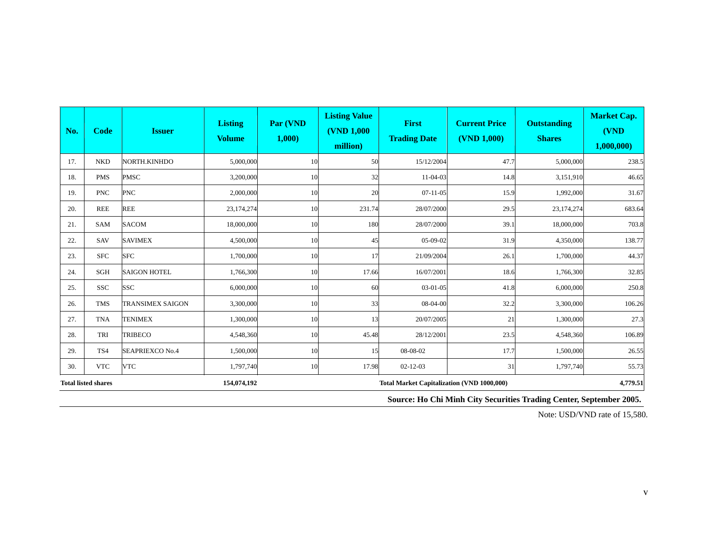| No.                                       | <b>Code</b> | <b>Issuer</b>           | <b>Listing</b><br><b>Volume</b> | Par (VND<br>1,000 | <b>Listing Value</b><br><b>(VND 1,000)</b><br>million)        | <b>First</b><br><b>Trading Date</b> | <b>Current Price</b><br>(VND 1,000) | <b>Outstanding</b><br><b>Shares</b> | <b>Market Cap.</b><br>(VND<br>1,000,000 |
|-------------------------------------------|-------------|-------------------------|---------------------------------|-------------------|---------------------------------------------------------------|-------------------------------------|-------------------------------------|-------------------------------------|-----------------------------------------|
| 17.                                       | <b>NKD</b>  | NORTH.KINHDO            | 5,000,000                       | 10                | 50                                                            | 15/12/2004                          | 47.7                                | 5,000,000                           | 238.5                                   |
| 18.                                       | <b>PMS</b>  | <b>PMSC</b>             | 3,200,000                       | 10                | 32                                                            | $11-04-03$                          | 14.8                                | 3,151,910                           | 46.65                                   |
| 19.                                       | <b>PNC</b>  | <b>PNC</b>              | 2,000,000                       | 10                | 20                                                            | $07-11-05$                          | 15.9                                | 1,992,000                           | 31.67                                   |
| 20.                                       | <b>REE</b>  | <b>REE</b>              | 23,174,274                      | 10                | 231.74                                                        | 28/07/2000                          | 29.5                                | 23,174,274                          | 683.64                                  |
| 21.                                       | <b>SAM</b>  | <b>SACOM</b>            | 18,000,000                      | 10                | 180                                                           | 28/07/2000                          | 39.1                                | 18,000,000                          | 703.8                                   |
| 22.                                       | SAV         | <b>SAVIMEX</b>          | 4,500,000                       | 10                | 45                                                            | $05-09-02$                          | 31.9                                | 4,350,000                           | 138.77                                  |
| 23.                                       | <b>SFC</b>  | <b>SFC</b>              | 1,700,000                       | 10                | 17                                                            | 21/09/2004                          | 26.1                                | 1,700,000                           | 44.37                                   |
| 24.                                       | <b>SGH</b>  | <b>SAIGON HOTEL</b>     | 1,766,300                       | 10                | 17.66                                                         | 16/07/2001                          | 18.6                                | 1,766,300                           | 32.85                                   |
| 25.                                       | <b>SSC</b>  | <b>SSC</b>              | 6,000,000                       | 10                | 60                                                            | $03-01-05$                          | 41.8                                | 6,000,000                           | 250.8                                   |
| 26.                                       | <b>TMS</b>  | <b>TRANSIMEX SAIGON</b> | 3,300,000                       | 10                | 33                                                            | 08-04-00                            | 32.2                                | 3,300,000                           | 106.26                                  |
| 27.                                       | <b>TNA</b>  | <b>TENIMEX</b>          | 1,300,000                       | 10                | 13                                                            | 20/07/2005                          | 21                                  | 1,300,000                           | 27.3                                    |
| 28.                                       | TRI         | <b>TRIBECO</b>          | 4,548,360                       | 10                | 45.48                                                         | 28/12/2001                          | 23.5                                | 4,548,360                           | 106.89                                  |
| 29.                                       | TS4         | <b>SEAPRIEXCO No.4</b>  | 1,500,000                       | 10                | 15                                                            | 08-08-02                            | 17.7                                | 1,500,000                           | 26.55                                   |
| 30.                                       | <b>VTC</b>  | <b>VTC</b>              | 1,797,740                       | 10                | 17.98                                                         | $02 - 12 - 03$                      | 31                                  | 1,797,740                           | 55.73                                   |
| <b>Total listed shares</b><br>154,074,192 |             |                         |                                 |                   | <b>Total Market Capitalization (VND 1000,000)</b><br>4,779.51 |                                     |                                     |                                     |                                         |

**Source: Ho Chi Minh City Securities Trading Center, September 2005.** 

Note: USD/VND rate of 15,580.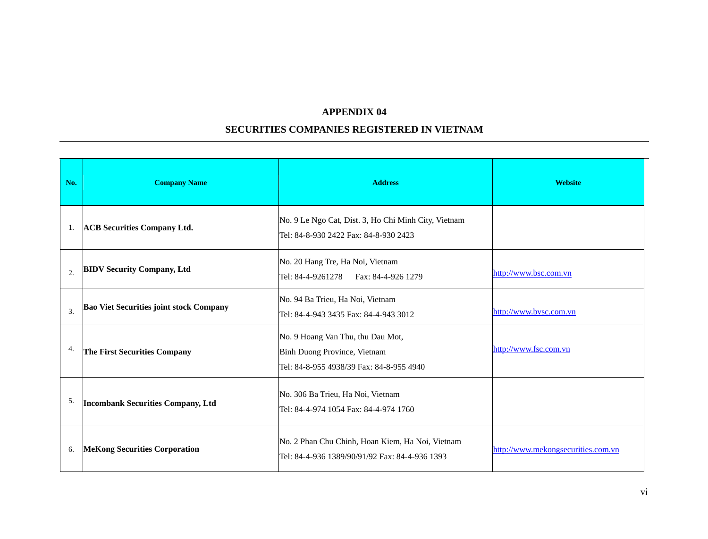#### **SECURITIES COMPANIES REGISTERED IN VIETNAM**

| No.            | <b>Company Name</b>                            | <b>Address</b>                                                                                                | <b>Website</b>                     |
|----------------|------------------------------------------------|---------------------------------------------------------------------------------------------------------------|------------------------------------|
| 1.             | <b>ACB</b> Securities Company Ltd.             | No. 9 Le Ngo Cat, Dist. 3, Ho Chi Minh City, Vietnam<br>Tel: 84-8-930 2422 Fax: 84-8-930 2423                 |                                    |
| $\overline{2}$ | <b>BIDV Security Company, Ltd</b>              | No. 20 Hang Tre, Ha Noi, Vietnam<br>Tel: 84-4-9261278   Fax: 84-4-926 1279                                    | http://www.bsc.com.vn              |
| 3.             | <b>Bao Viet Securities joint stock Company</b> | No. 94 Ba Trieu, Ha Noi, Vietnam<br>Tel: 84-4-943 3435 Fax: 84-4-943 3012                                     | http://www.bvsc.com.vn             |
| 4.             | The First Securities Company                   | No. 9 Hoang Van Thu, thu Dau Mot,<br>Binh Duong Province, Vietnam<br>Tel: 84-8-955 4938/39 Fax: 84-8-955 4940 | http://www.fsc.com.vn              |
| 5.             | <b>Incombank Securities Company, Ltd</b>       | No. 306 Ba Trieu, Ha Noi, Vietnam<br>Tel: 84-4-974 1054 Fax: 84-4-974 1760                                    |                                    |
| 6.             | <b>MeKong Securities Corporation</b>           | No. 2 Phan Chu Chinh, Hoan Kiem, Ha Noi, Vietnam<br>Tel: 84-4-936 1389/90/91/92 Fax: 84-4-936 1393            | http://www.mekongsecurities.com.vn |